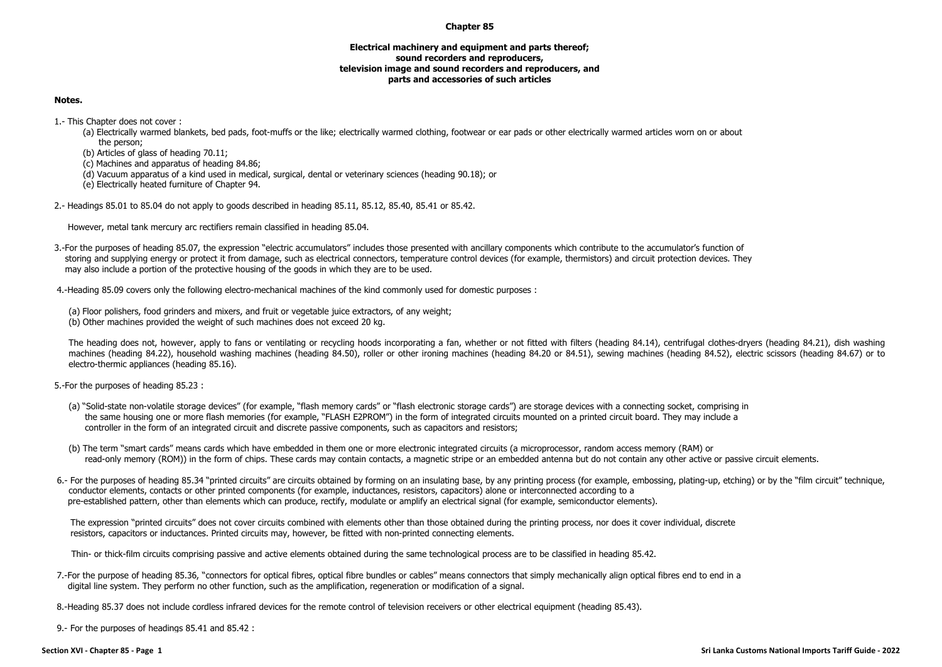## **Chapter 85**

## **Electrical machinery and equipment and parts thereof; sound recorders and reproducers, television image and sound recorders and reproducers, and parts and accessories of such articles**

## **Notes.**

1.- This Chapter does not cover :

(a) Electrically warmed blankets, bed pads, foot-muffs or the like; electrically warmed clothing, footwear or ear pads or other electrically warmed articles worn on or about the person;

(b) Articles of glass of heading 70.11;

(c) Machines and apparatus of heading 84.86;

(d) Vacuum apparatus of a kind used in medical, surgical, dental or veterinary sciences (heading 90.18); or

(e) Electrically heated furniture of Chapter 94.

2.- Headings 85.01 to 85.04 do not apply to goods described in heading 85.11, 85.12, 85.40, 85.41 or 85.42.

However, metal tank mercury arc rectifiers remain classified in heading 85.04.

3.-For the purposes of heading 85.07, the expression "electric accumulators" includes those presented with ancillary components which contribute to the accumulator's function of storing and supplying energy or protect it from damage, such as electrical connectors, temperature control devices (for example, thermistors) and circuit protection devices. They may also include a portion of the protective housing of the goods in which they are to be used.

4.-Heading 85.09 covers only the following electro-mechanical machines of the kind commonly used for domestic purposes :

(a) Floor polishers, food grinders and mixers, and fruit or vegetable juice extractors, of any weight; (b) Other machines provided the weight of such machines does not exceed 20 kg.

The heading does not, however, apply to fans or ventilating or recycling hoods incorporating a fan, whether or not fitted with filters (heading 84.14), centrifugal clothes-dryers (heading 84.21), dish washing machines (heading 84.22), household washing machines (heading 84.50), roller or other ironing machines (heading 84.20 or 84.51), sewing machines (heading 84.52), electric scissors (heading 84.67) or to electro-thermic appliances (heading 85.16).

5.-For the purposes of heading 85.23 :

- (a) "Solid-state non-volatile storage devices" (for example, "flash memory cards" or "flash electronic storage cards") are storage devices with a connecting socket, comprising in the same housing one or more flash memories (for example, "FLASH E2PROM") in the form of integrated circuits mounted on a printed circuit board. They may include a controller in the form of an integrated circuit and discrete passive components, such as capacitors and resistors;
- (b) The term "smart cards" means cards which have embedded in them one or more electronic integrated circuits (a microprocessor, random access memory (RAM) or read-only memory (ROM)) in the form of chips. These cards may contain contacts, a magnetic stripe or an embedded antenna but do not contain any other active or passive circuit elements.
- 6.- For the purposes of heading 85.34 "printed circuits" are circuits obtained by forming on an insulating base, by any printing process (for example, embossing, plating-up, etching) or by the "film circuit" technique, conductor elements, contacts or other printed components (for example, inductances, resistors, capacitors) alone or interconnected according to a pre-established pattern, other than elements which can produce, rectify, modulate or amplify an electrical signal (for example, semiconductor elements).

The expression "printed circuits" does not cover circuits combined with elements other than those obtained during the printing process, nor does it cover individual, discrete resistors, capacitors or inductances. Printed circuits may, however, be fitted with non-printed connecting elements.

Thin- or thick-film circuits comprising passive and active elements obtained during the same technological process are to be classified in heading 85.42.

7.-For the purpose of heading 85.36, "connectors for optical fibres, optical fibre bundles or cables" means connectors that simply mechanically align optical fibres end to end in a digital line system. They perform no other function, such as the amplification, regeneration or modification of a signal.

8.-Heading 85.37 does not include cordless infrared devices for the remote control of television receivers or other electrical equipment (heading 85.43).

9.- For the purposes of headings 85.41 and 85.42 :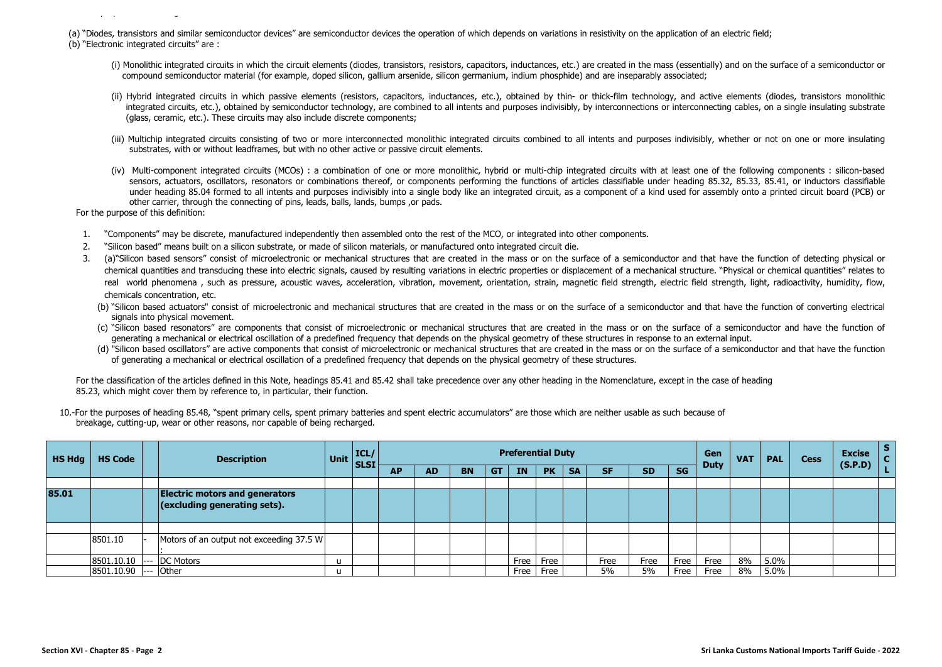(a) "Diodes, transistors and similar semiconductor devices" are semiconductor devices the operation of which depends on variations in resistivity on the application of an electric field; (b) "Electronic integrated circuits" are :

- (i) Monolithic integrated circuits in which the circuit elements (diodes, transistors, resistors, capacitors, inductances, etc.) are created in the mass (essentially) and on the surface of a semiconductor or compound semiconductor material (for example, doped silicon, gallium arsenide, silicon germanium, indium phosphide) and are inseparably associated;
- (ii) Hybrid integrated circuits in which passive elements (resistors, capacitors, inductances, etc.), obtained by thin- or thick-film technology, and active elements (diodes, transistors monolithic integrated circuits, etc.), obtained by semiconductor technology, are combined to all intents and purposes indivisibly, by interconnections or interconnecting cables, on a single insulating substrate (glass, ceramic, etc.). These circuits may also include discrete components;
- (iii) Multichip integrated circuits consisting of two or more interconnected monolithic integrated circuits combined to all intents and purposes indivisibly, whether or not on one or more insulating substrates, with or without leadframes, but with no other active or passive circuit elements.
- (iv) Multi-component integrated circuits (MCOs) : a combination of one or more monolithic, hybrid or multi-chip integrated circuits with at least one of the following components : silicon-based sensors, actuators, oscillators, resonators or combinations thereof, or components performing the functions of articles classifiable under heading 85.32, 85.33, 85.41, or inductors classifiable under heading 85.04 formed to all intents and purposes indivisibly into a single body like an integrated circuit, as a component of a kind used for assembly onto a printed circuit board (PCB) or other carrier, through the connecting of pins, leads, balls, lands, bumps ,or pads.

For the purpose of this definition:

9.- For the purposes of headings 85.41 and 85.42 :

- 1. "Components" may be discrete, manufactured independently then assembled onto the rest of the MCO, or integrated into other components.
- 2. "Silicon based" means built on a silicon substrate, or made of silicon materials, or manufactured onto integrated circuit die.
- 3. (a)"Silicon based sensors" consist of microelectronic or mechanical structures that are created in the mass or on the surface of a semiconductor and that have the function of detecting physical or chemical quantities and transducing these into electric signals, caused by resulting variations in electric properties or displacement of a mechanical structure. "Physical or chemical quantities" relates to real world phenomena, such as pressure, acoustic waves, acceleration, vibration, movement, orientation, strain, magnetic field strength, electric field strength, light, radioactivity, humidity, flow, chemicals concentration, etc.
	- (b) "Silicon based actuators" consist of microelectronic and mechanical structures that are created in the mass or on the surface of a semiconductor and that have the function of converting electrical signals into physical movement.
	- (c) "Silicon based resonators" are components that consist of microelectronic or mechanical structures that are created in the mass or on the surface of a semiconductor and have the function of generating a mechanical or electrical oscillation of a predefined frequency that depends on the physical geometry of these structures in response to an external input.
	- (d) "Silicon based oscillators" are active components that consist of microelectronic or mechanical structures that are created in the mass or on the surface of a semiconductor and that have the function of generating a mechanical or electrical oscillation of a predefined frequency that depends on the physical geometry of these structures.

For the classification of the articles defined in this Note, headings 85.41 and 85.42 shall take precedence over any other heading in the Nomenclature, except in the case of heading 85.23, which might cover them by reference to, in particular, their function.

10.-For the purposes of heading 85.48, "spent primary cells, spent primary batteries and spent electric accumulators" are those which are neither usable as such because of breakage, cutting-up, wear or other reasons, nor capable of being recharged.

| HS Hdg | <b>HS Code</b> | <b>Description</b>                                                    |              | Unit ELSI |           |           |           |     |      | <b>Preferential Duty</b> |           |           |           |           | Gen<br><b>Duty</b> | <b>VAT</b> | <b>PAL</b> | <b>Cess</b> | <b>Excise</b> | s <br>$\mathbf{C}$ |
|--------|----------------|-----------------------------------------------------------------------|--------------|-----------|-----------|-----------|-----------|-----|------|--------------------------|-----------|-----------|-----------|-----------|--------------------|------------|------------|-------------|---------------|--------------------|
|        |                |                                                                       |              |           | <b>AP</b> | <b>AD</b> | <b>BN</b> | -GT | IN.  | <b>PK</b>                | <b>SA</b> | <b>SF</b> | <b>SD</b> | <b>SG</b> |                    |            |            |             | (S.P.D)       |                    |
|        |                |                                                                       |              |           |           |           |           |     |      |                          |           |           |           |           |                    |            |            |             |               |                    |
| 85.01  |                | <b>Electric motors and generators</b><br>(excluding generating sets). |              |           |           |           |           |     |      |                          |           |           |           |           |                    |            |            |             |               |                    |
|        |                |                                                                       |              |           |           |           |           |     |      |                          |           |           |           |           |                    |            |            |             |               |                    |
|        | 8501.10        | Motors of an output not exceeding 37.5 W                              |              |           |           |           |           |     |      |                          |           |           |           |           |                    |            |            |             |               |                    |
|        | 8501.10.10 --- | <b>DC Motors</b>                                                      | $\mathbf{U}$ |           |           |           |           |     | Free | Free                     |           | Free      | Free      | Free      | Free               | 8%         | $5.0\%$    |             |               |                    |
|        | 8501.10.90 --- | <b>Other</b>                                                          | п            |           |           |           |           |     | Free | Free                     |           | 5%        | 5%        | Free      | Free               | 8%         | 5.0%       |             |               |                    |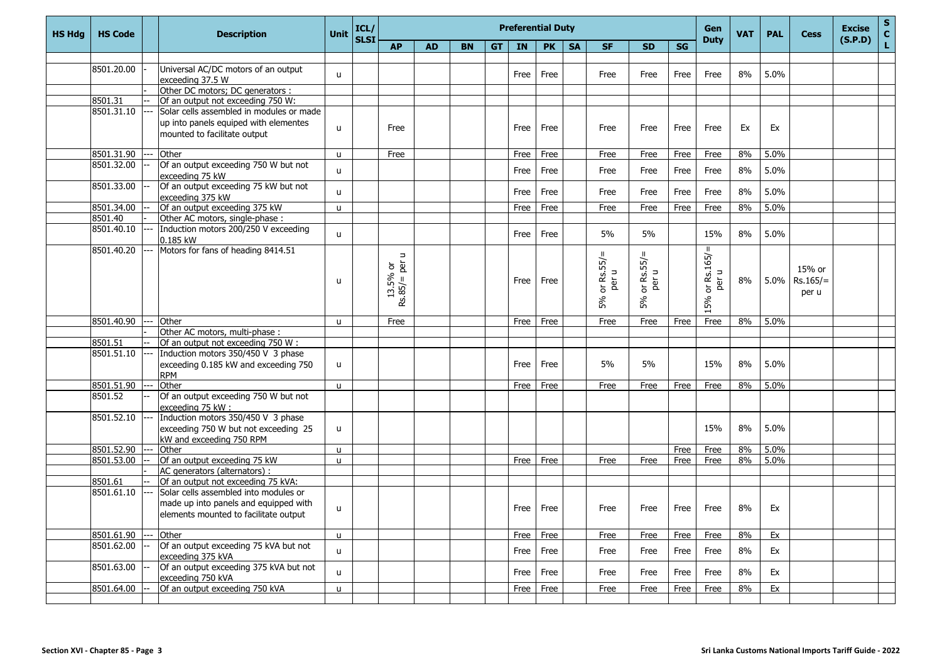| <b>HS Hdg</b> | <b>HS Code</b> | <b>Description</b>                       | Unit         | ICL/<br><b>SLSI</b> |                  |           |           |           | <b>Preferential Duty</b> |           |           | Gen<br><b>Duty</b> | <b>VAT</b>               | <b>PAL</b> | <b>Cess</b>                  | <b>Excise</b><br>(S.P.D) | $\sf{s}$<br>$\mathbf{C}$ |            |  |   |
|---------------|----------------|------------------------------------------|--------------|---------------------|------------------|-----------|-----------|-----------|--------------------------|-----------|-----------|--------------------|--------------------------|------------|------------------------------|--------------------------|--------------------------|------------|--|---|
|               |                |                                          |              |                     | <b>AP</b>        | <b>AD</b> | <b>BN</b> | <b>GT</b> | IN                       | <b>PK</b> | <b>SA</b> | <b>SF</b>          | <b>SD</b>                | <b>SG</b>  |                              |                          |                          |            |  | L |
|               |                |                                          |              |                     |                  |           |           |           |                          |           |           |                    |                          |            |                              |                          |                          |            |  |   |
|               | 8501.20.00     | Universal AC/DC motors of an output      | u            |                     |                  |           |           |           | Free                     | Free      |           | Free               | Free                     | Free       | Free                         | 8%                       | 5.0%                     |            |  |   |
|               |                | exceeding 37.5 W                         |              |                     |                  |           |           |           |                          |           |           |                    |                          |            |                              |                          |                          |            |  |   |
|               |                | Other DC motors; DC generators :         |              |                     |                  |           |           |           |                          |           |           |                    |                          |            |                              |                          |                          |            |  |   |
|               | 8501.31        | Of an output not exceeding 750 W:        |              |                     |                  |           |           |           |                          |           |           |                    |                          |            |                              |                          |                          |            |  |   |
|               | 8501.31.10     | Solar cells assembled in modules or made |              |                     |                  |           |           |           |                          |           |           |                    |                          |            |                              |                          |                          |            |  |   |
|               |                | up into panels equiped with elementes    | u            |                     | Free             |           |           |           | Free                     | Free      |           | Free               | Free                     | Free       | Free                         | Ex                       | Ex                       |            |  |   |
|               |                | mounted to facilitate output             |              |                     |                  |           |           |           |                          |           |           |                    |                          |            |                              |                          |                          |            |  |   |
|               | 8501.31.90     | Other                                    |              |                     | Free             |           |           |           |                          | Free      |           |                    |                          | Free       |                              | 8%                       | 5.0%                     |            |  |   |
|               | 8501.32.00     | Of an output exceeding 750 W but not     | u            |                     |                  |           |           |           | Free                     |           |           | Free               | Free                     |            | Free                         |                          |                          |            |  |   |
|               |                | exceeding 75 kW                          | u            |                     |                  |           |           |           | Free                     | Free      |           | Free               | Free                     | Free       | Free                         | 8%                       | 5.0%                     |            |  |   |
|               | 8501.33.00     | Of an output exceeding 75 kW but not     |              |                     |                  |           |           |           |                          |           |           |                    |                          |            |                              |                          |                          |            |  |   |
|               |                | exceeding 375 kW                         | u            |                     |                  |           |           |           | Free                     | Free      |           | Free               | Free                     | Free       | Free                         | 8%                       | 5.0%                     |            |  |   |
|               | 8501.34.00     | Of an output exceeding 375 kW            | u.           |                     |                  |           |           |           | Free                     | Free      |           | Free               | Free                     | Free       | Free                         | 8%                       | 5.0%                     |            |  |   |
|               | 8501.40        | Other AC motors, single-phase :          |              |                     |                  |           |           |           |                          |           |           |                    |                          |            |                              |                          |                          |            |  |   |
|               | 8501.40.10     | Induction motors 200/250 V exceeding     |              |                     |                  |           |           |           |                          |           |           |                    |                          |            |                              |                          |                          |            |  |   |
|               |                | 0.185 kW                                 | u            |                     |                  |           |           |           | Free                     | Free      |           | 5%                 | 5%                       |            | 15%                          | 8%                       | 5.0%                     |            |  |   |
|               | 8501.40.20     | Motors for fans of heading 8414.51       |              |                     |                  |           |           |           |                          |           |           |                    |                          |            | Ш                            |                          |                          |            |  |   |
|               |                |                                          |              |                     | $\Rightarrow$    |           |           |           |                          |           |           | or $Rs.55/$        | H                        |            | Rs.165/                      |                          |                          |            |  |   |
|               |                |                                          |              |                     | $=$ per<br>5% or |           |           |           |                          |           |           |                    | Rs.55/                   |            | $\Rightarrow$                |                          |                          | 15% or     |  |   |
|               |                |                                          | u            |                     |                  |           |           |           | Free                     | Free      |           | per u              | per u                    |            | per                          | 8%                       | 5.0%                     | $Rs.165/=$ |  |   |
|               |                |                                          |              |                     | $\sim$           |           |           |           |                          |           |           |                    | $\overleftarrow{\sigma}$ |            | $\overleftarrow{\mathrm{o}}$ |                          |                          | per u      |  |   |
|               |                |                                          |              |                     | Rs.85/           |           |           |           |                          |           |           | 5%                 | 5%                       |            | 15%                          |                          |                          |            |  |   |
|               |                |                                          |              |                     |                  |           |           |           |                          |           |           |                    |                          |            |                              |                          |                          |            |  |   |
|               | 8501.40.90     | Other                                    | <b>u</b>     |                     | Free             |           |           |           | Free                     | Free      |           | Free               | Free                     | Free       | Free                         | 8%                       | 5.0%                     |            |  |   |
|               |                | Other AC motors, multi-phase :           |              |                     |                  |           |           |           |                          |           |           |                    |                          |            |                              |                          |                          |            |  |   |
|               | 8501.51        | Of an output not exceeding 750 W:        |              |                     |                  |           |           |           |                          |           |           |                    |                          |            |                              |                          |                          |            |  |   |
|               | 8501.51.10     | Induction motors 350/450 V 3 phase       |              |                     |                  |           |           |           |                          |           |           | 5%                 | 5%                       |            | 15%                          | 8%                       | 5.0%                     |            |  |   |
|               |                | exceeding 0.185 kW and exceeding 750     | u            |                     |                  |           |           |           | Free                     | Free      |           |                    |                          |            |                              |                          |                          |            |  |   |
|               | 8501.51.90     | <b>RPM</b><br>Other                      | u.           |                     |                  |           |           |           | Free                     | Free      |           | Free               | Free                     | Free       | Free                         | 8%                       | 5.0%                     |            |  |   |
|               | 8501.52        | Of an output exceeding 750 W but not     |              |                     |                  |           |           |           |                          |           |           |                    |                          |            |                              |                          |                          |            |  |   |
|               |                | exceeding 75 kW:                         |              |                     |                  |           |           |           |                          |           |           |                    |                          |            |                              |                          |                          |            |  |   |
|               | 8501.52.10     | Induction motors 350/450 V 3 phase       |              |                     |                  |           |           |           |                          |           |           |                    |                          |            |                              |                          |                          |            |  |   |
|               |                | exceeding 750 W but not exceeding 25     | u            |                     |                  |           |           |           |                          |           |           |                    |                          |            | 15%                          | 8%                       | 5.0%                     |            |  |   |
|               |                | kW and exceeding 750 RPM                 |              |                     |                  |           |           |           |                          |           |           |                    |                          |            |                              |                          |                          |            |  |   |
|               | 8501.52.90     | Other                                    | $\mathbf{u}$ |                     |                  |           |           |           |                          |           |           |                    |                          | Free       | Free                         | 8%                       | 5.0%                     |            |  |   |
|               | 8501.53.00     | Of an output exceeding 75 kW             | u            |                     |                  |           |           |           | Free                     | Free      |           | Free               | Free                     | Free       | Free                         | 8%                       | 5.0%                     |            |  |   |
|               |                | AC generators (alternators) :            |              |                     |                  |           |           |           |                          |           |           |                    |                          |            |                              |                          |                          |            |  |   |
|               | 8501.61        | Of an output not exceeding 75 kVA:       |              |                     |                  |           |           |           |                          |           |           |                    |                          |            |                              |                          |                          |            |  |   |
|               | 8501.61.10     | Solar cells assembled into modules or    |              |                     |                  |           |           |           |                          |           |           |                    |                          |            |                              |                          |                          |            |  |   |
|               |                | made up into panels and equipped with    |              |                     |                  |           |           |           |                          |           |           |                    |                          |            |                              |                          |                          |            |  |   |
|               |                | elements mounted to facilitate output    | u            |                     |                  |           |           |           | Free                     | Free      |           | Free               | Free                     | Free       | Free                         | 8%                       | Ex                       |            |  |   |
|               |                |                                          |              |                     |                  |           |           |           |                          |           |           |                    |                          |            |                              |                          |                          |            |  |   |
|               | 8501.61.90     | Other                                    | $\mathsf{u}$ |                     |                  |           |           |           | Free                     | Free      |           | Free               | Free                     | Free       | Free                         | 8%                       | Ex                       |            |  |   |
|               | 8501.62.00     | Of an output exceeding 75 kVA but not    | u            |                     |                  |           |           |           | Free                     | Free      |           | Free               | Free                     | Free       | Free                         | 8%                       | Ex                       |            |  |   |
|               |                | exceeding 375 kVA                        |              |                     |                  |           |           |           |                          |           |           |                    |                          |            |                              |                          |                          |            |  |   |
|               | 8501.63.00     | Of an output exceeding 375 kVA but not   | $\mathsf{u}$ |                     |                  |           |           |           | Free                     | Free      |           | Free               | Free                     | Free       | Free                         | 8%                       | Ex                       |            |  |   |
|               |                | exceeding 750 kVA                        |              |                     |                  |           |           |           |                          |           |           |                    |                          |            |                              |                          |                          |            |  |   |
|               | 8501.64.00     | Of an output exceeding 750 kVA           | u            |                     |                  |           |           |           | Free                     | Free      |           | Free               | Free                     | Free       | Free                         | 8%                       | Ex                       |            |  |   |
|               |                |                                          |              |                     |                  |           |           |           |                          |           |           |                    |                          |            |                              |                          |                          |            |  |   |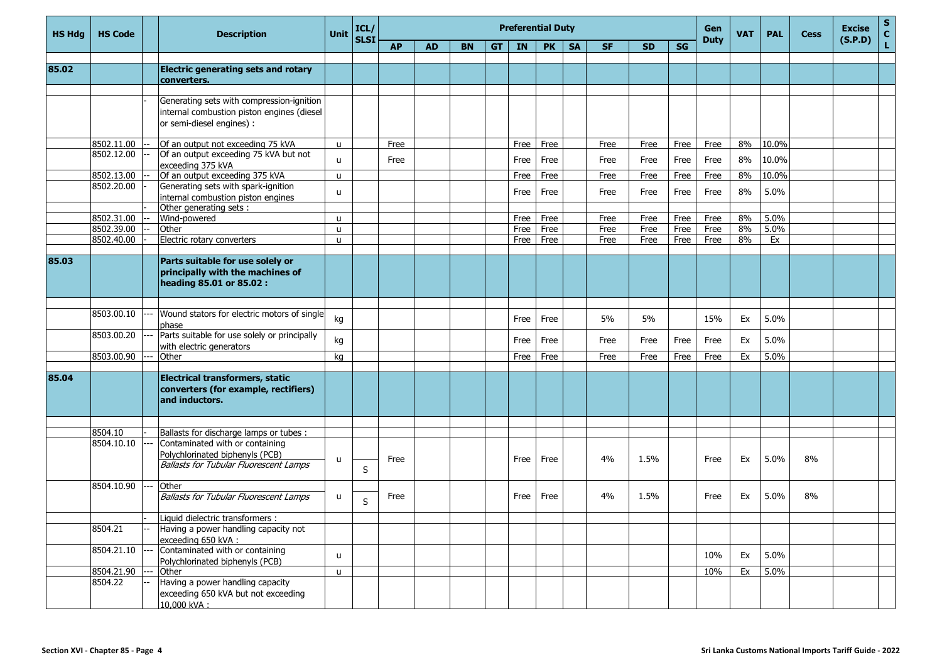| <b>HS Hdg</b> | <b>HS Code</b>        | <b>Description</b>                                                         | <b>Unit</b>  | ICL/<br>SLSI |           |           |           |     | <b>Preferential Duty</b> |           |           |           |           |      | Gen<br><b>Duty</b> | <b>VAT</b> | <b>PAL</b> | <b>Cess</b> | <b>Excise</b><br>(S.P.D) | $\mathbf{s}$<br>$\mathbf{c}$ |
|---------------|-----------------------|----------------------------------------------------------------------------|--------------|--------------|-----------|-----------|-----------|-----|--------------------------|-----------|-----------|-----------|-----------|------|--------------------|------------|------------|-------------|--------------------------|------------------------------|
|               |                       |                                                                            |              |              | <b>AP</b> | <b>AD</b> | <b>BN</b> | GT. | IN                       | <b>PK</b> | <b>SA</b> | <b>SF</b> | <b>SD</b> | SG   |                    |            |            |             |                          | L                            |
|               |                       |                                                                            |              |              |           |           |           |     |                          |           |           |           |           |      |                    |            |            |             |                          |                              |
| 85.02         |                       | <b>Electric generating sets and rotary</b>                                 |              |              |           |           |           |     |                          |           |           |           |           |      |                    |            |            |             |                          |                              |
|               |                       | converters.                                                                |              |              |           |           |           |     |                          |           |           |           |           |      |                    |            |            |             |                          |                              |
|               |                       | Generating sets with compression-ignition                                  |              |              |           |           |           |     |                          |           |           |           |           |      |                    |            |            |             |                          |                              |
|               |                       | internal combustion piston engines (diesel                                 |              |              |           |           |           |     |                          |           |           |           |           |      |                    |            |            |             |                          |                              |
|               |                       | or semi-diesel engines) :                                                  |              |              |           |           |           |     |                          |           |           |           |           |      |                    |            |            |             |                          |                              |
|               |                       |                                                                            |              |              |           |           |           |     |                          |           |           |           |           |      |                    |            |            |             |                          |                              |
|               | 8502.11.00            | Of an output not exceeding 75 kVA                                          | $\mathbf{u}$ |              | Free      |           |           |     | Free                     | Free      |           | Free      | Free      | Free | Free               | 8%         | 10.0%      |             |                          |                              |
|               | 8502.12.00            | Of an output exceeding 75 kVA but not                                      | u            |              | Free      |           |           |     | Free                     | Free      |           | Free      | Free      | Free | Free               | 8%         | 10.0%      |             |                          |                              |
|               |                       | exceeding 375 kVA                                                          |              |              |           |           |           |     |                          |           |           |           |           |      |                    |            |            |             |                          |                              |
|               | 8502.13.00            | Of an output exceeding 375 kVA                                             | $\mathbf{u}$ |              |           |           |           |     | Free                     | Free      |           | Free      | Free      | Free | Free               | 8%         | 10.0%      |             |                          |                              |
|               | 8502.20.00            | Generating sets with spark-ignition                                        | u            |              |           |           |           |     | Free                     | Free      |           | Free      | Free      | Free | Free               | 8%         | 5.0%       |             |                          |                              |
|               |                       | internal combustion piston engines<br>Other generating sets :              |              |              |           |           |           |     |                          |           |           |           |           |      |                    |            |            |             |                          |                              |
|               | 8502.31.00            | Wind-powered                                                               | u            |              |           |           |           |     | Free                     | Free      |           | Free      | Free      | Free | Free               | 8%         | 5.0%       |             |                          |                              |
|               | 8502.39.00            | Other                                                                      | $\mathbf{u}$ |              |           |           |           |     | Free                     | Free      |           | Free      | Free      | Free | Free               | 8%         | 5.0%       |             |                          |                              |
|               | 8502.40.00            | Electric rotary converters                                                 | $\mathbf{u}$ |              |           |           |           |     | Free                     | Free      |           | Free      | Free      | Free | Free               | 8%         | Ex         |             |                          |                              |
|               |                       |                                                                            |              |              |           |           |           |     |                          |           |           |           |           |      |                    |            |            |             |                          |                              |
| 85.03         |                       | Parts suitable for use solely or                                           |              |              |           |           |           |     |                          |           |           |           |           |      |                    |            |            |             |                          |                              |
|               |                       | principally with the machines of                                           |              |              |           |           |           |     |                          |           |           |           |           |      |                    |            |            |             |                          |                              |
|               |                       | heading 85.01 or 85.02 :                                                   |              |              |           |           |           |     |                          |           |           |           |           |      |                    |            |            |             |                          |                              |
|               |                       |                                                                            |              |              |           |           |           |     |                          |           |           |           |           |      |                    |            |            |             |                          |                              |
|               | 8503.00.10            | Wound stators for electric motors of single                                |              |              |           |           |           |     |                          |           |           |           |           |      |                    |            |            |             |                          |                              |
|               |                       | phase                                                                      | kg           |              |           |           |           |     | Free                     | Free      |           | 5%        | 5%        |      | 15%                | Ex         | 5.0%       |             |                          |                              |
|               | 8503.00.20            | Parts suitable for use solely or principally                               |              |              |           |           |           |     |                          |           |           |           |           |      |                    |            |            |             |                          |                              |
|               |                       | with electric generators                                                   | kg           |              |           |           |           |     | Free                     | Free      |           | Free      | Free      | Free | Free               | Ex         | 5.0%       |             |                          |                              |
|               | 8503.00.90            | Other                                                                      | kg           |              |           |           |           |     | Free                     | Free      |           | Free      | Free      | Free | Free               | Ex         | 5.0%       |             |                          |                              |
|               |                       |                                                                            |              |              |           |           |           |     |                          |           |           |           |           |      |                    |            |            |             |                          |                              |
| 85.04         |                       | <b>Electrical transformers, static</b>                                     |              |              |           |           |           |     |                          |           |           |           |           |      |                    |            |            |             |                          |                              |
|               |                       | converters (for example, rectifiers)                                       |              |              |           |           |           |     |                          |           |           |           |           |      |                    |            |            |             |                          |                              |
|               |                       | and inductors.                                                             |              |              |           |           |           |     |                          |           |           |           |           |      |                    |            |            |             |                          |                              |
|               |                       |                                                                            |              |              |           |           |           |     |                          |           |           |           |           |      |                    |            |            |             |                          |                              |
|               |                       |                                                                            |              |              |           |           |           |     |                          |           |           |           |           |      |                    |            |            |             |                          |                              |
|               | 8504.10<br>8504.10.10 | Ballasts for discharge lamps or tubes :<br>Contaminated with or containing |              |              |           |           |           |     |                          |           |           |           |           |      |                    |            |            |             |                          |                              |
|               |                       | Polychlorinated biphenyls (PCB)                                            |              |              |           |           |           |     |                          |           |           |           |           |      |                    |            |            |             |                          |                              |
|               |                       | <b>Ballasts for Tubular Fluorescent Lamps</b>                              | u            |              | Free      |           |           |     | Free                     | Free      |           | 4%        | 1.5%      |      | Free               | Ex         | 5.0%       | 8%          |                          |                              |
|               |                       |                                                                            |              | $\sf S$      |           |           |           |     |                          |           |           |           |           |      |                    |            |            |             |                          |                              |
|               | 8504.10.90            | Other                                                                      |              |              |           |           |           |     |                          |           |           |           |           |      |                    |            |            |             |                          |                              |
|               |                       | <b>Ballasts for Tubular Fluorescent Lamps</b>                              | u            | $\sf S$      | Free      |           |           |     | Free                     | Free      |           | 4%        | 1.5%      |      | Free               | Ex         | 5.0%       | 8%          |                          |                              |
|               |                       |                                                                            |              |              |           |           |           |     |                          |           |           |           |           |      |                    |            |            |             |                          |                              |
|               |                       | Liquid dielectric transformers :                                           |              |              |           |           |           |     |                          |           |           |           |           |      |                    |            |            |             |                          |                              |
|               | 8504.21               | Having a power handling capacity not                                       |              |              |           |           |           |     |                          |           |           |           |           |      |                    |            |            |             |                          |                              |
|               |                       | exceeding 650 kVA:                                                         |              |              |           |           |           |     |                          |           |           |           |           |      |                    |            |            |             |                          |                              |
|               | 8504.21.10            | Contaminated with or containing                                            | u            |              |           |           |           |     |                          |           |           |           |           |      | 10%                | Ex         | 5.0%       |             |                          |                              |
|               | 8504.21.90            | Polychlorinated biphenyls (PCB)<br>Other                                   | $\mathsf{u}$ |              |           |           |           |     |                          |           |           |           |           |      | 10%                | Ex         | 5.0%       |             |                          |                              |
|               | 8504.22               | Having a power handling capacity                                           |              |              |           |           |           |     |                          |           |           |           |           |      |                    |            |            |             |                          |                              |
|               |                       | exceeding 650 kVA but not exceeding                                        |              |              |           |           |           |     |                          |           |           |           |           |      |                    |            |            |             |                          |                              |
|               |                       | 10,000 kVA:                                                                |              |              |           |           |           |     |                          |           |           |           |           |      |                    |            |            |             |                          |                              |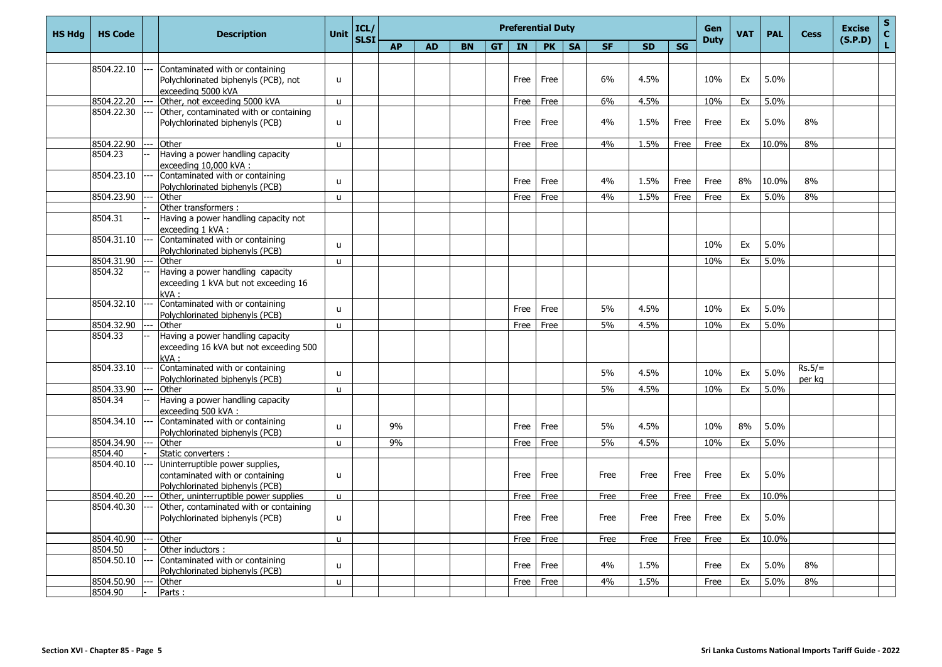| <b>HS Hdg</b> | <b>HS Code</b>        | <b>Description</b>                                                        | <b>Unit</b>  | ICL/<br><b>SLSI</b> |           |           |           |           |      | <b>Preferential Duty</b> |           |           |           |           | Gen<br><b>Duty</b> | <b>VAT</b> | <b>PAL</b> | <b>Cess</b> | <b>Excise</b><br>(S.P.D) | $S_{C}$ |
|---------------|-----------------------|---------------------------------------------------------------------------|--------------|---------------------|-----------|-----------|-----------|-----------|------|--------------------------|-----------|-----------|-----------|-----------|--------------------|------------|------------|-------------|--------------------------|---------|
|               |                       |                                                                           |              |                     | <b>AP</b> | <b>AD</b> | <b>BN</b> | <b>GT</b> | IN   | <b>PK</b>                | <b>SA</b> | <b>SF</b> | <b>SD</b> | <b>SG</b> |                    |            |            |             |                          | Ĺ.      |
|               |                       |                                                                           |              |                     |           |           |           |           |      |                          |           |           |           |           |                    |            |            |             |                          |         |
|               | 8504.22.10            | Contaminated with or containing                                           | $\mathbf{u}$ |                     |           |           |           |           | Free | Free                     |           | 6%        | 4.5%      |           | 10%                | Ex         | 5.0%       |             |                          |         |
|               |                       | Polychlorinated biphenyls (PCB), not<br>exceeding 5000 kVA                |              |                     |           |           |           |           |      |                          |           |           |           |           |                    |            |            |             |                          |         |
|               | 8504.22.20            | Other, not exceeding 5000 kVA                                             | $\mathbf{u}$ |                     |           |           |           |           | Free | Free                     |           | 6%        | 4.5%      |           | 10%                | Ex         | 5.0%       |             |                          |         |
|               | 8504.22.30            | Other, contaminated with or containing                                    |              |                     |           |           |           |           |      |                          |           |           |           |           |                    |            |            |             |                          |         |
|               |                       | Polychlorinated biphenyls (PCB)                                           | $\mathbf{u}$ |                     |           |           |           |           | Free | Free                     |           | 4%        | 1.5%      | Free      | Free               | Ex         | 5.0%       | 8%          |                          |         |
|               |                       |                                                                           |              |                     |           |           |           |           |      |                          |           |           |           |           |                    |            |            |             |                          |         |
|               | 8504.22.90<br>8504.23 | Other<br>Having a power handling capacity                                 | $\mathbf{u}$ |                     |           |           |           |           | Free | Free                     |           | 4%        | 1.5%      | Free      | Free               | Ex         | 10.0%      | 8%          |                          |         |
|               |                       | exceeding 10,000 kVA :                                                    |              |                     |           |           |           |           |      |                          |           |           |           |           |                    |            |            |             |                          |         |
|               | 8504.23.10            | Contaminated with or containing                                           |              |                     |           |           |           |           |      |                          |           |           |           |           |                    |            |            |             |                          |         |
|               |                       | Polychlorinated biphenyls (PCB)                                           | u            |                     |           |           |           |           | Free | Free                     |           | 4%        | 1.5%      | Free      | Free               | 8%         | 10.0%      | 8%          |                          |         |
|               | 8504.23.90            | Other                                                                     | $\mathbf{u}$ |                     |           |           |           |           | Free | Free                     |           | 4%        | 1.5%      | Free      | Free               | Ex         | 5.0%       | 8%          |                          |         |
|               |                       | Other transformers:<br>Having a power handling capacity not               |              |                     |           |           |           |           |      |                          |           |           |           |           |                    |            |            |             |                          |         |
|               | 8504.31               | exceeding 1 kVA:                                                          |              |                     |           |           |           |           |      |                          |           |           |           |           |                    |            |            |             |                          |         |
|               | 8504.31.10            | Contaminated with or containing<br>Polychlorinated biphenyls (PCB)        | $\mathbf{u}$ |                     |           |           |           |           |      |                          |           |           |           |           | 10%                | Ex         | 5.0%       |             |                          |         |
|               | 8504.31.90            | Other                                                                     | $\mathbf{u}$ |                     |           |           |           |           |      |                          |           |           |           |           | 10%                | Ex         | 5.0%       |             |                          |         |
|               | 8504.32               | Having a power handling capacity                                          |              |                     |           |           |           |           |      |                          |           |           |           |           |                    |            |            |             |                          |         |
|               |                       | exceeding 1 kVA but not exceeding 16                                      |              |                     |           |           |           |           |      |                          |           |           |           |           |                    |            |            |             |                          |         |
|               |                       | kVA:                                                                      |              |                     |           |           |           |           |      |                          |           |           |           |           |                    |            |            |             |                          |         |
|               | 8504.32.10            | Contaminated with or containing                                           | $\mathsf{u}$ |                     |           |           |           |           | Free | Free                     |           | 5%        | 4.5%      |           | 10%                | Ex         | 5.0%       |             |                          |         |
|               | 8504.32.90            | Polychlorinated biphenyls (PCB)<br>Other                                  | $\mathbf{u}$ |                     |           |           |           |           | Free | Free                     |           | 5%        | 4.5%      |           | 10%                | Ex         | 5.0%       |             |                          |         |
|               | 8504.33               | Having a power handling capacity                                          |              |                     |           |           |           |           |      |                          |           |           |           |           |                    |            |            |             |                          |         |
|               |                       | exceeding 16 kVA but not exceeding 500<br>kVA:                            |              |                     |           |           |           |           |      |                          |           |           |           |           |                    |            |            |             |                          |         |
|               | 8504.33.10            | Contaminated with or containing                                           |              |                     |           |           |           |           |      |                          |           |           |           |           |                    |            |            | $Rs.5/=$    |                          |         |
|               |                       | Polychlorinated biphenyls (PCB)                                           | $\mathbf{u}$ |                     |           |           |           |           |      |                          |           | 5%        | 4.5%      |           | 10%                | Ex         | 5.0%       | per kg      |                          |         |
|               | 8504.33.90            | Other                                                                     | $\mathsf{u}$ |                     |           |           |           |           |      |                          |           | 5%        | 4.5%      |           | 10%                | Ex         | 5.0%       |             |                          |         |
|               | 8504.34               | Having a power handling capacity<br>exceeding 500 kVA:                    |              |                     |           |           |           |           |      |                          |           |           |           |           |                    |            |            |             |                          |         |
|               | 8504.34.10            | Contaminated with or containing<br>Polychlorinated biphenyls (PCB)        | u            |                     | 9%        |           |           |           | Free | Free                     |           | 5%        | 4.5%      |           | 10%                | 8%         | 5.0%       |             |                          |         |
|               | 8504.34.90            | Other                                                                     | u            |                     | 9%        |           |           |           | Free | Free                     |           | 5%        | 4.5%      |           | 10%                | Ex         | 5.0%       |             |                          |         |
|               | 8504.40               | Static converters:                                                        |              |                     |           |           |           |           |      |                          |           |           |           |           |                    |            |            |             |                          |         |
|               | 8504.40.10            | Uninterruptible power supplies,                                           |              |                     |           |           |           |           |      |                          |           |           |           |           |                    |            |            |             |                          |         |
|               |                       | contaminated with or containing                                           | u            |                     |           |           |           |           | Free | Free                     |           | Free      | Free      | Free      | Free               | Ex         | 5.0%       |             |                          |         |
|               |                       | Polychlorinated biphenyls (PCB)                                           |              |                     |           |           |           |           |      |                          |           |           |           |           |                    |            |            |             |                          |         |
|               | 8504.40.20            | Other, uninterruptible power supplies                                     | $\mathsf{u}$ |                     |           |           |           |           | Free | Free                     |           | Free      | Free      | Free      | Free               | Ex         | 10.0%      |             |                          |         |
|               | 8504.40.30            | Other, contaminated with or containing<br>Polychlorinated biphenyls (PCB) | u            |                     |           |           |           |           | Free | Free                     |           | Free      | Free      | Free      | Free               | Ex         | 5.0%       |             |                          |         |
|               |                       |                                                                           |              |                     |           |           |           |           |      |                          |           |           |           |           |                    |            |            |             |                          |         |
|               | 8504.40.90            | Other                                                                     | $\mathsf{u}$ |                     |           |           |           |           | Free | Free                     |           | Free      | Free      | Free      | Free               | Ex         | 10.0%      |             |                          |         |
|               | 8504.50               | Other inductors:                                                          |              |                     |           |           |           |           |      |                          |           |           |           |           |                    |            |            |             |                          |         |
|               | 8504.50.10            | Contaminated with or containing<br>Polychlorinated biphenyls (PCB)        | u            |                     |           |           |           |           | Free | Free                     |           | 4%        | 1.5%      |           | Free               | Ex         | 5.0%       | 8%          |                          |         |
|               | 8504.50.90            | Other                                                                     | $\mathbf{u}$ |                     |           |           |           |           | Free | Free                     |           | 4%        | 1.5%      |           | Free               | Ex         | 5.0%       | 8%          |                          |         |
|               | 8504.90               | Parts:                                                                    |              |                     |           |           |           |           |      |                          |           |           |           |           |                    |            |            |             |                          |         |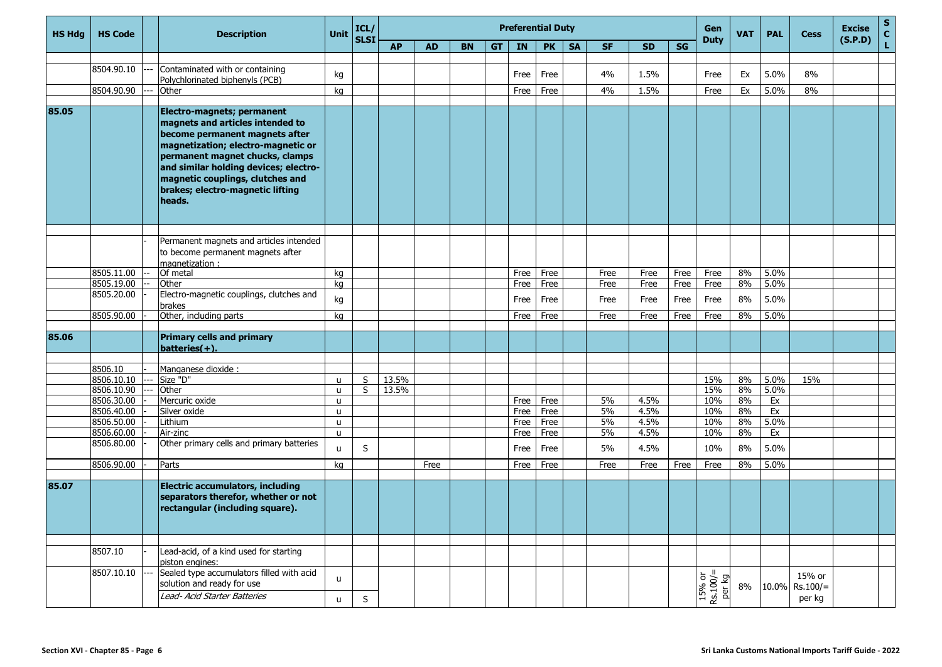| <b>HS Hdg</b> | <b>HS Code</b>           | <b>Description</b>                                                                                                                                                                                                                                                                                   | Unit                         | ICL/<br><b>SLSI</b> | <b>Preferential Duty</b> |           |           |     |              |              |           |           |              |           |                                 | <b>VAT</b> | <b>PAL</b> | <b>Cess</b>                     | <b>Excise</b><br>(S.P.D) | $\frac{s}{c}$ |
|---------------|--------------------------|------------------------------------------------------------------------------------------------------------------------------------------------------------------------------------------------------------------------------------------------------------------------------------------------------|------------------------------|---------------------|--------------------------|-----------|-----------|-----|--------------|--------------|-----------|-----------|--------------|-----------|---------------------------------|------------|------------|---------------------------------|--------------------------|---------------|
|               |                          |                                                                                                                                                                                                                                                                                                      |                              |                     | <b>AP</b>                | <b>AD</b> | <b>BN</b> | GT. | IN           | <b>PK</b>    | <b>SA</b> | <b>SF</b> | <b>SD</b>    | <b>SG</b> | <b>Duty</b>                     |            |            |                                 |                          | Ĺ,            |
|               |                          |                                                                                                                                                                                                                                                                                                      |                              |                     |                          |           |           |     |              |              |           |           |              |           |                                 |            |            |                                 |                          |               |
|               | 8504.90.10               | Contaminated with or containing<br>Polychlorinated biphenyls (PCB)                                                                                                                                                                                                                                   | kg                           |                     |                          |           |           |     | Free         | Free         |           | 4%        | 1.5%         |           | Free                            | Ex         | 5.0%       | 8%                              |                          |               |
|               | 8504.90.90               | Other                                                                                                                                                                                                                                                                                                | kg                           |                     |                          |           |           |     | Free         | Free         |           | 4%        | 1.5%         |           | Free                            | Ex         | 5.0%       | 8%                              |                          |               |
|               |                          |                                                                                                                                                                                                                                                                                                      |                              |                     |                          |           |           |     |              |              |           |           |              |           |                                 |            |            |                                 |                          |               |
| 85.05         |                          | Electro-magnets; permanent<br>magnets and articles intended to<br>become permanent magnets after<br>magnetization; electro-magnetic or<br>permanent magnet chucks, clamps<br>and similar holding devices; electro-<br>magnetic couplings, clutches and<br>brakes; electro-magnetic lifting<br>heads. |                              |                     |                          |           |           |     |              |              |           |           |              |           |                                 |            |            |                                 |                          |               |
|               |                          |                                                                                                                                                                                                                                                                                                      |                              |                     |                          |           |           |     |              |              |           |           |              |           |                                 |            |            |                                 |                          |               |
|               |                          | Permanent magnets and articles intended<br>to become permanent magnets after<br>magnetization:                                                                                                                                                                                                       |                              |                     |                          |           |           |     |              |              |           |           |              |           |                                 |            |            |                                 |                          |               |
|               | 8505.11.00               | Of metal                                                                                                                                                                                                                                                                                             | kg                           |                     |                          |           |           |     | Free         | Free         |           | Free      | Free         | Free      | Free                            | 8%         | 5.0%       |                                 |                          |               |
|               | 8505.19.00               | Other                                                                                                                                                                                                                                                                                                | ka                           |                     |                          |           |           |     | Free         | Free         |           | Free      | Free         | Free      | Free                            | 8%         | 5.0%       |                                 |                          |               |
|               | 8505.20.00               | Electro-magnetic couplings, clutches and<br>brakes                                                                                                                                                                                                                                                   | kg                           |                     |                          |           |           |     | Free         | Free         |           | Free      | Free         | Free      | Free                            | 8%         | 5.0%       |                                 |                          |               |
|               | 8505.90.00               | Other, including parts                                                                                                                                                                                                                                                                               | kg                           |                     |                          |           |           |     | Free         | Free         |           | Free      | Free         | Free      | Free                            | 8%         | 5.0%       |                                 |                          |               |
| 85.06         |                          | <b>Primary cells and primary</b><br>$batteries(+).$                                                                                                                                                                                                                                                  |                              |                     |                          |           |           |     |              |              |           |           |              |           |                                 |            |            |                                 |                          |               |
|               |                          |                                                                                                                                                                                                                                                                                                      |                              |                     |                          |           |           |     |              |              |           |           |              |           |                                 |            |            |                                 |                          |               |
|               | 8506.10                  | Manganese dioxide :                                                                                                                                                                                                                                                                                  |                              |                     |                          |           |           |     |              |              |           |           |              |           |                                 |            |            |                                 |                          |               |
|               | 8506.10.10               | Size "D"                                                                                                                                                                                                                                                                                             | u                            | S                   | 13.5%                    |           |           |     |              |              |           |           |              |           | 15%                             | 8%         | 5.0%       | 15%                             |                          |               |
|               | 8506.10.90               | Other                                                                                                                                                                                                                                                                                                | u                            | S                   | 13.5%                    |           |           |     |              |              |           |           |              |           | 15%                             | 8%         | 5.0%       |                                 |                          |               |
|               | 8506.30.00<br>8506.40.00 | Mercuric oxide<br>Silver oxide                                                                                                                                                                                                                                                                       | $\mathsf{u}$<br>$\mathbf{u}$ |                     |                          |           |           |     | Free<br>Free | Free<br>Free |           | 5%<br>5%  | 4.5%<br>4.5% |           | 10%<br>10%                      | 8%<br>8%   | Ex<br>Ex   |                                 |                          |               |
|               | 8506.50.00               | Lithium                                                                                                                                                                                                                                                                                              | u                            |                     |                          |           |           |     | Free         | Free         |           | 5%        | 4.5%         |           | 10%                             | 8%         | 5.0%       |                                 |                          |               |
|               | 8506.60.00               | Air-zinc                                                                                                                                                                                                                                                                                             | $\mathsf{u}$                 |                     |                          |           |           |     | Free         | Free         |           | 5%        | 4.5%         |           | 10%                             | 8%         | Ex         |                                 |                          |               |
|               | 8506.80.00               | Other primary cells and primary batteries                                                                                                                                                                                                                                                            | $\mathbf{U}$                 | S                   |                          |           |           |     | Free         | Free         |           | 5%        | 4.5%         |           | 10%                             | 8%         | 5.0%       |                                 |                          |               |
|               | 8506.90.00               | Parts                                                                                                                                                                                                                                                                                                | ka                           |                     |                          | Free      |           |     | Free         | Free         |           | Free      | Free         | Free      | Free                            | 8%         | 5.0%       |                                 |                          |               |
|               |                          |                                                                                                                                                                                                                                                                                                      |                              |                     |                          |           |           |     |              |              |           |           |              |           |                                 |            |            |                                 |                          |               |
| 85.07         |                          | <b>Electric accumulators, including</b><br>separators therefor, whether or not<br>rectangular (including square).                                                                                                                                                                                    |                              |                     |                          |           |           |     |              |              |           |           |              |           |                                 |            |            |                                 |                          |               |
|               | 8507.10                  | Lead-acid, of a kind used for starting                                                                                                                                                                                                                                                               |                              |                     |                          |           |           |     |              |              |           |           |              |           |                                 |            |            |                                 |                          |               |
|               |                          | piston engines:                                                                                                                                                                                                                                                                                      |                              |                     |                          |           |           |     |              |              |           |           |              |           |                                 |            |            |                                 |                          |               |
|               | 8507.10.10               | Sealed type accumulators filled with acid<br>solution and ready for use                                                                                                                                                                                                                              | u                            |                     |                          |           |           |     |              |              |           |           |              |           | $15\%$ or<br>Rs.100/=<br>per kg | $8\%$      |            | 15% or<br>$10.0\%$ Rs. $100/$ = |                          |               |
|               |                          | Lead- Acid Starter Batteries                                                                                                                                                                                                                                                                         | u                            | $\sf S$             |                          |           |           |     |              |              |           |           |              |           |                                 |            |            | per kg                          |                          |               |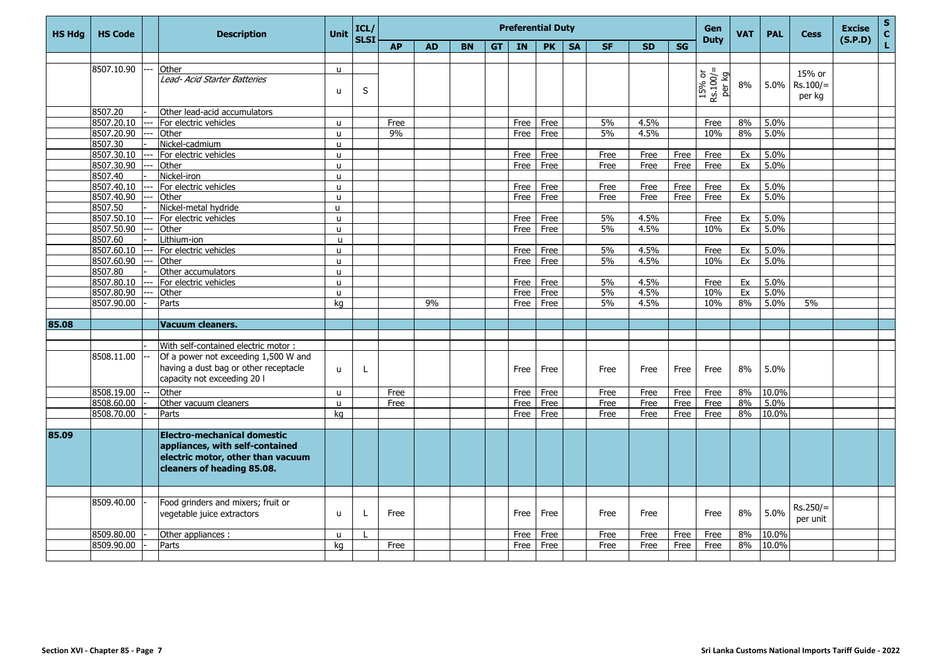| <b>HS Hdg</b> | <b>HS Code</b> | <b>Description</b>                                                                                                                | <b>Unit</b>  | ICL/<br><b>SLSI</b> |           |           |           |           |           | <b>Preferential Duty</b> |           | Gen<br><b>Duty</b> | <b>VAT</b> | <b>PAL</b> | <b>Cess</b>                            | <b>Excise</b><br>(S.P.D) | S<br>$\mathbf{C}$ |                        |  |   |
|---------------|----------------|-----------------------------------------------------------------------------------------------------------------------------------|--------------|---------------------|-----------|-----------|-----------|-----------|-----------|--------------------------|-----------|--------------------|------------|------------|----------------------------------------|--------------------------|-------------------|------------------------|--|---|
|               |                |                                                                                                                                   |              |                     | <b>AP</b> | <b>AD</b> | <b>BN</b> | <b>GT</b> | <b>IN</b> | <b>PK</b>                | <b>SA</b> | <b>SF</b>          | <b>SD</b>  | <b>SG</b>  |                                        |                          |                   |                        |  | L |
|               |                |                                                                                                                                   |              |                     |           |           |           |           |           |                          |           |                    |            |            |                                        |                          |                   |                        |  |   |
|               | 8507.10.90     | Other                                                                                                                             | $\mathsf{u}$ |                     |           |           |           |           |           |                          |           |                    |            |            |                                        |                          |                   | 15% or                 |  |   |
|               |                | Lead- Acid Starter Batteries                                                                                                      | u            | S                   |           |           |           |           |           |                          |           |                    |            |            | $15% \text{ or}$<br>Rs.100/=<br>per kg | 8%                       | 5.0%              | $Rs.100/=$<br>per kg   |  |   |
|               | 8507.20        | Other lead-acid accumulators                                                                                                      |              |                     |           |           |           |           |           |                          |           |                    |            |            |                                        |                          |                   |                        |  |   |
|               | 8507.20.10     | For electric vehicles                                                                                                             | $\mathsf{u}$ |                     | Free      |           |           |           | Free      | Free                     |           | 5%                 | 4.5%       |            | Free                                   | 8%                       | 5.0%              |                        |  |   |
|               | 8507.20.90     | Other                                                                                                                             | $\mathbf{u}$ |                     | 9%        |           |           |           | Free      | Free                     |           | 5%                 | 4.5%       |            | 10%                                    | 8%                       | 5.0%              |                        |  |   |
|               | 8507.30        | Nickel-cadmium                                                                                                                    | <b>u</b>     |                     |           |           |           |           |           |                          |           |                    |            |            |                                        |                          |                   |                        |  |   |
|               | 8507.30.10     | For electric vehicles                                                                                                             | u.           |                     |           |           |           |           | Free      | Free                     |           | Free               | Free       | Free       | Free                                   | Ex                       | 5.0%              |                        |  |   |
|               | 8507.30.90     | Other                                                                                                                             | $\mathbf{u}$ |                     |           |           |           |           | Free      | Free                     |           | Free               | Free       | Free       | Free                                   | Ex                       | 5.0%              |                        |  |   |
|               | 8507.40        | Nickel-iron                                                                                                                       | <b>u</b>     |                     |           |           |           |           |           |                          |           |                    |            |            |                                        |                          |                   |                        |  |   |
|               | 8507.40.10     | For electric vehicles                                                                                                             | $\mathbf{u}$ |                     |           |           |           |           | Free      | Free                     |           | Free               | Free       | Free       | Free                                   | Ex                       | 5.0%              |                        |  |   |
|               | 8507.40.90     | Other                                                                                                                             | $\mathbf{u}$ |                     |           |           |           |           | Free      | Free                     |           | Free               | Free       | Free       | Free                                   | Ex                       | 5.0%              |                        |  |   |
|               | 8507.50        | Nickel-metal hydride                                                                                                              | $\mathbf{u}$ |                     |           |           |           |           |           |                          |           |                    |            |            |                                        |                          |                   |                        |  |   |
|               | 8507.50.10     | For electric vehicles                                                                                                             | $\mathbf{u}$ |                     |           |           |           |           | Free      | Free                     |           | 5%                 | 4.5%       |            | Free                                   | Ex                       | 5.0%              |                        |  |   |
|               | 8507.50.90     | Other                                                                                                                             | $\mathsf{u}$ |                     |           |           |           |           | Free      | Free                     |           | 5%                 | 4.5%       |            | 10%                                    | Ex                       | 5.0%              |                        |  |   |
|               | 8507.60        | Lithium-ion                                                                                                                       | $\mathbf{u}$ |                     |           |           |           |           |           |                          |           |                    |            |            |                                        |                          |                   |                        |  |   |
|               | 8507.60.10     | For electric vehicles                                                                                                             | u            |                     |           |           |           |           | Free      | Free                     |           | 5%                 | 4.5%       |            | Free                                   | Ex                       | 5.0%              |                        |  |   |
|               | 8507.60.90     | Other                                                                                                                             | $\mathbf{u}$ |                     |           |           |           |           | Free      | Free                     |           | 5%                 | 4.5%       |            | 10%                                    | Ex                       | 5.0%              |                        |  |   |
|               | 8507.80        | Other accumulators                                                                                                                | $\mathbf{u}$ |                     |           |           |           |           |           |                          |           |                    |            |            |                                        |                          |                   |                        |  |   |
|               | 8507.80.10     | For electric vehicles                                                                                                             | u.           |                     |           |           |           |           | Free      | Free                     |           | 5%                 | 4.5%       |            | Free                                   | Ex                       | 5.0%              |                        |  |   |
|               | 8507.80.90     | Other                                                                                                                             | u            |                     |           |           |           |           | Free      | Free                     |           | 5%                 | 4.5%       |            | 10%                                    | Ex                       | 5.0%              |                        |  |   |
|               | 8507.90.00     | Parts                                                                                                                             | ka           |                     |           | 9%        |           |           | Free      | Free                     |           | 5%                 | 4.5%       |            | 10%                                    | 8%                       | 5.0%              | 5%                     |  |   |
|               |                |                                                                                                                                   |              |                     |           |           |           |           |           |                          |           |                    |            |            |                                        |                          |                   |                        |  |   |
| 85.08         |                | Vacuum cleaners.                                                                                                                  |              |                     |           |           |           |           |           |                          |           |                    |            |            |                                        |                          |                   |                        |  |   |
|               |                |                                                                                                                                   |              |                     |           |           |           |           |           |                          |           |                    |            |            |                                        |                          |                   |                        |  |   |
|               |                | With self-contained electric motor :                                                                                              |              |                     |           |           |           |           |           |                          |           |                    |            |            |                                        |                          |                   |                        |  |   |
|               | 8508.11.00     | Of a power not exceeding 1,500 W and                                                                                              |              |                     |           |           |           |           |           |                          |           |                    |            |            |                                        |                          |                   |                        |  |   |
|               |                | having a dust bag or other receptacle                                                                                             | $\mathbf{u}$ | L                   |           |           |           |           | Free      | Free                     |           | Free               | Free       | Free       | Free                                   | 8%                       | 5.0%              |                        |  |   |
|               |                | capacity not exceeding 20 I                                                                                                       |              |                     |           |           |           |           |           |                          |           |                    |            |            |                                        |                          |                   |                        |  |   |
|               | 8508.19.00     | Other                                                                                                                             | $\mathbf{u}$ |                     | Free      |           |           |           | Free      | Free                     |           | Free               | Free       | Free       | Free                                   | 8%                       | 10.0%             |                        |  |   |
|               | 8508.60.00     | Other vacuum cleaners                                                                                                             | $\mathsf{u}$ |                     | Free      |           |           |           | Free      | Free                     |           | Free               | Free       | Free       | Free                                   | 8%                       | 5.0%              |                        |  |   |
|               | 8508.70.00     | Parts                                                                                                                             | ka           |                     |           |           |           |           | Free      | Free                     |           | Free               | Free       | Free       | Free                                   | 8%                       | 10.0%             |                        |  |   |
|               |                |                                                                                                                                   |              |                     |           |           |           |           |           |                          |           |                    |            |            |                                        |                          |                   |                        |  |   |
| 85.09         |                | Electro-mechanical domestic<br>appliances, with self-contained<br>electric motor, other than vacuum<br>cleaners of heading 85.08. |              |                     |           |           |           |           |           |                          |           |                    |            |            |                                        |                          |                   |                        |  |   |
|               |                |                                                                                                                                   |              |                     |           |           |           |           |           |                          |           |                    |            |            |                                        |                          |                   |                        |  |   |
|               | 8509.40.00     | Food grinders and mixers; fruit or<br>vegetable juice extractors                                                                  | $\mathbf{u}$ | L                   | Free      |           |           |           | Free      | Free                     |           | Free               | Free       |            | Free                                   | 8%                       | 5.0%              | $Rs.250/=$<br>per unit |  |   |
|               | 8509.80.00     | Other appliances :                                                                                                                | $\mathsf{u}$ |                     |           |           |           |           | Free      | Free                     |           | Free               | Free       | Free       | Free                                   | 8%                       | 10.0%             |                        |  |   |
|               | 8509.90.00     | Parts                                                                                                                             | ka           |                     | Free      |           |           |           | Free      | Free                     |           | Free               | Free       | Free       | Free                                   | 8%                       | 10.0%             |                        |  |   |
|               |                |                                                                                                                                   |              |                     |           |           |           |           |           |                          |           |                    |            |            |                                        |                          |                   |                        |  |   |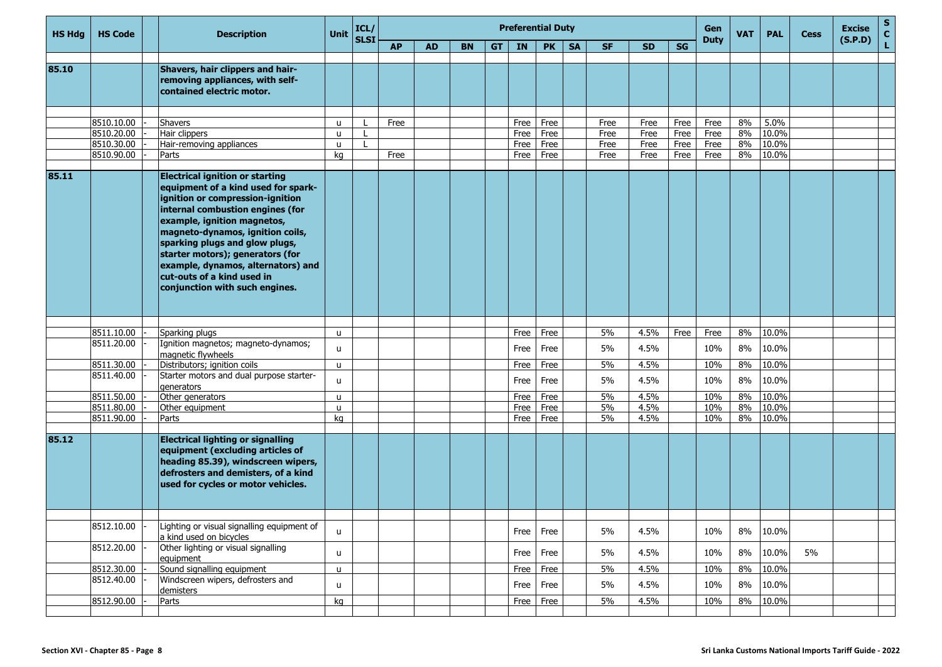| <b>HS Hdg</b> | <b>HS Code</b>           | <b>Description</b>                                                                                                                                                                                                                                                                                                                                                                                   | <b>Unit</b>       | ICL/<br><b>SLSI</b> |           |           |           |    |              | <b>Preferential Duty</b> |           |              |              |              | Gen<br><b>Duty</b> | <b>VAT</b> | <b>PAL</b>     | <b>Cess</b> | <b>Excise</b> | S<br>$\mathbf c$ |
|---------------|--------------------------|------------------------------------------------------------------------------------------------------------------------------------------------------------------------------------------------------------------------------------------------------------------------------------------------------------------------------------------------------------------------------------------------------|-------------------|---------------------|-----------|-----------|-----------|----|--------------|--------------------------|-----------|--------------|--------------|--------------|--------------------|------------|----------------|-------------|---------------|------------------|
|               |                          |                                                                                                                                                                                                                                                                                                                                                                                                      |                   |                     | <b>AP</b> | <b>AD</b> | <b>BN</b> | GT | IN           | <b>PK</b>                | <b>SA</b> | <b>SF</b>    | <b>SD</b>    | SG           |                    |            |                |             | (S.P.D)       | L                |
|               |                          |                                                                                                                                                                                                                                                                                                                                                                                                      |                   |                     |           |           |           |    |              |                          |           |              |              |              |                    |            |                |             |               |                  |
| 85.10         |                          | Shavers, hair clippers and hair-<br>removing appliances, with self-<br>contained electric motor.                                                                                                                                                                                                                                                                                                     |                   |                     |           |           |           |    |              |                          |           |              |              |              |                    |            |                |             |               |                  |
|               |                          |                                                                                                                                                                                                                                                                                                                                                                                                      |                   |                     |           |           |           |    |              |                          |           |              |              |              |                    |            |                |             |               |                  |
|               | 8510.10.00               | <b>Shavers</b>                                                                                                                                                                                                                                                                                                                                                                                       | u                 |                     | Free      |           |           |    | Free         | Free                     |           | Free         | Free         | Free         | Free               | 8%         | 5.0%           |             |               |                  |
|               | 8510.20.00<br>8510.30.00 | Hair clippers<br>Hair-removing appliances                                                                                                                                                                                                                                                                                                                                                            | $\mathbf{u}$<br>u | $\mathbf{L}$        |           |           |           |    | Free<br>Free | Free<br>Free             |           | Free<br>Free | Free<br>Free | Free<br>Free | Free<br>Free       | 8%<br>8%   | 10.0%<br>10.0% |             |               |                  |
|               | 8510.90.00               | Parts                                                                                                                                                                                                                                                                                                                                                                                                | kq                |                     | Free      |           |           |    | Free         | Free                     |           | Free         | Free         | Free         | Free               | 8%         | 10.0%          |             |               |                  |
|               |                          |                                                                                                                                                                                                                                                                                                                                                                                                      |                   |                     |           |           |           |    |              |                          |           |              |              |              |                    |            |                |             |               |                  |
| 85.11         |                          | <b>Electrical ignition or starting</b><br>equipment of a kind used for spark-<br>ignition or compression-ignition<br>internal combustion engines (for<br>example, ignition magnetos,<br>magneto-dynamos, ignition coils,<br>sparking plugs and glow plugs,<br>starter motors); generators (for<br>example, dynamos, alternators) and<br>cut-outs of a kind used in<br>conjunction with such engines. |                   |                     |           |           |           |    |              |                          |           |              |              |              |                    |            |                |             |               |                  |
|               |                          |                                                                                                                                                                                                                                                                                                                                                                                                      |                   |                     |           |           |           |    |              |                          |           |              |              |              |                    |            |                |             |               |                  |
|               | 8511.10.00               | Sparking plugs                                                                                                                                                                                                                                                                                                                                                                                       | $\mathbf{u}$      |                     |           |           |           |    | Free         | Free                     |           | 5%           | 4.5%         | Free         | Free               | 8%         | 10.0%          |             |               |                  |
|               | 8511.20.00               | Ignition magnetos; magneto-dynamos;<br>magnetic flywheels                                                                                                                                                                                                                                                                                                                                            | $\mathsf{u}$      |                     |           |           |           |    | Free         | Free                     |           | 5%           | 4.5%         |              | 10%                | 8%         | 10.0%          |             |               |                  |
|               | 8511.30.00               | Distributors; ignition coils                                                                                                                                                                                                                                                                                                                                                                         | $\mathsf{u}$      |                     |           |           |           |    | Free         | Free                     |           | 5%           | 4.5%         |              | 10%                | 8%         | 10.0%          |             |               |                  |
|               | 8511.40.00               | Starter motors and dual purpose starter-<br>generators                                                                                                                                                                                                                                                                                                                                               | u                 |                     |           |           |           |    | Free         | Free                     |           | 5%           | 4.5%         |              | 10%                | 8%         | 10.0%          |             |               |                  |
|               | 8511.50.00               | Other generators                                                                                                                                                                                                                                                                                                                                                                                     | u                 |                     |           |           |           |    | Free         | Free                     |           | 5%           | 4.5%         |              | 10%                | 8%         | 10.0%          |             |               |                  |
|               | 8511.80.00               | Other equipment                                                                                                                                                                                                                                                                                                                                                                                      | u                 |                     |           |           |           |    | Free         | Free                     |           | 5%           | 4.5%         |              | 10%                | 8%         | 10.0%          |             |               |                  |
|               | 8511.90.00               | Parts                                                                                                                                                                                                                                                                                                                                                                                                | ka                |                     |           |           |           |    | Free         | Free                     |           | 5%           | 4.5%         |              | 10%                | 8%         | 10.0%          |             |               |                  |
| 85.12         |                          | <b>Electrical lighting or signalling</b><br>equipment (excluding articles of<br>heading 85.39), windscreen wipers,<br>defrosters and demisters, of a kind<br>used for cycles or motor vehicles.                                                                                                                                                                                                      |                   |                     |           |           |           |    |              |                          |           |              |              |              |                    |            |                |             |               |                  |
|               |                          |                                                                                                                                                                                                                                                                                                                                                                                                      |                   |                     |           |           |           |    |              |                          |           |              |              |              |                    |            |                |             |               |                  |
|               | 8512.10.00               | Lighting or visual signalling equipment of<br>a kind used on bicycles                                                                                                                                                                                                                                                                                                                                | u                 |                     |           |           |           |    | Free         | Free                     |           | 5%           | 4.5%         |              | 10%                | $8\%$      | 10.0%          |             |               |                  |
|               | 8512.20.00               | Other lighting or visual signalling<br>equipment                                                                                                                                                                                                                                                                                                                                                     | u                 |                     |           |           |           |    | Free         | Free                     |           | 5%           | 4.5%         |              | 10%                | $8\%$      | 10.0%          | 5%          |               |                  |
|               | 8512.30.00               | Sound signalling equipment                                                                                                                                                                                                                                                                                                                                                                           | u                 |                     |           |           |           |    | Free         | Free                     |           | 5%           | 4.5%         |              | 10%                | 8%         | 10.0%          |             |               |                  |
|               | 8512.40.00               | Windscreen wipers, defrosters and<br>demisters                                                                                                                                                                                                                                                                                                                                                       | u                 |                     |           |           |           |    | Free         | Free                     |           | 5%           | 4.5%         |              | 10%                | $8\%$      | 10.0%          |             |               |                  |
|               | 8512.90.00               | Parts                                                                                                                                                                                                                                                                                                                                                                                                | kg                |                     |           |           |           |    | Free         | Free                     |           | 5%           | 4.5%         |              | 10%                | 8%         | 10.0%          |             |               |                  |
|               |                          |                                                                                                                                                                                                                                                                                                                                                                                                      |                   |                     |           |           |           |    |              |                          |           |              |              |              |                    |            |                |             |               |                  |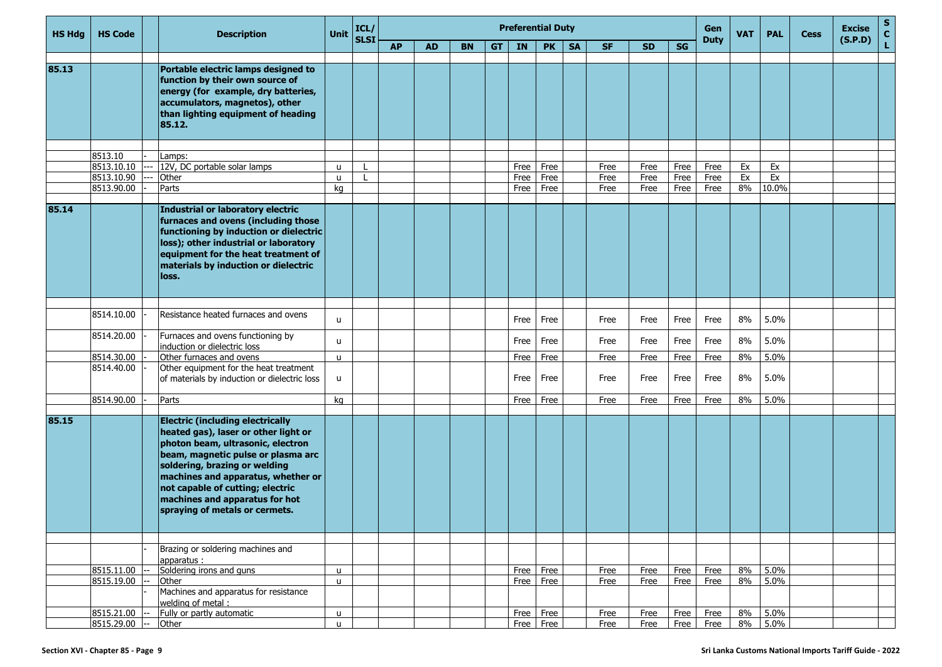| <b>HS Hda</b> | <b>HS Code</b>        | <b>Description</b>                                                                                                                                                                                                                                                                                                                        | <b>Unit</b>  | ICL/        |           |           |           |    |      | <b>Preferential Duty</b> |           | Gen       | <b>VAT</b> | <b>PAL</b> | <b>Cess</b> | <b>Excise</b> | $\frac{{\sf s}}{{\sf c}}$ |  |         |    |
|---------------|-----------------------|-------------------------------------------------------------------------------------------------------------------------------------------------------------------------------------------------------------------------------------------------------------------------------------------------------------------------------------------|--------------|-------------|-----------|-----------|-----------|----|------|--------------------------|-----------|-----------|------------|------------|-------------|---------------|---------------------------|--|---------|----|
|               |                       |                                                                                                                                                                                                                                                                                                                                           |              | <b>SLSI</b> | <b>AP</b> | <b>AD</b> | <b>BN</b> | GT | IN   | <b>PK</b>                | <b>SA</b> | <b>SF</b> | <b>SD</b>  | SG         | <b>Duty</b> |               |                           |  | (S.P.D) | L. |
| 85.13         |                       | Portable electric lamps designed to<br>function by their own source of<br>energy (for example, dry batteries,<br>accumulators, magnetos), other<br>than lighting equipment of heading<br>85.12.                                                                                                                                           |              |             |           |           |           |    |      |                          |           |           |            |            |             |               |                           |  |         |    |
|               |                       |                                                                                                                                                                                                                                                                                                                                           |              |             |           |           |           |    |      |                          |           |           |            |            |             |               |                           |  |         |    |
|               | 8513.10<br>8513.10.10 | Lamps:<br>12V, DC portable solar lamps                                                                                                                                                                                                                                                                                                    | u            |             |           |           |           |    | Free | Free                     |           | Free      | Free       | Free       | Free        | Ex            | Ex                        |  |         |    |
|               | 8513.10.90            | Other                                                                                                                                                                                                                                                                                                                                     | u            |             |           |           |           |    | Free | Free                     |           | Free      | Free       | Free       | Free        | Ex            | Ex                        |  |         |    |
|               | 8513.90.00            | Parts                                                                                                                                                                                                                                                                                                                                     | kq           |             |           |           |           |    | Free | Free                     |           | Free      | Free       | Free       | Free        | 8%            | 10.0%                     |  |         |    |
| 85.14         |                       | Industrial or laboratory electric<br>furnaces and ovens (including those<br>functioning by induction or dielectric<br>loss); other industrial or laboratory<br>equipment for the heat treatment of<br>materials by induction or dielectric<br>loss.                                                                                       |              |             |           |           |           |    |      |                          |           |           |            |            |             |               |                           |  |         |    |
|               | 8514.10.00            | Resistance heated furnaces and ovens                                                                                                                                                                                                                                                                                                      | $\mathbf{u}$ |             |           |           |           |    | Free | Free                     |           | Free      | Free       | Free       | Free        | 8%            | 5.0%                      |  |         |    |
|               | 8514.20.00            | Furnaces and ovens functioning by<br>induction or dielectric loss                                                                                                                                                                                                                                                                         | u            |             |           |           |           |    | Free | Free                     |           | Free      | Free       | Free       | Free        | 8%            | 5.0%                      |  |         |    |
|               | 8514.30.00            | Other furnaces and ovens                                                                                                                                                                                                                                                                                                                  | $\mathsf{u}$ |             |           |           |           |    | Free | Free                     |           | Free      | Free       | Free       | Free        | 8%            | 5.0%                      |  |         |    |
|               | 8514.40.00            | Other equipment for the heat treatment<br>of materials by induction or dielectric loss                                                                                                                                                                                                                                                    | u            |             |           |           |           |    | Free | Free                     |           | Free      | Free       | Free       | Free        | 8%            | 5.0%                      |  |         |    |
|               | 8514.90.00            | Parts                                                                                                                                                                                                                                                                                                                                     | kq           |             |           |           |           |    | Free | Free                     |           | Free      | Free       | Free       | Free        | 8%            | 5.0%                      |  |         |    |
|               |                       |                                                                                                                                                                                                                                                                                                                                           |              |             |           |           |           |    |      |                          |           |           |            |            |             |               |                           |  |         |    |
| 85.15         |                       | <b>Electric (including electrically</b><br>heated gas), laser or other light or<br>photon beam, ultrasonic, electron<br>beam, magnetic pulse or plasma arc<br>soldering, brazing or welding<br>machines and apparatus, whether or<br>not capable of cutting; electric<br>machines and apparatus for hot<br>spraying of metals or cermets. |              |             |           |           |           |    |      |                          |           |           |            |            |             |               |                           |  |         |    |
|               |                       |                                                                                                                                                                                                                                                                                                                                           |              |             |           |           |           |    |      |                          |           |           |            |            |             |               |                           |  |         |    |
|               |                       | Brazing or soldering machines and<br>apparatus:                                                                                                                                                                                                                                                                                           |              |             |           |           |           |    |      |                          |           |           |            |            |             |               |                           |  |         |    |
|               | 8515.11.00            | Soldering irons and guns                                                                                                                                                                                                                                                                                                                  | $\mathsf{u}$ |             |           |           |           |    | Free | Free                     |           | Free      | Free       | Free       | Free        | 8%            | 5.0%                      |  |         |    |
|               | 8515.19.00            | Other<br>Machines and apparatus for resistance<br>welding of metal :                                                                                                                                                                                                                                                                      | $\mathsf{u}$ |             |           |           |           |    | Free | Free                     |           | Free      | Free       | Free       | Free        | 8%            | 5.0%                      |  |         |    |
|               | 8515.21.00 --         | Fully or partly automatic                                                                                                                                                                                                                                                                                                                 | $\mathsf{u}$ |             |           |           |           |    | Free | Free                     |           | Free      | Free       | Free       | Free        | 8%            | 5.0%                      |  |         |    |
|               | 8515.29.00 --         | Other                                                                                                                                                                                                                                                                                                                                     | $\mathsf{u}$ |             |           |           |           |    | Free | Free                     |           | Free      | Free       | Free       | Free        |               | 8% 5.0%                   |  |         |    |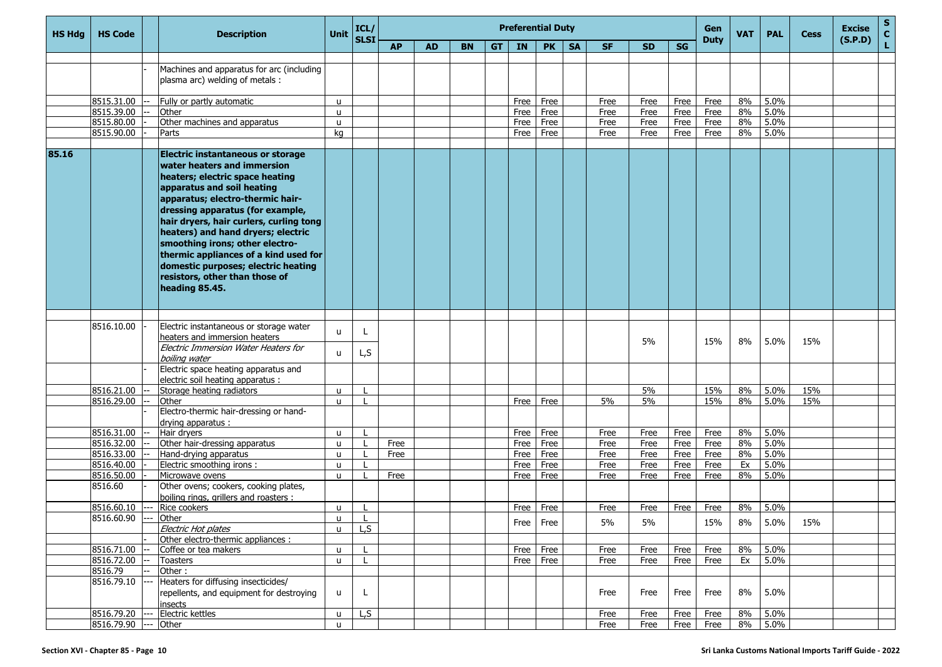| <b>HS Hdg</b> | <b>HS Code</b>       | <b>Description</b>                                                                                                                                                                                                                                                                                                                                                                                                                                                       | Unit         | ICL/<br><b>SLSI</b> |           |           |           |           |              | <b>Preferential Duty</b> |           | Gen<br><b>Duty</b> | <b>VAT</b>   | <b>PAL</b>   | <b>Cess</b> | <b>Excise</b> | $\frac{s}{c}$ |     |         |    |
|---------------|----------------------|--------------------------------------------------------------------------------------------------------------------------------------------------------------------------------------------------------------------------------------------------------------------------------------------------------------------------------------------------------------------------------------------------------------------------------------------------------------------------|--------------|---------------------|-----------|-----------|-----------|-----------|--------------|--------------------------|-----------|--------------------|--------------|--------------|-------------|---------------|---------------|-----|---------|----|
|               |                      |                                                                                                                                                                                                                                                                                                                                                                                                                                                                          |              |                     | <b>AP</b> | <b>AD</b> | <b>BN</b> | <b>GT</b> | IN           | <b>PK</b>                | <b>SA</b> | <b>SF</b>          | <b>SD</b>    | <b>SG</b>    |             |               |               |     | (S.P.D) | L. |
|               |                      |                                                                                                                                                                                                                                                                                                                                                                                                                                                                          |              |                     |           |           |           |           |              |                          |           |                    |              |              |             |               |               |     |         |    |
|               |                      | Machines and apparatus for arc (including                                                                                                                                                                                                                                                                                                                                                                                                                                |              |                     |           |           |           |           |              |                          |           |                    |              |              |             |               |               |     |         |    |
|               |                      | plasma arc) welding of metals :                                                                                                                                                                                                                                                                                                                                                                                                                                          |              |                     |           |           |           |           |              |                          |           |                    |              |              |             |               |               |     |         |    |
|               | 8515.31.00           |                                                                                                                                                                                                                                                                                                                                                                                                                                                                          |              |                     |           |           |           |           |              |                          |           | Free               |              |              | Free        | 8%            | 5.0%          |     |         |    |
|               | 8515.39.00           | Fully or partly automatic<br>Other                                                                                                                                                                                                                                                                                                                                                                                                                                       | u<br>u       |                     |           |           |           |           | Free<br>Free | Free<br>Free             |           | Free               | Free<br>Free | Free<br>Free | Free        | 8%            | 5.0%          |     |         |    |
|               | 8515.80.00           | Other machines and apparatus                                                                                                                                                                                                                                                                                                                                                                                                                                             | u            |                     |           |           |           |           | Free         | Free                     |           | Free               | Free         | Free         | Free        | 8%            | 5.0%          |     |         |    |
|               | 8515.90.00           | Parts                                                                                                                                                                                                                                                                                                                                                                                                                                                                    | ka           |                     |           |           |           |           | Free         | Free                     |           | Free               | Free         | Free         | Free        | 8%            | 5.0%          |     |         |    |
|               |                      |                                                                                                                                                                                                                                                                                                                                                                                                                                                                          |              |                     |           |           |           |           |              |                          |           |                    |              |              |             |               |               |     |         |    |
| 85.16         |                      | <b>Electric instantaneous or storage</b><br>water heaters and immersion<br>heaters; electric space heating<br>apparatus and soil heating<br>apparatus; electro-thermic hair-<br>dressing apparatus (for example,<br>hair dryers, hair curlers, curling tong<br>heaters) and hand dryers; electric<br>smoothing irons; other electro-<br>thermic appliances of a kind used for<br>domestic purposes; electric heating<br>resistors, other than those of<br>heading 85.45. |              |                     |           |           |           |           |              |                          |           |                    |              |              |             |               |               |     |         |    |
|               |                      |                                                                                                                                                                                                                                                                                                                                                                                                                                                                          |              |                     |           |           |           |           |              |                          |           |                    |              |              |             |               |               |     |         |    |
|               | 8516.10.00           | Electric instantaneous or storage water<br>heaters and immersion heaters<br>Electric Immersion Water Heaters for                                                                                                                                                                                                                                                                                                                                                         | u            |                     |           |           |           |           |              |                          |           |                    | 5%           |              | 15%         | 8%            | 5.0%          | 15% |         |    |
|               |                      | boiling water<br>Electric space heating apparatus and                                                                                                                                                                                                                                                                                                                                                                                                                    | u            | L,S                 |           |           |           |           |              |                          |           |                    |              |              |             |               |               |     |         |    |
|               |                      | electric soil heating apparatus :                                                                                                                                                                                                                                                                                                                                                                                                                                        |              |                     |           |           |           |           |              |                          |           |                    |              |              |             |               |               |     |         |    |
|               | 8516.21.00           | Storage heating radiators                                                                                                                                                                                                                                                                                                                                                                                                                                                | $\mathbf{u}$ |                     |           |           |           |           |              |                          |           |                    | 5%           |              | 15%         | 8%            | 5.0%          | 15% |         |    |
|               | 8516.29.00           | Other                                                                                                                                                                                                                                                                                                                                                                                                                                                                    | $\mathsf{u}$ |                     |           |           |           |           | Free         | Free                     |           | 5%                 | 5%           |              | 15%         | 8%            | 5.0%          | 15% |         |    |
|               |                      | Electro-thermic hair-dressing or hand-<br>drying apparatus :                                                                                                                                                                                                                                                                                                                                                                                                             |              |                     |           |           |           |           |              |                          |           |                    |              |              |             |               |               |     |         |    |
|               | 8516.31.00           | Hair dryers                                                                                                                                                                                                                                                                                                                                                                                                                                                              | u            |                     |           |           |           |           | Free         | Free                     |           | Free               | Free         | Free         | Free        | 8%            | 5.0%          |     |         |    |
|               | 8516.32.00           | Other hair-dressing apparatus                                                                                                                                                                                                                                                                                                                                                                                                                                            | u.           |                     | Free      |           |           |           | Free         | Free                     |           | Free               | Free         | Free         | Free        | 8%            | 5.0%          |     |         |    |
|               | 8516.33.00           | Hand-drying apparatus                                                                                                                                                                                                                                                                                                                                                                                                                                                    | u            |                     | Free      |           |           |           | Free         | Free                     |           | Free               | Free         | Free         | Free        | 8%            | 5.0%          |     |         |    |
|               | 8516.40.00           | Electric smoothing irons :                                                                                                                                                                                                                                                                                                                                                                                                                                               | $\mathsf{u}$ |                     |           |           |           |           | Free         | Free                     |           | Free               | Free         | Free         | Free        | Ex            | 5.0%          |     |         |    |
|               | 8516.50.00           | Microwave ovens                                                                                                                                                                                                                                                                                                                                                                                                                                                          | $\mathsf{u}$ |                     | Free      |           |           |           | Free         | Free                     |           | Free               | Free         | Free         | Free        | 8%            | 5.0%          |     |         |    |
|               | 8516.60              | Other ovens; cookers, cooking plates,<br>boiling rings, grillers and roasters :                                                                                                                                                                                                                                                                                                                                                                                          |              |                     |           |           |           |           |              |                          |           |                    |              |              |             |               |               |     |         |    |
|               | 8516.60.10 ---       | Rice cookers                                                                                                                                                                                                                                                                                                                                                                                                                                                             | u.           |                     |           |           |           |           | Free         | Free                     |           | Free               | Free         | Free         | Free        | 8%            | 5.0%          |     |         |    |
|               | 8516.60.90 --- Other |                                                                                                                                                                                                                                                                                                                                                                                                                                                                          | $\mathbf{H}$ |                     |           |           |           |           |              | Free Free                |           | 5%                 | 5%           |              | 15%         | 8%            | 5.0%          | 15% |         |    |
|               |                      | Electric Hot plates                                                                                                                                                                                                                                                                                                                                                                                                                                                      | $\mathsf{u}$ | L, S                |           |           |           |           |              |                          |           |                    |              |              |             |               |               |     |         |    |
|               |                      | Other electro-thermic appliances :                                                                                                                                                                                                                                                                                                                                                                                                                                       |              |                     |           |           |           |           |              |                          |           |                    |              |              |             |               |               |     |         |    |
|               | 8516.71.00           | Coffee or tea makers                                                                                                                                                                                                                                                                                                                                                                                                                                                     | $\mathbf{u}$ |                     |           |           |           |           | Free         | Free                     |           | Free               | Free         | Free         | Free        | 8%            | 5.0%          |     |         |    |
|               | $8516.72.00$ --      | Toasters                                                                                                                                                                                                                                                                                                                                                                                                                                                                 | u.           |                     |           |           |           |           | Free         | Free                     |           | Free               | Free         | Free         | Free        | Ex            | 5.0%          |     |         |    |
|               | 8516.79              | Other:                                                                                                                                                                                                                                                                                                                                                                                                                                                                   |              |                     |           |           |           |           |              |                          |           |                    |              |              |             |               |               |     |         |    |
|               | 8516.79.10           | Heaters for diffusing insecticides/<br>repellents, and equipment for destroying<br>insects                                                                                                                                                                                                                                                                                                                                                                               | u            | L                   |           |           |           |           |              |                          |           | Free               | Free         | Free         | Free        | 8%            | 5.0%          |     |         |    |
|               | 8516.79.20           | Electric kettles                                                                                                                                                                                                                                                                                                                                                                                                                                                         | u            | L, S                |           |           |           |           |              |                          |           | Free               | Free         | Free         | Free        | 8%            | 5.0%          |     |         |    |
|               | 8516.79.90           | Other                                                                                                                                                                                                                                                                                                                                                                                                                                                                    | $\mathsf{u}$ |                     |           |           |           |           |              |                          |           | Free               | Free         | Free         | Free        | 8%            | 5.0%          |     |         |    |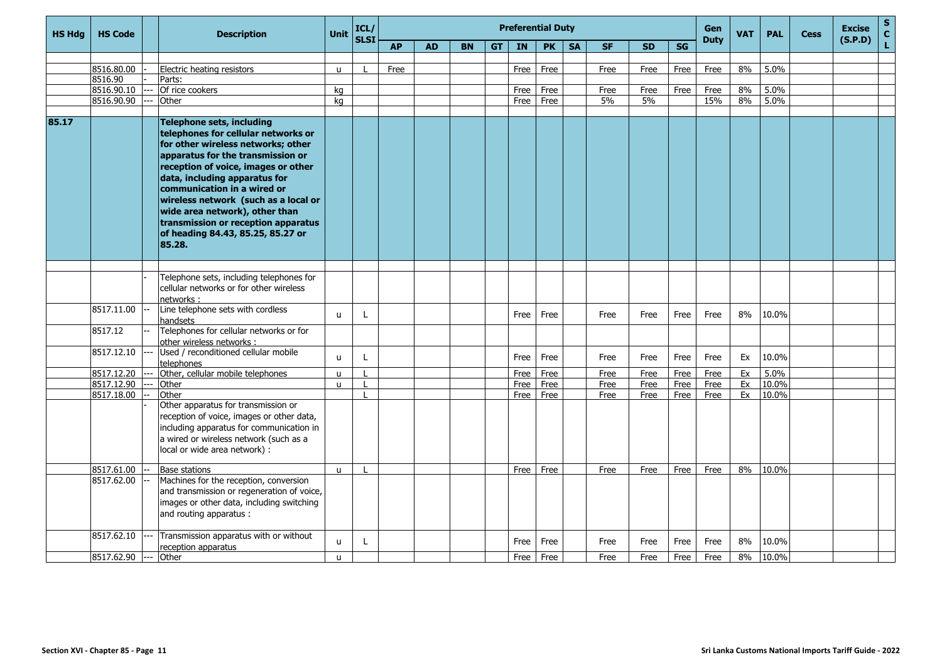| <b>HS Hdg</b> | <b>HS Code</b>        | <b>Description</b>                                                                                                                                                                                                                                                                                                                                                                                                 | <b>Unit</b>  | ICL/<br><b>SLSI</b> |           |           |           |    |           | <b>Preferential Duty</b> |           |           |           |      | Gen<br><b>Duty</b> | <b>VAT</b> | <b>PAL</b> | <b>Cess</b> | <b>Excise</b><br>(S.P.D) | ${\sf s}$<br>$\mathbf{C}$ |
|---------------|-----------------------|--------------------------------------------------------------------------------------------------------------------------------------------------------------------------------------------------------------------------------------------------------------------------------------------------------------------------------------------------------------------------------------------------------------------|--------------|---------------------|-----------|-----------|-----------|----|-----------|--------------------------|-----------|-----------|-----------|------|--------------------|------------|------------|-------------|--------------------------|---------------------------|
|               |                       |                                                                                                                                                                                                                                                                                                                                                                                                                    |              |                     | <b>AP</b> | <b>AD</b> | <b>BN</b> | GT | <b>IN</b> | <b>PK</b>                | <b>SA</b> | <b>SF</b> | <b>SD</b> | SG   |                    |            |            |             |                          | Ĺ.                        |
|               |                       |                                                                                                                                                                                                                                                                                                                                                                                                                    |              |                     |           |           |           |    |           |                          |           |           |           |      |                    |            |            |             |                          |                           |
|               | 8516.80.00            | Electric heating resistors                                                                                                                                                                                                                                                                                                                                                                                         | $\mathbf{u}$ |                     | Free      |           |           |    | Free      | Free                     |           | Free      | Free      | Free | Free               | 8%         | 5.0%       |             |                          |                           |
|               | 8516.90<br>8516.90.10 | Parts:<br>Of rice cookers                                                                                                                                                                                                                                                                                                                                                                                          | ka           |                     |           |           |           |    | Free      | Free                     |           | Free      | Free      | Free | Free               | 8%         | 5.0%       |             |                          |                           |
|               | 8516.90.90            | Other                                                                                                                                                                                                                                                                                                                                                                                                              | kg           |                     |           |           |           |    | Free      | Free                     |           | 5%        | 5%        |      | 15%                | 8%         | 5.0%       |             |                          |                           |
|               |                       |                                                                                                                                                                                                                                                                                                                                                                                                                    |              |                     |           |           |           |    |           |                          |           |           |           |      |                    |            |            |             |                          |                           |
| 85.17         |                       | Telephone sets, including<br>telephones for cellular networks or<br>for other wireless networks; other<br>apparatus for the transmission or<br>reception of voice, images or other<br>data, including apparatus for<br>communication in a wired or<br>wireless network (such as a local or<br>wide area network), other than<br>transmission or reception apparatus<br>of heading 84.43, 85.25, 85.27 or<br>85.28. |              |                     |           |           |           |    |           |                          |           |           |           |      |                    |            |            |             |                          |                           |
|               |                       |                                                                                                                                                                                                                                                                                                                                                                                                                    |              |                     |           |           |           |    |           |                          |           |           |           |      |                    |            |            |             |                          |                           |
|               |                       | Telephone sets, including telephones for<br>cellular networks or for other wireless<br>networks:                                                                                                                                                                                                                                                                                                                   |              |                     |           |           |           |    |           |                          |           |           |           |      |                    |            |            |             |                          |                           |
|               | 8517.11.00            | Line telephone sets with cordless<br>handsets                                                                                                                                                                                                                                                                                                                                                                      | $\mathsf{u}$ | L                   |           |           |           |    | Free      | Free                     |           | Free      | Free      | Free | Free               | 8%         | 10.0%      |             |                          |                           |
|               | 8517.12               | Telephones for cellular networks or for<br>other wireless networks :                                                                                                                                                                                                                                                                                                                                               |              |                     |           |           |           |    |           |                          |           |           |           |      |                    |            |            |             |                          |                           |
|               | 8517.12.10            | Used / reconditioned cellular mobile<br>telephones                                                                                                                                                                                                                                                                                                                                                                 | u.           | L                   |           |           |           |    | Free      | Free                     |           | Free      | Free      | Free | Free               | Ex         | 10.0%      |             |                          |                           |
|               | 8517.12.20            | Other, cellular mobile telephones                                                                                                                                                                                                                                                                                                                                                                                  | $\mathsf{u}$ |                     |           |           |           |    | Free      | Free                     |           | Free      | Free      | Free | Free               | Ex         | 5.0%       |             |                          |                           |
|               | 8517.12.90            | Other                                                                                                                                                                                                                                                                                                                                                                                                              | u.           |                     |           |           |           |    | Free      | Free                     |           | Free      | Free      | Free | Free               | Ex         | 10.0%      |             |                          |                           |
|               | 8517.18.00            | Other                                                                                                                                                                                                                                                                                                                                                                                                              |              |                     |           |           |           |    | Free      | Free                     |           | Free      | Free      | Free | Free               | Ex         | 10.0%      |             |                          |                           |
|               |                       | Other apparatus for transmission or<br>reception of voice, images or other data,<br>including apparatus for communication in<br>a wired or wireless network (such as a<br>local or wide area network) :                                                                                                                                                                                                            |              |                     |           |           |           |    |           |                          |           |           |           |      |                    |            |            |             |                          |                           |
|               | 8517.61.00            | Base stations                                                                                                                                                                                                                                                                                                                                                                                                      | $\mathsf{u}$ |                     |           |           |           |    | Free      | Free                     |           | Free      | Free      | Free | Free               | 8%         | 10.0%      |             |                          |                           |
|               | 8517.62.00            | Machines for the reception, conversion<br>and transmission or regeneration of voice,<br>images or other data, including switching<br>and routing apparatus :                                                                                                                                                                                                                                                       |              |                     |           |           |           |    |           |                          |           |           |           |      |                    |            |            |             |                          |                           |
|               | 8517.62.10            | Transmission apparatus with or without<br>reception apparatus                                                                                                                                                                                                                                                                                                                                                      | <b>u</b>     | L                   |           |           |           |    | Free      | Free                     |           | Free      | Free      | Free | Free               | 8%         | 10.0%      |             |                          |                           |
|               | 8517.62.90 --- Other  |                                                                                                                                                                                                                                                                                                                                                                                                                    | $\mathbf{u}$ |                     |           |           |           |    | Free      | Free                     |           | Free      | Free      | Free | Free               | 8%         | 10.0%      |             |                          |                           |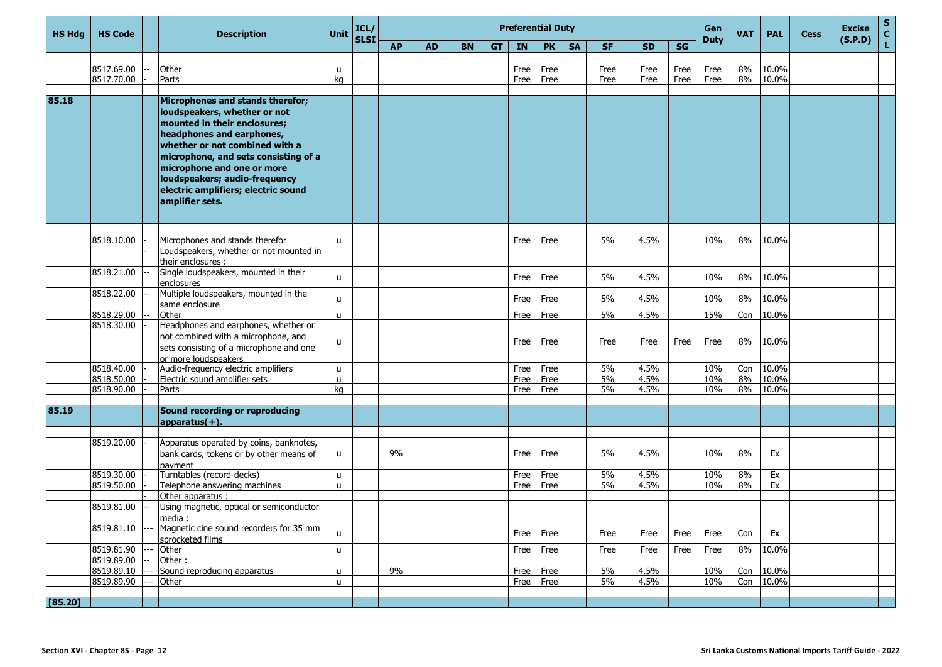| <b>HS Hdg</b> | <b>HS Code</b> | <b>Description</b>                                                                                                                                                                                                                                                                                                               | Unit         | ICL/<br>SLSI |           |           |           |           | <b>Preferential Duty</b> |           |           | Gen<br><b>Duty</b> | <b>VAT</b> | <b>PAL</b> | <b>Cess</b> | <b>Excise</b><br>(S.P.D) | $\frac{s}{c}$ |  |  |    |
|---------------|----------------|----------------------------------------------------------------------------------------------------------------------------------------------------------------------------------------------------------------------------------------------------------------------------------------------------------------------------------|--------------|--------------|-----------|-----------|-----------|-----------|--------------------------|-----------|-----------|--------------------|------------|------------|-------------|--------------------------|---------------|--|--|----|
|               |                |                                                                                                                                                                                                                                                                                                                                  |              |              | <b>AP</b> | <b>AD</b> | <b>BN</b> | <b>GT</b> | IN                       | <b>PK</b> | <b>SA</b> | <b>SF</b>          | <b>SD</b>  | SG         |             |                          |               |  |  | L. |
|               |                |                                                                                                                                                                                                                                                                                                                                  |              |              |           |           |           |           |                          |           |           |                    |            |            |             |                          |               |  |  |    |
|               | 8517.69.00     | Other                                                                                                                                                                                                                                                                                                                            | u            |              |           |           |           |           | Free                     | Free      |           | Free               | Free       | Free       | Free        | 8%                       | 10.0%         |  |  |    |
|               | 8517.70.00     | Parts                                                                                                                                                                                                                                                                                                                            | kg           |              |           |           |           |           | Free                     | Free      |           | Free               | Free       | Free       | Free        | 8%                       | 10.0%         |  |  |    |
| 85.18         |                |                                                                                                                                                                                                                                                                                                                                  |              |              |           |           |           |           |                          |           |           |                    |            |            |             |                          |               |  |  |    |
|               |                | Microphones and stands therefor;<br>loudspeakers, whether or not<br>mounted in their enclosures;<br>headphones and earphones,<br>whether or not combined with a<br>microphone, and sets consisting of a<br>microphone and one or more<br>loudspeakers; audio-frequency<br>electric amplifiers; electric sound<br>amplifier sets. |              |              |           |           |           |           |                          |           |           |                    |            |            |             |                          |               |  |  |    |
|               |                |                                                                                                                                                                                                                                                                                                                                  |              |              |           |           |           |           |                          |           |           |                    |            |            |             |                          |               |  |  |    |
|               | 8518.10.00     | Microphones and stands therefor                                                                                                                                                                                                                                                                                                  | $\mathbf{u}$ |              |           |           |           |           | Free                     | Free      |           | 5%                 | 4.5%       |            | 10%         | 8%                       | 10.0%         |  |  |    |
|               |                | Loudspeakers, whether or not mounted in<br>their enclosures :                                                                                                                                                                                                                                                                    |              |              |           |           |           |           |                          |           |           |                    |            |            |             |                          |               |  |  |    |
|               | 8518.21.00     | Single loudspeakers, mounted in their<br>enclosures                                                                                                                                                                                                                                                                              | $\mathbf{u}$ |              |           |           |           |           | Free                     | Free      |           | 5%                 | 4.5%       |            | 10%         | 8%                       | 10.0%         |  |  |    |
|               | 8518.22.00     | Multiple loudspeakers, mounted in the<br>same enclosure                                                                                                                                                                                                                                                                          | $\mathbf{u}$ |              |           |           |           |           | Free                     | Free      |           | 5%                 | 4.5%       |            | 10%         | 8%                       | 10.0%         |  |  |    |
|               | 8518.29.00     | Other                                                                                                                                                                                                                                                                                                                            | $\mathbf{u}$ |              |           |           |           |           | Free                     | Free      |           | 5%                 | 4.5%       |            | 15%         | Con                      | 10.0%         |  |  |    |
|               | 8518.30.00     | Headphones and earphones, whether or<br>not combined with a microphone, and<br>sets consisting of a microphone and one<br>or more loudspeakers                                                                                                                                                                                   | u            |              |           |           |           |           | Free                     | Free      |           | Free               | Free       | Free       | Free        | 8%                       | 10.0%         |  |  |    |
|               | 8518.40.00     | Audio-frequency electric amplifiers                                                                                                                                                                                                                                                                                              | $\mathbf{u}$ |              |           |           |           |           | Free                     | Free      |           | 5%                 | 4.5%       |            | 10%         | Con                      | 10.0%         |  |  |    |
|               | 8518.50.00     | Electric sound amplifier sets                                                                                                                                                                                                                                                                                                    | $\mathbf{u}$ |              |           |           |           |           | Free                     | Free      |           | 5%                 | 4.5%       |            | 10%         | 8%                       | 10.0%         |  |  |    |
|               | 8518.90.00     | Parts                                                                                                                                                                                                                                                                                                                            | kg           |              |           |           |           |           | Free                     | Free      |           | 5%                 | 4.5%       |            | 10%         | 8%                       | 10.0%         |  |  |    |
|               |                |                                                                                                                                                                                                                                                                                                                                  |              |              |           |           |           |           |                          |           |           |                    |            |            |             |                          |               |  |  |    |
| 85.19         |                | Sound recording or reproducing<br>$ approx(+) $ .                                                                                                                                                                                                                                                                                |              |              |           |           |           |           |                          |           |           |                    |            |            |             |                          |               |  |  |    |
|               | 8519.20.00     | Apparatus operated by coins, banknotes,<br>bank cards, tokens or by other means of<br>pavment                                                                                                                                                                                                                                    | u            |              | 9%        |           |           |           | Free                     | Free      |           | 5%                 | 4.5%       |            | 10%         | 8%                       | Ex            |  |  |    |
|               | 8519.30.00     | Turntables (record-decks)                                                                                                                                                                                                                                                                                                        | $\mathbf{u}$ |              |           |           |           |           | Free                     | Free      |           | 5%                 | 4.5%       |            | 10%         | 8%                       | Ex            |  |  |    |
|               | 8519.50.00     | Telephone answering machines                                                                                                                                                                                                                                                                                                     | $\mathbf{u}$ |              |           |           |           |           | Free                     | Free      |           | 5%                 | 4.5%       |            | 10%         | 8%                       | Ex            |  |  |    |
|               |                | Other apparatus :                                                                                                                                                                                                                                                                                                                |              |              |           |           |           |           |                          |           |           |                    |            |            |             |                          |               |  |  |    |
|               | 8519.81.00     | Using magnetic, optical or semiconductor<br>media ·                                                                                                                                                                                                                                                                              |              |              |           |           |           |           |                          |           |           |                    |            |            |             |                          |               |  |  |    |
|               | 8519.81.10     | Magnetic cine sound recorders for 35 mm<br>sprocketed films                                                                                                                                                                                                                                                                      | $\mathbf{u}$ |              |           |           |           |           | Free                     | Free      |           | Free               | Free       | Free       | Free        | Con                      | Ex            |  |  |    |
|               | 8519.81.90     | Other                                                                                                                                                                                                                                                                                                                            | $\mathsf{u}$ |              |           |           |           |           | Free                     | Free      |           | Free               | Free       | Free       | Free        | 8%                       | 10.0%         |  |  |    |
|               | 8519.89.00     | Other:                                                                                                                                                                                                                                                                                                                           |              |              |           |           |           |           |                          |           |           |                    |            |            |             |                          |               |  |  |    |
|               | 8519.89.10     | Sound reproducing apparatus                                                                                                                                                                                                                                                                                                      | u            |              | 9%        |           |           |           | Free                     | Free      |           | 5%                 | 4.5%       |            | 10%         | Con                      | 10.0%         |  |  |    |
|               | 8519.89.90     | Other                                                                                                                                                                                                                                                                                                                            | u            |              |           |           |           |           | Free                     | Free      |           | 5%                 | 4.5%       |            | 10%         | Con                      | 10.0%         |  |  |    |
| [85.20]       |                |                                                                                                                                                                                                                                                                                                                                  |              |              |           |           |           |           |                          |           |           |                    |            |            |             |                          |               |  |  |    |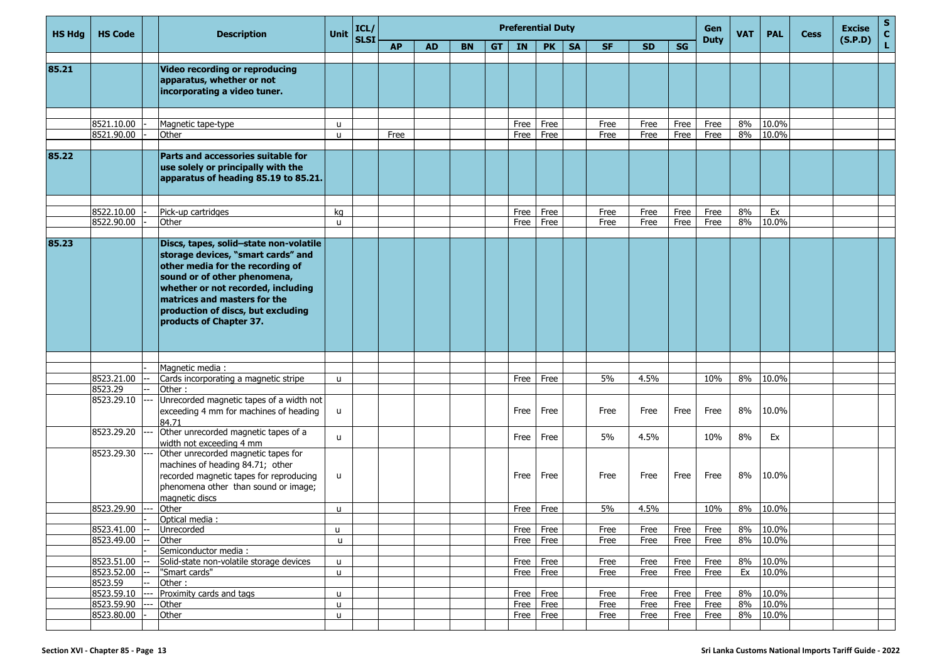| <b>HS Hdg</b> | <b>HS Code</b>           | <b>Description</b>                                                                                                                                                                                                                                                                      | <b>Unit</b>       | ICL/        |           |           |           |    |              | <b>Preferential Duty</b> |           |              |              |              | Gen          | <b>VAT</b> | <b>PAL</b>  | <b>Cess</b> | <b>Excise</b> | $\mathbf{s}$<br>$\mathbf c$ |
|---------------|--------------------------|-----------------------------------------------------------------------------------------------------------------------------------------------------------------------------------------------------------------------------------------------------------------------------------------|-------------------|-------------|-----------|-----------|-----------|----|--------------|--------------------------|-----------|--------------|--------------|--------------|--------------|------------|-------------|-------------|---------------|-----------------------------|
|               |                          |                                                                                                                                                                                                                                                                                         |                   | <b>SLSI</b> | <b>AP</b> | <b>AD</b> | <b>BN</b> | GT | IN           | <b>PK</b>                | <b>SA</b> | <b>SF</b>    | <b>SD</b>    | SG           | <b>Duty</b>  |            |             |             | (S.P.D)       | L                           |
|               |                          |                                                                                                                                                                                                                                                                                         |                   |             |           |           |           |    |              |                          |           |              |              |              |              |            |             |             |               |                             |
| 85.21         |                          | Video recording or reproducing<br>apparatus, whether or not<br>incorporating a video tuner.                                                                                                                                                                                             |                   |             |           |           |           |    |              |                          |           |              |              |              |              |            |             |             |               |                             |
|               | 8521.10.00               | Magnetic tape-type                                                                                                                                                                                                                                                                      | u                 |             |           |           |           |    | Free         | Free                     |           | Free         | Free         | Free         | Free         | 8%         | 10.0%       |             |               |                             |
|               | 8521.90.00               | Other                                                                                                                                                                                                                                                                                   | u                 |             | Free      |           |           |    | Free         | Free                     |           | Free         | Free         | Free         | Free         | 8%         | 10.0%       |             |               |                             |
|               |                          |                                                                                                                                                                                                                                                                                         |                   |             |           |           |           |    |              |                          |           |              |              |              |              |            |             |             |               |                             |
| 85.22         |                          | Parts and accessories suitable for<br>use solely or principally with the<br>apparatus of heading 85.19 to 85.21.                                                                                                                                                                        |                   |             |           |           |           |    |              |                          |           |              |              |              |              |            |             |             |               |                             |
|               |                          |                                                                                                                                                                                                                                                                                         |                   |             |           |           |           |    |              |                          |           |              |              |              |              |            |             |             |               |                             |
|               | 8522.10.00<br>8522.90.00 | Pick-up cartridges<br>Other                                                                                                                                                                                                                                                             | kg<br>u.          |             |           |           |           |    | Free<br>Free | Free<br>Free             |           | Free<br>Free | Free<br>Free | Free<br>Free | Free<br>Free | 8%<br>8%   | Ex<br>10.0% |             |               |                             |
|               |                          |                                                                                                                                                                                                                                                                                         |                   |             |           |           |           |    |              |                          |           |              |              |              |              |            |             |             |               |                             |
| 85.23         |                          | Discs, tapes, solid-state non-volatile<br>storage devices, "smart cards" and<br>other media for the recording of<br>sound or of other phenomena,<br>whether or not recorded, including<br>matrices and masters for the<br>production of discs, but excluding<br>products of Chapter 37. |                   |             |           |           |           |    |              |                          |           |              |              |              |              |            |             |             |               |                             |
|               |                          |                                                                                                                                                                                                                                                                                         |                   |             |           |           |           |    |              |                          |           |              |              |              |              |            |             |             |               |                             |
|               |                          | Magnetic media:                                                                                                                                                                                                                                                                         |                   |             |           |           |           |    |              |                          |           |              |              |              |              |            |             |             |               |                             |
|               | 8523.21.00<br>8523.29    | Cards incorporating a magnetic stripe<br>Other:                                                                                                                                                                                                                                         | u                 |             |           |           |           |    | Free         | Free                     |           | 5%           | 4.5%         |              | 10%          | 8%         | 10.0%       |             |               |                             |
|               | 8523.29.10               | Unrecorded magnetic tapes of a width not<br>exceeding 4 mm for machines of heading<br>84.71                                                                                                                                                                                             | $\mathsf{u}$      |             |           |           |           |    | Free         | Free                     |           | Free         | Free         | Free         | Free         | 8%         | 10.0%       |             |               |                             |
|               | 8523.29.20               | Other unrecorded magnetic tapes of a<br>width not exceeding 4 mm                                                                                                                                                                                                                        | u                 |             |           |           |           |    | Free         | Free                     |           | 5%           | 4.5%         |              | 10%          | 8%         | Ex          |             |               |                             |
|               | 8523.29.30               | Other unrecorded magnetic tapes for<br>machines of heading 84.71; other<br>recorded magnetic tapes for reproducing<br>phenomena other than sound or image;<br>magnetic discs                                                                                                            | u                 |             |           |           |           |    | Free         | Free                     |           | Free         | Free         | Free         | Free         | 8%         | 10.0%       |             |               |                             |
|               | 8523.29.90               | Other                                                                                                                                                                                                                                                                                   | $\mathsf{u}$      |             |           |           |           |    | Free         | Free                     |           | 5%           | 4.5%         |              | 10%          | 8%         | 10.0%       |             |               |                             |
|               |                          | Optical media :                                                                                                                                                                                                                                                                         |                   |             |           |           |           |    |              |                          |           |              |              |              |              |            |             |             |               |                             |
|               | 8523.41.00               | Unrecorded                                                                                                                                                                                                                                                                              | u                 |             |           |           |           |    | Free         | Free                     |           | Free         | Free         | Free         | Free         | 8%         | 10.0%       |             |               |                             |
|               | 8523.49.00               | Other                                                                                                                                                                                                                                                                                   | $\mathsf{u}$      |             |           |           |           |    | Free         | Free                     |           | Free         | Free         | Free         | Free         | 8%         | 10.0%       |             |               |                             |
|               | 8523.51.00               | Semiconductor media :                                                                                                                                                                                                                                                                   |                   |             |           |           |           |    |              |                          |           |              |              |              |              | 8%         | 10.0%       |             |               |                             |
|               | 8523.52.00               | Solid-state non-volatile storage devices<br>"Smart cards"                                                                                                                                                                                                                               | u<br>$\mathsf{u}$ |             |           |           |           |    | Free<br>Free | Free<br>Free             |           | Free<br>Free | Free<br>Free | Free<br>Free | Free<br>Free | Ex         | 10.0%       |             |               |                             |
|               | 8523.59                  | Other:                                                                                                                                                                                                                                                                                  |                   |             |           |           |           |    |              |                          |           |              |              |              |              |            |             |             |               |                             |
|               | 8523.59.10               | Proximity cards and tags                                                                                                                                                                                                                                                                | u                 |             |           |           |           |    | Free         | Free                     |           | Free         | Free         | Free         | Free         | 8%         | 10.0%       |             |               |                             |
|               | 8523.59.90               | Other                                                                                                                                                                                                                                                                                   | u.                |             |           |           |           |    | Free         | Free                     |           | Free         | Free         | Free         | Free         | 8%         | 10.0%       |             |               |                             |
|               | 8523.80.00               | Other                                                                                                                                                                                                                                                                                   | u.                |             |           |           |           |    | Free         | Free                     |           | Free         | Free         | Free         | Free         | 8%         | 10.0%       |             |               |                             |
|               |                          |                                                                                                                                                                                                                                                                                         |                   |             |           |           |           |    |              |                          |           |              |              |              |              |            |             |             |               |                             |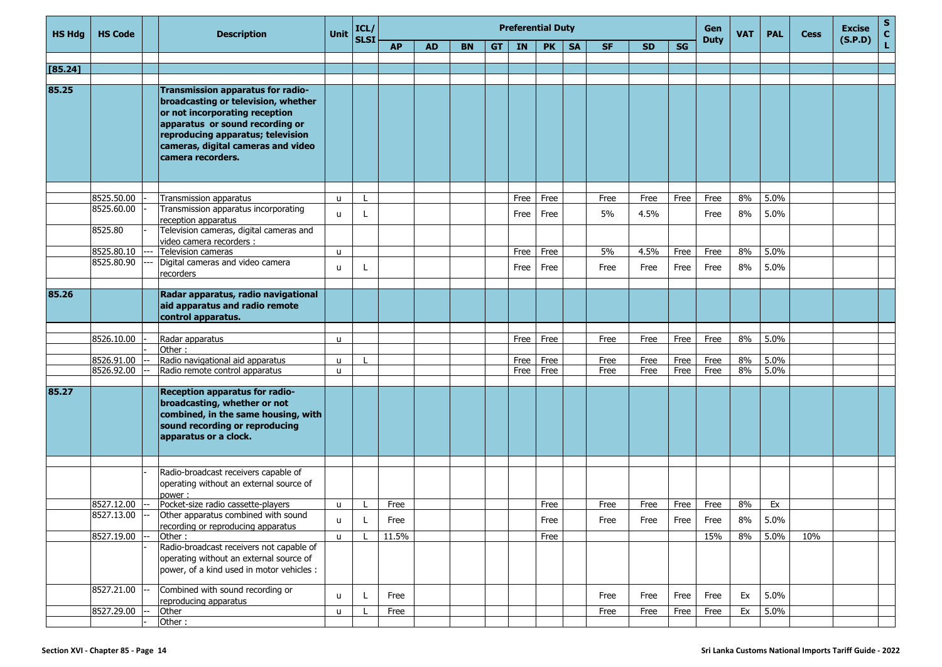| <b>HS Hdg</b> | <b>HS Code</b> | <b>Description</b>                                                                                                                                                                                                                                   | Unit         | ICL/        |           |           |           |           | <b>Preferential Duty</b> |           |           |           |           |           | Gen         | <b>VAT</b> | <b>PAL</b> | <b>Cess</b> | <b>Excise</b> | $rac{S}{C}$ |
|---------------|----------------|------------------------------------------------------------------------------------------------------------------------------------------------------------------------------------------------------------------------------------------------------|--------------|-------------|-----------|-----------|-----------|-----------|--------------------------|-----------|-----------|-----------|-----------|-----------|-------------|------------|------------|-------------|---------------|-------------|
|               |                |                                                                                                                                                                                                                                                      |              | <b>SLSI</b> | <b>AP</b> | <b>AD</b> | <b>BN</b> | <b>GT</b> | IN                       | <b>PK</b> | <b>SA</b> | <b>SF</b> | <b>SD</b> | <b>SG</b> | <b>Duty</b> |            |            |             | (S.P.D)       | L.          |
|               |                |                                                                                                                                                                                                                                                      |              |             |           |           |           |           |                          |           |           |           |           |           |             |            |            |             |               |             |
| [85.24]       |                |                                                                                                                                                                                                                                                      |              |             |           |           |           |           |                          |           |           |           |           |           |             |            |            |             |               |             |
|               |                |                                                                                                                                                                                                                                                      |              |             |           |           |           |           |                          |           |           |           |           |           |             |            |            |             |               |             |
| 85.25         |                | <b>Transmission apparatus for radio-</b><br>broadcasting or television, whether<br>or not incorporating reception<br>apparatus or sound recording or<br>reproducing apparatus; television<br>cameras, digital cameras and video<br>camera recorders. |              |             |           |           |           |           |                          |           |           |           |           |           |             |            |            |             |               |             |
|               | 8525.50.00     | Transmission apparatus                                                                                                                                                                                                                               | $\mathbf{u}$ |             |           |           |           |           | Free                     | Free      |           | Free      | Free      | Free      | Free        | 8%         | 5.0%       |             |               |             |
|               | 8525.60.00     | Transmission apparatus incorporating                                                                                                                                                                                                                 |              |             |           |           |           |           |                          |           |           |           |           |           |             |            |            |             |               |             |
|               |                | reception apparatus                                                                                                                                                                                                                                  | u            |             |           |           |           |           | Free                     | Free      |           | 5%        | 4.5%      |           | Free        | 8%         | 5.0%       |             |               |             |
|               | 8525.80        | Television cameras, digital cameras and<br>video camera recorders :                                                                                                                                                                                  |              |             |           |           |           |           |                          |           |           |           |           |           |             |            |            |             |               |             |
|               | 8525.80.10     | Television cameras                                                                                                                                                                                                                                   | $\mathbf{u}$ |             |           |           |           |           | Free                     | Free      |           | 5%        | 4.5%      | Free      | Free        | 8%         | 5.0%       |             |               |             |
|               | 8525.80.90     | Digital cameras and video camera<br>recorders                                                                                                                                                                                                        | u            |             |           |           |           |           | Free                     | Free      |           | Free      | Free      | Free      | Free        | 8%         | 5.0%       |             |               |             |
|               |                |                                                                                                                                                                                                                                                      |              |             |           |           |           |           |                          |           |           |           |           |           |             |            |            |             |               |             |
| 85.26         |                | Radar apparatus, radio navigational<br>aid apparatus and radio remote<br>control apparatus.                                                                                                                                                          |              |             |           |           |           |           |                          |           |           |           |           |           |             |            |            |             |               |             |
|               |                |                                                                                                                                                                                                                                                      |              |             |           |           |           |           |                          |           |           |           |           |           |             |            |            |             |               |             |
|               | 8526.10.00     | Radar apparatus<br>Other:                                                                                                                                                                                                                            | $\mathbf{u}$ |             |           |           |           |           | Free                     | Free      |           | Free      | Free      | Free      | Free        | 8%         | 5.0%       |             |               |             |
|               | 8526.91.00     | Radio navigational aid apparatus                                                                                                                                                                                                                     | u            |             |           |           |           |           | Free                     | Free      |           | Free      | Free      | Free      | Free        | 8%         | 5.0%       |             |               |             |
|               | 8526.92.00     | Radio remote control apparatus                                                                                                                                                                                                                       | u            |             |           |           |           |           | Free                     | Free      |           | Free      | Free      | Free      | Free        | 8%         | 5.0%       |             |               |             |
|               |                |                                                                                                                                                                                                                                                      |              |             |           |           |           |           |                          |           |           |           |           |           |             |            |            |             |               |             |
| 85.27         |                | <b>Reception apparatus for radio-</b><br>broadcasting, whether or not<br>combined, in the same housing, with<br>sound recording or reproducing<br>apparatus or a clock.                                                                              |              |             |           |           |           |           |                          |           |           |           |           |           |             |            |            |             |               |             |
|               |                |                                                                                                                                                                                                                                                      |              |             |           |           |           |           |                          |           |           |           |           |           |             |            |            |             |               |             |
|               |                | Radio-broadcast receivers capable of<br>operating without an external source of<br>power:                                                                                                                                                            |              |             |           |           |           |           |                          |           |           |           |           |           |             |            |            |             |               |             |
|               | 8527.12.00     | Pocket-size radio cassette-players                                                                                                                                                                                                                   | u            |             | Free      |           |           |           |                          | Free      |           | Free      | Free      | Free      | Free        | 8%         | Ex         |             |               |             |
|               | 8527.13.00     | Other apparatus combined with sound                                                                                                                                                                                                                  | <b>u</b>     |             | Free      |           |           |           |                          | Free      |           | Free      | Free      | Free      | Free        | $8\%$      | 5.0%       |             |               |             |
|               |                | recording or reproducing apparatus                                                                                                                                                                                                                   |              |             |           |           |           |           |                          |           |           |           |           |           |             |            |            |             |               |             |
|               | 8527.19.00     | Other:                                                                                                                                                                                                                                               | <b>u</b>     |             | 11.5%     |           |           |           |                          | Free      |           |           |           |           | 15%         | 8%         | 5.0%       | 10%         |               |             |
|               |                | Radio-broadcast receivers not capable of<br>operating without an external source of<br>power, of a kind used in motor vehicles :                                                                                                                     |              |             |           |           |           |           |                          |           |           |           |           |           |             |            |            |             |               |             |
|               | 8527.21.00     | Combined with sound recording or<br>reproducing apparatus                                                                                                                                                                                            | <b>u</b>     | L           | Free      |           |           |           |                          |           |           | Free      | Free      | Free      | Free        | Ex         | 5.0%       |             |               |             |
|               | 8527.29.00     | Other                                                                                                                                                                                                                                                | $\mathsf{u}$ |             | Free      |           |           |           |                          |           |           | Free      | Free      | Free      | Free        | Ex         | 5.0%       |             |               |             |
|               |                | Other:                                                                                                                                                                                                                                               |              |             |           |           |           |           |                          |           |           |           |           |           |             |            |            |             |               |             |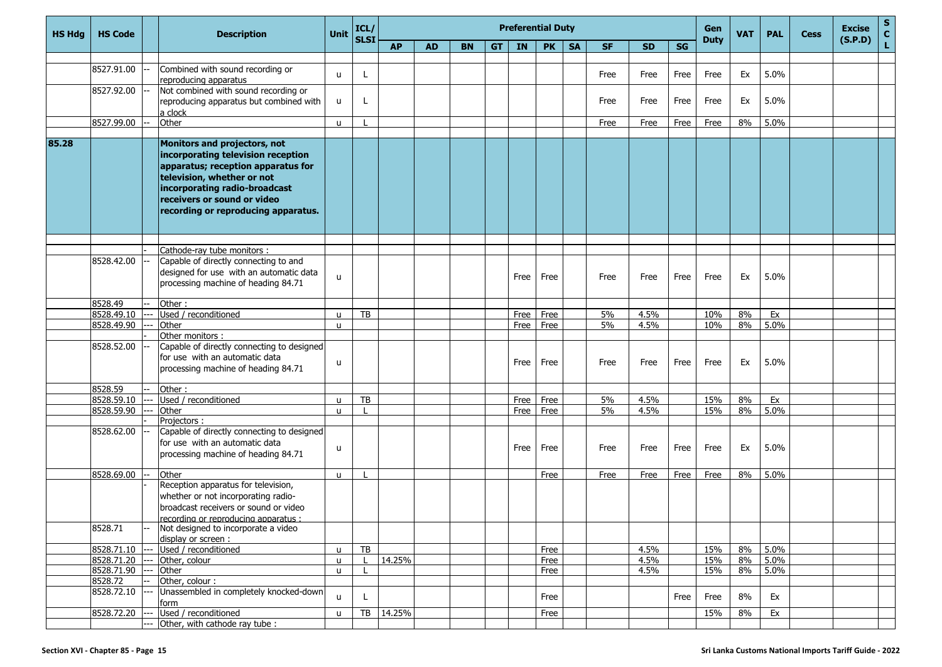| <b>HS Hdg</b> | <b>HS Code</b> | <b>Description</b>                                                                                                                                                                                                                            | Unit         | ICL/<br>SLSI |           |           |           |           |      | <b>Preferential Duty</b> |           |           |           |             | Gen<br><b>Duty</b> | <b>VAT</b> | <b>PAL</b> | <b>Cess</b> | <b>Excise</b><br>(S.P.D) | $\frac{s}{c}$ |
|---------------|----------------|-----------------------------------------------------------------------------------------------------------------------------------------------------------------------------------------------------------------------------------------------|--------------|--------------|-----------|-----------|-----------|-----------|------|--------------------------|-----------|-----------|-----------|-------------|--------------------|------------|------------|-------------|--------------------------|---------------|
|               |                |                                                                                                                                                                                                                                               |              |              | <b>AP</b> | <b>AD</b> | <b>BN</b> | <b>GT</b> | IN   | <b>PK</b>                | <b>SA</b> | <b>SF</b> | <b>SD</b> | SG          |                    |            |            |             |                          | L.            |
|               |                |                                                                                                                                                                                                                                               |              |              |           |           |           |           |      |                          |           |           |           |             |                    |            |            |             |                          |               |
|               | 8527.91.00     | Combined with sound recording or<br>reproducing apparatus                                                                                                                                                                                     | u            | L.           |           |           |           |           |      |                          |           | Free      | Free      | Free        | Free               | Ex         | 5.0%       |             |                          |               |
|               | 8527.92.00     | Not combined with sound recording or                                                                                                                                                                                                          |              |              |           |           |           |           |      |                          |           |           |           |             |                    |            |            |             |                          |               |
|               |                | reproducing apparatus but combined with                                                                                                                                                                                                       | u            | L            |           |           |           |           |      |                          |           | Free      | Free      | Free        | Free               | Ex         | 5.0%       |             |                          |               |
|               |                | a clock                                                                                                                                                                                                                                       |              |              |           |           |           |           |      |                          |           |           |           |             |                    |            |            |             |                          |               |
|               | 8527.99.00     | Other                                                                                                                                                                                                                                         | u.           |              |           |           |           |           |      |                          |           | Free      | Free      | <b>Free</b> | Free               | 8%         | 5.0%       |             |                          |               |
| 85.28         |                | Monitors and projectors, not<br>incorporating television reception<br>apparatus; reception apparatus for<br>television, whether or not<br>incorporating radio-broadcast<br>receivers or sound or video<br>recording or reproducing apparatus. |              |              |           |           |           |           |      |                          |           |           |           |             |                    |            |            |             |                          |               |
|               |                |                                                                                                                                                                                                                                               |              |              |           |           |           |           |      |                          |           |           |           |             |                    |            |            |             |                          |               |
|               |                | Cathode-ray tube monitors :                                                                                                                                                                                                                   |              |              |           |           |           |           |      |                          |           |           |           |             |                    |            |            |             |                          |               |
|               | 8528.42.00     | Capable of directly connecting to and                                                                                                                                                                                                         |              |              |           |           |           |           |      |                          |           |           |           |             |                    |            |            |             |                          |               |
|               |                | designed for use with an automatic data<br>processing machine of heading 84.71                                                                                                                                                                | u            |              |           |           |           |           | Free | Free                     |           | Free      | Free      | Free        | Free               | Ex         | 5.0%       |             |                          |               |
|               | 8528.49        | Other:                                                                                                                                                                                                                                        |              |              |           |           |           |           |      |                          |           |           |           |             |                    |            |            |             |                          |               |
|               | 8528.49.10     | Used / reconditioned                                                                                                                                                                                                                          | $\mathbf{u}$ | TB           |           |           |           |           | Free | Free                     |           | 5%        | 4.5%      |             | 10%                | 8%         | Ex         |             |                          |               |
|               | 8528.49.90     | Other                                                                                                                                                                                                                                         | u            |              |           |           |           |           | Free | Free                     |           | 5%        | 4.5%      |             | 10%                | 8%         | 5.0%       |             |                          |               |
|               |                | Other monitors:                                                                                                                                                                                                                               |              |              |           |           |           |           |      |                          |           |           |           |             |                    |            |            |             |                          |               |
|               | 8528.52.00     | Capable of directly connecting to designed<br>for use with an automatic data<br>processing machine of heading 84.71                                                                                                                           | u            |              |           |           |           |           | Free | Free                     |           | Free      | Free      | Free        | Free               | Ex         | 5.0%       |             |                          |               |
|               | 8528.59        | Other:                                                                                                                                                                                                                                        |              |              |           |           |           |           |      |                          |           |           |           |             |                    |            |            |             |                          |               |
|               | 8528.59.10     | Used / reconditioned                                                                                                                                                                                                                          | u            | TB           |           |           |           |           | Free | Free                     |           | 5%        | 4.5%      |             | 15%                | 8%         | Ex         |             |                          |               |
|               | 8528.59.90     | Other                                                                                                                                                                                                                                         | u.           |              |           |           |           |           | Free | Free                     |           | 5%        | 4.5%      |             | 15%                | 8%         | 5.0%       |             |                          |               |
|               |                | Projectors:                                                                                                                                                                                                                                   |              |              |           |           |           |           |      |                          |           |           |           |             |                    |            |            |             |                          |               |
|               | 8528.62.00     | Capable of directly connecting to designed<br>for use with an automatic data<br>processing machine of heading 84.71                                                                                                                           | u            |              |           |           |           |           | Free | Free                     |           | Free      | Free      | Free        | Free               | Ex         | 5.0%       |             |                          |               |
|               | 8528.69.00     | Other                                                                                                                                                                                                                                         | u            |              |           |           |           |           |      | Free                     |           | Free      | Free      | Free        | Free               | 8%         | 5.0%       |             |                          |               |
|               |                | Reception apparatus for television,<br>whether or not incorporating radio-<br>broadcast receivers or sound or video<br>recording or reproducing apparatus :                                                                                   |              |              |           |           |           |           |      |                          |           |           |           |             |                    |            |            |             |                          |               |
|               | 8528.71        | Not designed to incorporate a video<br>display or screen :                                                                                                                                                                                    |              |              |           |           |           |           |      |                          |           |           |           |             |                    |            |            |             |                          |               |
|               | 8528.71.10     | Used / reconditioned                                                                                                                                                                                                                          | u            | TB           |           |           |           |           |      | Free                     |           |           | 4.5%      |             | 15%                | 8%         | 5.0%       |             |                          |               |
|               | 8528.71.20     | Other, colour                                                                                                                                                                                                                                 | $\mathbf{u}$ |              | 14.25%    |           |           |           |      | Free                     |           |           | 4.5%      |             | 15%                | 8%         | 5.0%       |             |                          |               |
|               | 8528.71.90     | Other                                                                                                                                                                                                                                         | u.           |              |           |           |           |           |      | Free                     |           |           | 4.5%      |             | 15%                | 8%         | 5.0%       |             |                          |               |
|               | 8528.72        | Other, colour :                                                                                                                                                                                                                               |              |              |           |           |           |           |      |                          |           |           |           |             |                    |            |            |             |                          |               |
|               | 8528.72.10     | Unassembled in completely knocked-down<br>form                                                                                                                                                                                                | u            | L            |           |           |           |           |      | Free                     |           |           |           | Free        | Free               | 8%         | Ex         |             |                          |               |
|               | 8528.72.20     | Used / reconditioned                                                                                                                                                                                                                          | u            |              | TB 14.25% |           |           |           |      | Free                     |           |           |           |             | 15%                | 8%         | Ex         |             |                          |               |
|               |                | Other, with cathode ray tube :                                                                                                                                                                                                                |              |              |           |           |           |           |      |                          |           |           |           |             |                    |            |            |             |                          |               |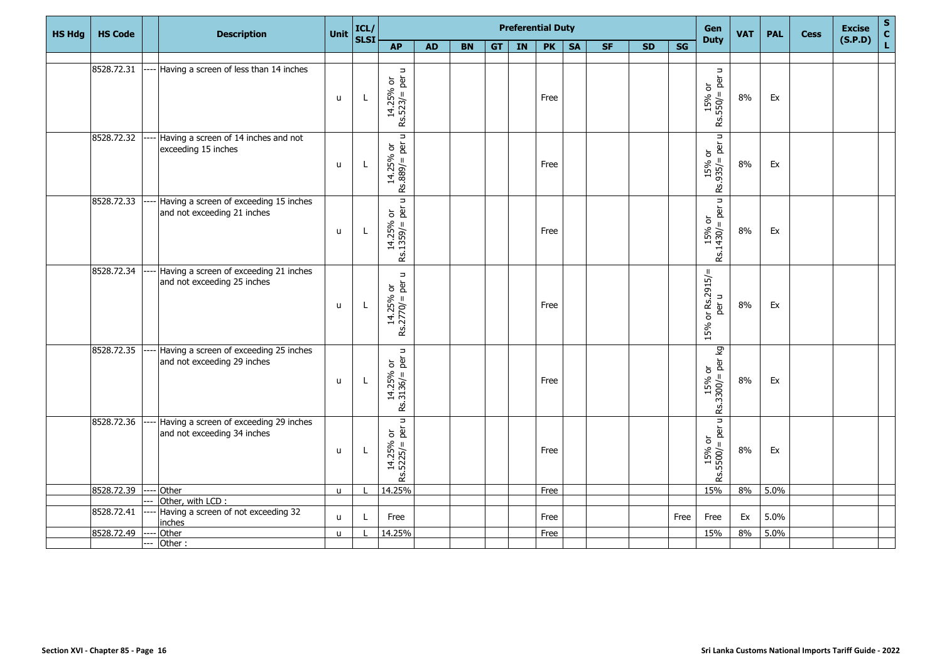| <b>HS Hdg</b> | <b>HS Code</b> |       | <b>Description</b>                                                         | Unit         | ICL/<br>SLSI |                                                                                          |           |           |    | <b>Preferential Duty</b> |           |           |           |           |                        | Gen<br><b>Duty</b>                                                                      | <b>VAT</b> | <b>PAL</b> | <b>Cess</b> | <b>Excise</b><br>(S.P.D) | S<br>C<br>L |
|---------------|----------------|-------|----------------------------------------------------------------------------|--------------|--------------|------------------------------------------------------------------------------------------|-----------|-----------|----|--------------------------|-----------|-----------|-----------|-----------|------------------------|-----------------------------------------------------------------------------------------|------------|------------|-------------|--------------------------|-------------|
|               |                |       |                                                                            |              |              | <b>AP</b>                                                                                | <b>AD</b> | <b>BN</b> | GT | IN                       | <b>PK</b> | <b>SA</b> | <b>SF</b> | <b>SD</b> | $\overline{\text{SG}}$ |                                                                                         |            |            |             |                          |             |
|               | 8528.72.31     |       | Having a screen of less than 14 inches                                     |              |              |                                                                                          |           |           |    |                          |           |           |           |           |                        |                                                                                         |            |            |             |                          |             |
|               |                |       |                                                                            | $\mathsf{u}$ | L            | $\Rightarrow$<br>$Rs.523/=per$<br>14.25% or                                              |           |           |    |                          | Free      |           |           |           |                        | $\Rightarrow$<br>per<br>$\overleftarrow{\mathrm{o}}$<br>$15%$ c<br>$550/=$<br><u>يع</u> | 8%         | Ex         |             |                          |             |
|               | 8528.72.32     |       | Having a screen of 14 inches and not<br>exceeding 15 inches                | $\mathsf{u}$ | L            | Rs.889/ = per u<br>14.25% or                                                             |           |           |    |                          | Free      |           |           |           |                        | $\Rightarrow$<br>per<br>$\frac{15\% \text{ or}}{15.935/2 \text{ pc}}$                   | 8%         | Ex         |             |                          |             |
|               | 8528.72.33     |       | Having a screen of exceeding 15 inches<br>and not exceeding 21 inches      | $\mathsf{u}$ | L            | $\Box$<br>$\begin{bmatrix} 14.25\% \ \text{Rs}.1359/\text{=} \ \text{per} \end{bmatrix}$ |           |           |    |                          | Free      |           |           |           |                        | u<br>$=$ per<br>$\overleftarrow{\sigma}$<br>15%<br>Rs.1430/=                            | 8%         | Ex         |             |                          |             |
|               | 8528.72.34     |       | Having a screen of exceeding 21 inches<br>and not exceeding 25 inches      | $\mathsf{u}$ | L            | $\Rightarrow$<br>$14.25%$ or<br>Rs.2770/= per u                                          |           |           |    |                          | Free      |           |           |           |                        | or $Rs.2915/$<br>$\Rightarrow$<br>per<br>15%                                            | 8%         | Ex         |             |                          |             |
|               | 8528.72.35     |       | ---- Having a screen of exceeding 25 inches<br>and not exceeding 29 inches | u            | L            | Rs.3136/= per u<br>14.25% or                                                             |           |           |    |                          | Free      |           |           |           |                        | ख्<br>$=$ per<br>$\overleftarrow{\mathrm{o}}$<br>$15%$<br>Rs.3300/=                     | 8%         | Ex         |             |                          |             |
|               | 8528.72.36     |       | Having a screen of exceeding 29 inches<br>and not exceeding 34 inches      | u            | L            | $14.25%$ or<br>Rs.5225/= per u                                                           |           |           |    |                          | Free      |           |           |           |                        | u<br>$=$ per<br>$\overleftarrow{\sigma}$<br>15%<br>-\5500/=<br>ΡŚ.                      | $8\%$      | Ex         |             |                          |             |
|               | 8528.72.39     |       | Other                                                                      | $\mathsf{u}$ |              | 14.25%                                                                                   |           |           |    |                          | Free      |           |           |           |                        | 15%                                                                                     | 8%         | 5.0%       |             |                          |             |
|               | 8528.72.41     |       | Other, with LCD :<br>Having a screen of not exceeding 32                   |              |              |                                                                                          |           |           |    |                          |           |           |           |           |                        |                                                                                         |            |            |             |                          |             |
|               |                |       | <i>inches</i>                                                              | $\mathsf{u}$ | L            | Free                                                                                     |           |           |    |                          | Free      |           |           |           | Free                   | Free                                                                                    | Ex         | 5.0%       |             |                          |             |
|               | 8528.72.49     |       | Other                                                                      | u            |              | 14.25%                                                                                   |           |           |    |                          | Free      |           |           |           |                        | 15%                                                                                     | 8%         | 5.0%       |             |                          |             |
|               |                | $---$ | Other:                                                                     |              |              |                                                                                          |           |           |    |                          |           |           |           |           |                        |                                                                                         |            |            |             |                          |             |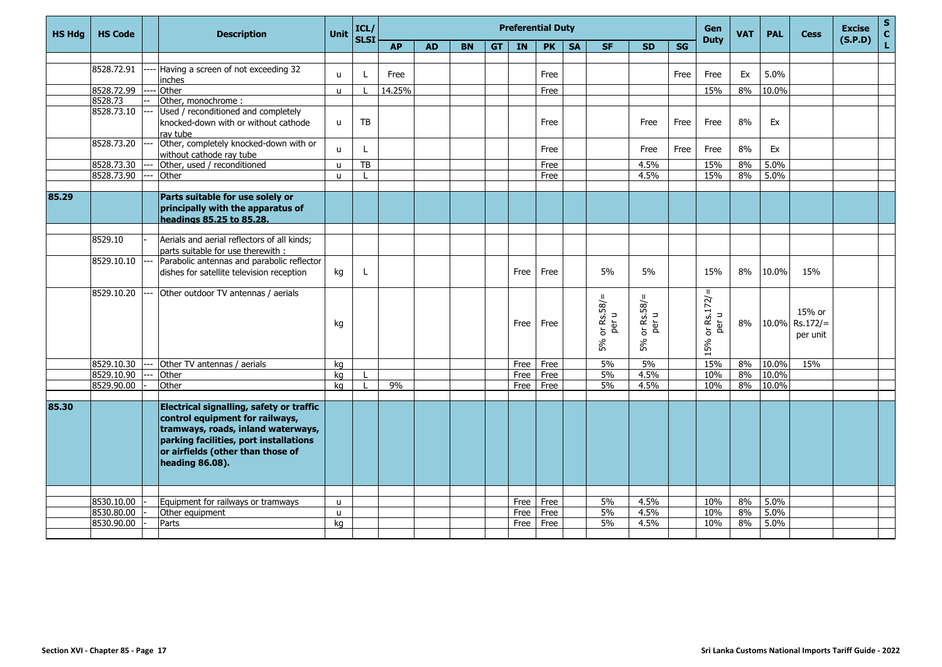| <b>HS Hda</b> | <b>HS Code</b> | <b>Description</b>                                                                                                                                                                                                  | <b>Unit</b>  | ICL/<br><b>SLSI</b> |           |           |           |           |           | <b>Preferential Duty</b> |           |                                            |                                          |      | Gen<br><b>Duty</b>                                   | <b>VAT</b> | <b>PAL</b> | <b>Cess</b>                          | <b>Excise</b><br>(S.P.D) | $\mathbf S$<br>$\mathbf{C}$ |
|---------------|----------------|---------------------------------------------------------------------------------------------------------------------------------------------------------------------------------------------------------------------|--------------|---------------------|-----------|-----------|-----------|-----------|-----------|--------------------------|-----------|--------------------------------------------|------------------------------------------|------|------------------------------------------------------|------------|------------|--------------------------------------|--------------------------|-----------------------------|
|               |                |                                                                                                                                                                                                                     |              |                     | <b>AP</b> | <b>AD</b> | <b>BN</b> | <b>GT</b> | <b>IN</b> | <b>PK</b>                | <b>SA</b> | <b>SF</b>                                  | <b>SD</b>                                | SG   |                                                      |            |            |                                      |                          | L                           |
|               | 8528.72.91     | Having a screen of not exceeding 32                                                                                                                                                                                 |              |                     |           |           |           |           |           |                          |           |                                            |                                          |      |                                                      |            |            |                                      |                          |                             |
|               |                | inches                                                                                                                                                                                                              | u            |                     | Free      |           |           |           |           | Free                     |           |                                            |                                          | Free | Free                                                 | Ex         | 5.0%       |                                      |                          |                             |
|               | 8528.72.99     | Other                                                                                                                                                                                                               | $\mathsf{u}$ |                     | 14.25%    |           |           |           |           | Free                     |           |                                            |                                          |      | 15%                                                  | 8%         | 10.0%      |                                      |                          |                             |
|               | 8528.73        | Other, monochrome:                                                                                                                                                                                                  |              |                     |           |           |           |           |           |                          |           |                                            |                                          |      |                                                      |            |            |                                      |                          |                             |
|               | 8528.73.10     | Used / reconditioned and completely<br>knocked-down with or without cathode<br>ray tube                                                                                                                             | $\mathsf{u}$ | TB                  |           |           |           |           |           | Free                     |           |                                            | Free                                     | Free | Free                                                 | 8%         | Ex         |                                      |                          |                             |
|               | 8528.73.20     | Other, completely knocked-down with or<br>without cathode ray tube                                                                                                                                                  | u            | L                   |           |           |           |           |           | Free                     |           |                                            | Free                                     | Free | Free                                                 | 8%         | Ex         |                                      |                          |                             |
|               | 8528.73.30     | Other, used / reconditioned                                                                                                                                                                                         | $\mathbf{u}$ | TB                  |           |           |           |           |           | Free                     |           |                                            | 4.5%                                     |      | 15%                                                  | 8%         | 5.0%       |                                      |                          |                             |
|               | 8528.73.90     | Other                                                                                                                                                                                                               | u            |                     |           |           |           |           |           | Free                     |           |                                            | 4.5%                                     |      | 15%                                                  | 8%         | 5.0%       |                                      |                          |                             |
|               |                |                                                                                                                                                                                                                     |              |                     |           |           |           |           |           |                          |           |                                            |                                          |      |                                                      |            |            |                                      |                          |                             |
| 85.29         |                | Parts suitable for use solely or<br>principally with the apparatus of<br>headings 85.25 to 85.28.                                                                                                                   |              |                     |           |           |           |           |           |                          |           |                                            |                                          |      |                                                      |            |            |                                      |                          |                             |
|               |                |                                                                                                                                                                                                                     |              |                     |           |           |           |           |           |                          |           |                                            |                                          |      |                                                      |            |            |                                      |                          |                             |
|               | 8529.10        | Aerials and aerial reflectors of all kinds;<br>parts suitable for use therewith :                                                                                                                                   |              |                     |           |           |           |           |           |                          |           |                                            |                                          |      |                                                      |            |            |                                      |                          |                             |
|               | 8529.10.10     | Parabolic antennas and parabolic reflector<br>dishes for satellite television reception                                                                                                                             | kg           | L                   |           |           |           |           | Free      | Free                     |           | 5%                                         | 5%                                       |      | 15%                                                  | 8%         | 10.0%      | 15%                                  |                          |                             |
|               | 8529.10.20     | Other outdoor TV antennas / aerials                                                                                                                                                                                 | kg           |                     |           |           |           |           | Free      | Free                     |           | $\mathbf{II}$<br>or Rs.58/=<br>per u<br>5% | $\mathbf{u}$<br>or Rs.58/<br>per u<br>5% |      | or $Rs.172/$ =<br>$\hbox{\tt\char'42}$<br>per<br>15% | 8%         |            | 15% or<br>10.0% Rs.172/=<br>per unit |                          |                             |
|               | 8529.10.30     | Other TV antennas / aerials                                                                                                                                                                                         | kg           |                     |           |           |           |           | Free      | Free                     |           | 5%                                         | 5%                                       |      | 15%                                                  | 8%         | 10.0%      | 15%                                  |                          |                             |
|               | 8529.10.90     | Other                                                                                                                                                                                                               | ka           |                     |           |           |           |           | Free      | Free                     |           | 5%                                         | 4.5%                                     |      | 10%                                                  | 8%         | 10.0%      |                                      |                          |                             |
|               | 8529.90.00     | Other                                                                                                                                                                                                               | ka           |                     | 9%        |           |           |           | Free      | Free                     |           | 5%                                         | 4.5%                                     |      | 10%                                                  | 8%         | 10.0%      |                                      |                          |                             |
|               |                |                                                                                                                                                                                                                     |              |                     |           |           |           |           |           |                          |           |                                            |                                          |      |                                                      |            |            |                                      |                          |                             |
| 85.30         |                | Electrical signalling, safety or traffic<br>control equipment for railways,<br>tramways, roads, inland waterways,<br>parking facilities, port installations<br>or airfields (other than those of<br>heading 86.08). |              |                     |           |           |           |           |           |                          |           |                                            |                                          |      |                                                      |            |            |                                      |                          |                             |
|               |                |                                                                                                                                                                                                                     |              |                     |           |           |           |           |           |                          |           |                                            |                                          |      |                                                      |            |            |                                      |                          |                             |
|               | 8530.10.00     | Equipment for railways or tramways                                                                                                                                                                                  | $\mathbf{u}$ |                     |           |           |           |           | Free      | Free                     |           | 5%                                         | 4.5%                                     |      | 10%                                                  | 8%         | 5.0%       |                                      |                          |                             |
|               | 8530.80.00     | Other equipment                                                                                                                                                                                                     | <b>u</b>     |                     |           |           |           |           | Free      | Free                     |           | 5%                                         | 4.5%                                     |      | 10%                                                  | 8%         | 5.0%       |                                      |                          |                             |
|               | 8530.90.00     | Parts                                                                                                                                                                                                               | ka           |                     |           |           |           |           | Free      | Free                     |           | 5%                                         | 4.5%                                     |      | 10%                                                  | 8%         | 5.0%       |                                      |                          |                             |
|               |                |                                                                                                                                                                                                                     |              |                     |           |           |           |           |           |                          |           |                                            |                                          |      |                                                      |            |            |                                      |                          |                             |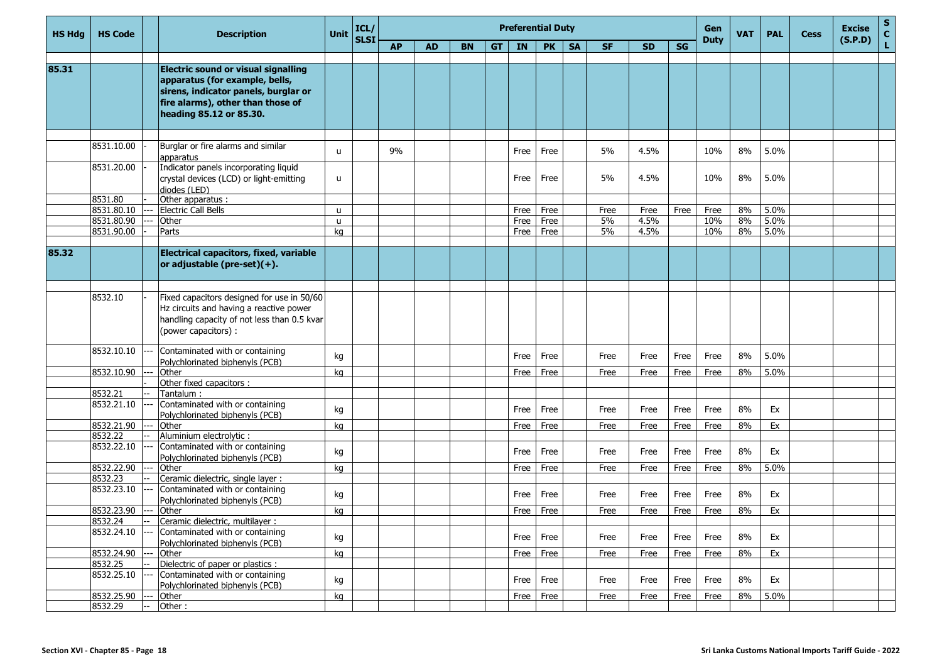| <b>HS Hdg</b> | <b>HS Code</b>        | <b>Description</b>                                                                                                                                                                   | <b>Unit</b>  | ICL/        |           |           |           |    |           | <b>Preferential Duty</b> |           |           |           |           | Gen         | <b>VAT</b> | <b>PAL</b> | <b>Cess</b> | <b>Excise</b> | S<br>$\mathbf c$ |
|---------------|-----------------------|--------------------------------------------------------------------------------------------------------------------------------------------------------------------------------------|--------------|-------------|-----------|-----------|-----------|----|-----------|--------------------------|-----------|-----------|-----------|-----------|-------------|------------|------------|-------------|---------------|------------------|
|               |                       |                                                                                                                                                                                      |              | <b>SLSI</b> | <b>AP</b> | <b>AD</b> | <b>BN</b> | GT | <b>IN</b> | <b>PK</b>                | <b>SA</b> | <b>SF</b> | <b>SD</b> | <b>SG</b> | <b>Duty</b> |            |            |             | (S.P.D)       | L                |
|               |                       |                                                                                                                                                                                      |              |             |           |           |           |    |           |                          |           |           |           |           |             |            |            |             |               |                  |
| 85.31         |                       | <b>Electric sound or visual signalling</b><br>apparatus (for example, bells,<br>sirens, indicator panels, burglar or<br>fire alarms), other than those of<br>heading 85.12 or 85.30. |              |             |           |           |           |    |           |                          |           |           |           |           |             |            |            |             |               |                  |
|               | 8531.10.00            | Burglar or fire alarms and similar                                                                                                                                                   | u            |             | 9%        |           |           |    | Free      | Free                     |           | 5%        | 4.5%      |           | 10%         | 8%         | 5.0%       |             |               |                  |
|               | 8531.20.00            | apparatus<br>Indicator panels incorporating liquid<br>crystal devices (LCD) or light-emitting<br>diodes (LED)                                                                        | u            |             |           |           |           |    | Free      | Free                     |           | 5%        | 4.5%      |           | 10%         | 8%         | 5.0%       |             |               |                  |
|               | 8531.80               | Other apparatus :                                                                                                                                                                    |              |             |           |           |           |    |           |                          |           |           |           |           |             |            |            |             |               |                  |
|               | 8531.80.10            | <b>Electric Call Bells</b>                                                                                                                                                           | $\mathbf{u}$ |             |           |           |           |    | Free      | Free                     |           | Free      | Free      | Free      | Free        | 8%         | 5.0%       |             |               |                  |
|               | 8531.80.90            | Other                                                                                                                                                                                | $\mathsf{u}$ |             |           |           |           |    | Free      | Free                     |           | 5%        | 4.5%      |           | 10%         | 8%         | 5.0%       |             |               |                  |
|               | 8531.90.00            | Parts                                                                                                                                                                                | kg           |             |           |           |           |    | Free      | Free                     |           | 5%        | 4.5%      |           | 10%         | 8%         | 5.0%       |             |               |                  |
| 85.32         |                       | Electrical capacitors, fixed, variable<br>or adjustable (pre-set) $(+)$ .                                                                                                            |              |             |           |           |           |    |           |                          |           |           |           |           |             |            |            |             |               |                  |
|               |                       |                                                                                                                                                                                      |              |             |           |           |           |    |           |                          |           |           |           |           |             |            |            |             |               |                  |
|               | 8532.10               | Fixed capacitors designed for use in 50/60<br>Hz circuits and having a reactive power<br>handling capacity of not less than 0.5 kvar<br>(power capacitors) :                         |              |             |           |           |           |    |           |                          |           |           |           |           |             |            |            |             |               |                  |
|               | 8532.10.10            | Contaminated with or containing<br>Polychlorinated biphenyls (PCB)                                                                                                                   | kg           |             |           |           |           |    | Free      | Free                     |           | Free      | Free      | Free      | Free        | 8%         | 5.0%       |             |               |                  |
|               | 8532.10.90            | Other                                                                                                                                                                                | kq           |             |           |           |           |    | Free      | Free                     |           | Free      | Free      | Free      | Free        | 8%         | 5.0%       |             |               |                  |
|               |                       | Other fixed capacitors :                                                                                                                                                             |              |             |           |           |           |    |           |                          |           |           |           |           |             |            |            |             |               |                  |
|               | 8532.21               | Tantalum :                                                                                                                                                                           |              |             |           |           |           |    |           |                          |           |           |           |           |             |            |            |             |               |                  |
|               | 8532.21.10            | Contaminated with or containing<br>Polychlorinated biphenyls (PCB)                                                                                                                   | kg           |             |           |           |           |    | Free      | Free                     |           | Free      | Free      | Free      | Free        | 8%         | Ex         |             |               |                  |
|               | 8532.21.90            | Other                                                                                                                                                                                | kg           |             |           |           |           |    | Free      | Free                     |           | Free      | Free      | Free      | Free        | 8%         | Ex         |             |               |                  |
|               | 8532.22<br>8532.22.10 | Aluminium electrolytic :<br>Contaminated with or containing                                                                                                                          | kg           |             |           |           |           |    | Free      | Free                     |           | Free      | Free      | Free      | Free        | 8%         | Ex         |             |               |                  |
|               | 8532.22.90            | Polychlorinated biphenyls (PCB)<br>Other                                                                                                                                             |              |             |           |           |           |    | Free      | Free                     |           | Free      |           | Free      | Free        | 8%         | 5.0%       |             |               |                  |
|               | 8532.23               | Ceramic dielectric, single layer :                                                                                                                                                   | ka           |             |           |           |           |    |           |                          |           |           | Free      |           |             |            |            |             |               |                  |
|               | 8532.23.10            | Contaminated with or containing<br>Polychlorinated biphenyls (PCB)                                                                                                                   | kg           |             |           |           |           |    | Free      | Free                     |           | Free      | Free      | Free      | Free        | 8%         | Ex         |             |               |                  |
|               | 8532.23.90            | Other                                                                                                                                                                                | kg           |             |           |           |           |    | Free      | Free                     |           | Free      | Free      | Free      | Free        | 8%         | Ex         |             |               |                  |
|               | 8532.24               | Ceramic dielectric, multilayer :                                                                                                                                                     |              |             |           |           |           |    |           |                          |           |           |           |           |             |            |            |             |               |                  |
|               | 8532.24.10            | Contaminated with or containing<br>Polychlorinated biphenyls (PCB)                                                                                                                   | kg           |             |           |           |           |    | Free      | Free                     |           | Free      | Free      | Free      | Free        | 8%         | Ex         |             |               |                  |
|               | 8532.24.90            | Other                                                                                                                                                                                | kg           |             |           |           |           |    | Free      | Free                     |           | Free      | Free      | Free      | Free        | 8%         | Ex         |             |               |                  |
|               | 8532.25               | Dielectric of paper or plastics :                                                                                                                                                    |              |             |           |           |           |    |           |                          |           |           |           |           |             |            |            |             |               |                  |
|               | 8532.25.10            | Contaminated with or containing<br>Polychlorinated biphenyls (PCB)                                                                                                                   | kg           |             |           |           |           |    | Free      | Free                     |           | Free      | Free      | Free      | Free        | 8%         | Ex         |             |               |                  |
|               | 8532.25.90            | Other                                                                                                                                                                                | kg           |             |           |           |           |    | Free      | Free                     |           | Free      | Free      | Free      | Free        | 8%         | 5.0%       |             |               |                  |
|               | 8532.29               | Other:                                                                                                                                                                               |              |             |           |           |           |    |           |                          |           |           |           |           |             |            |            |             |               |                  |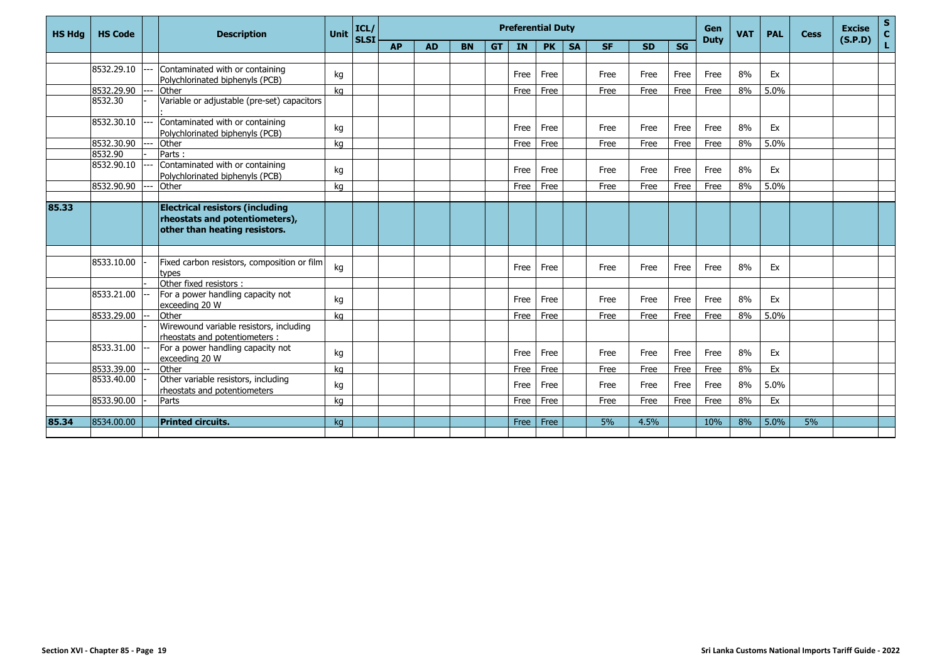| <b>SG</b><br><b>AP</b><br><b>SF</b><br><b>SD</b><br><b>AD</b><br><b>BN</b><br><b>GT</b><br><b>IN</b><br><b>PK</b><br><b>SA</b><br>8532.29.10<br>Contaminated with or containing<br>8%<br>Free<br>Free<br>Ex<br>kg<br>Free<br>Free<br>Free<br>Free<br>Polychlorinated biphenyls (PCB)<br>8532.29.90<br>5.0%<br>Other<br>Free<br>Free<br>Free<br>Free<br>8%<br>ka<br>Free<br>Free<br>Variable or adjustable (pre-set) capacitors<br>8532.30<br>8532.30.10<br>Contaminated with or containing<br>8%<br>Free<br>Free<br>Ex<br>Free<br>Free<br>Free<br>kg<br>Free<br>Polychlorinated biphenyls (PCB)<br>8532.30.90<br>Other<br>8%<br>5.0%<br>Free<br>Free<br>Free<br>Free<br>Free<br>Free<br>ka<br>8532.90<br>Parts:<br>Contaminated with or containing<br>8532.90.10<br>8%<br>Free<br>Free<br>Free<br>Free<br>Free<br>Ex<br>kg<br>Free<br>Polychlorinated biphenyls (PCB)<br>8532.90.90<br>Other<br>8%<br>5.0%<br>Free<br>Free<br>Free<br>Free<br>Free<br>Free<br>ka<br>85.33<br><b>Electrical resistors (including</b><br>rheostats and potentiometers),<br>other than heating resistors.<br>8533.10.00<br>Fixed carbon resistors, composition or film<br>8%<br>Free<br>Ex<br>kg<br>Free<br>Free<br>Free<br>Free<br>Free<br>types<br>Other fixed resistors :<br>8533.21.00<br>For a power handling capacity not<br>8%<br>Free<br>Free<br>Free<br>Free<br>Free<br>Ex<br>kg<br>Free<br>exceeding 20 W<br>8%<br>5.0%<br>8533.29.00<br>Other<br>Free<br>ka<br>Free<br>Free<br>Free<br>Free<br>Free<br>Wirewound variable resistors, including<br>rheostats and potentiometers:<br>8533.31.00<br>For a power handling capacity not<br>8%<br>Free<br>Free<br>Free<br>Ex<br>Free<br>Free<br>Free<br>kg<br>exceeding 20 W<br>8533.39.00<br>Other<br>Free<br>8%<br>Ex<br>ka<br>Free<br>Free<br>Free<br>Free<br>Free<br>Other variable resistors, including<br>8533.40.00<br>8%<br>5.0%<br>Free<br>Free<br>Free<br>Free<br>Free<br>kg<br>Free<br>rheostats and potentiometers<br>8533.90.00<br>8%<br>Parts<br>Free<br>Free<br>Free<br>Free<br>Ex<br>Free<br>Free<br>ka | <b>HS Hdg</b> | <b>HS Code</b> | <b>Description</b> | <b>Unit</b> | ICL/        |  |  | <b>Preferential Duty</b> |  |  | Gen         | <b>VAT</b> | <b>PAL</b> | <b>Cess</b> | <b>Excise</b> | $\frac{s}{c}$ |
|-----------------------------------------------------------------------------------------------------------------------------------------------------------------------------------------------------------------------------------------------------------------------------------------------------------------------------------------------------------------------------------------------------------------------------------------------------------------------------------------------------------------------------------------------------------------------------------------------------------------------------------------------------------------------------------------------------------------------------------------------------------------------------------------------------------------------------------------------------------------------------------------------------------------------------------------------------------------------------------------------------------------------------------------------------------------------------------------------------------------------------------------------------------------------------------------------------------------------------------------------------------------------------------------------------------------------------------------------------------------------------------------------------------------------------------------------------------------------------------------------------------------------------------------------------------------------------------------------------------------------------------------------------------------------------------------------------------------------------------------------------------------------------------------------------------------------------------------------------------------------------------------------------------------------------------------------------------------------------------------------------------------------------------------------------------|---------------|----------------|--------------------|-------------|-------------|--|--|--------------------------|--|--|-------------|------------|------------|-------------|---------------|---------------|
|                                                                                                                                                                                                                                                                                                                                                                                                                                                                                                                                                                                                                                                                                                                                                                                                                                                                                                                                                                                                                                                                                                                                                                                                                                                                                                                                                                                                                                                                                                                                                                                                                                                                                                                                                                                                                                                                                                                                                                                                                                                           |               |                |                    |             | <b>SLSI</b> |  |  |                          |  |  | <b>Duty</b> |            |            |             | (S.P.D)       | Ĺ             |
|                                                                                                                                                                                                                                                                                                                                                                                                                                                                                                                                                                                                                                                                                                                                                                                                                                                                                                                                                                                                                                                                                                                                                                                                                                                                                                                                                                                                                                                                                                                                                                                                                                                                                                                                                                                                                                                                                                                                                                                                                                                           |               |                |                    |             |             |  |  |                          |  |  |             |            |            |             |               |               |
|                                                                                                                                                                                                                                                                                                                                                                                                                                                                                                                                                                                                                                                                                                                                                                                                                                                                                                                                                                                                                                                                                                                                                                                                                                                                                                                                                                                                                                                                                                                                                                                                                                                                                                                                                                                                                                                                                                                                                                                                                                                           |               |                |                    |             |             |  |  |                          |  |  |             |            |            |             |               |               |
|                                                                                                                                                                                                                                                                                                                                                                                                                                                                                                                                                                                                                                                                                                                                                                                                                                                                                                                                                                                                                                                                                                                                                                                                                                                                                                                                                                                                                                                                                                                                                                                                                                                                                                                                                                                                                                                                                                                                                                                                                                                           |               |                |                    |             |             |  |  |                          |  |  |             |            |            |             |               |               |
|                                                                                                                                                                                                                                                                                                                                                                                                                                                                                                                                                                                                                                                                                                                                                                                                                                                                                                                                                                                                                                                                                                                                                                                                                                                                                                                                                                                                                                                                                                                                                                                                                                                                                                                                                                                                                                                                                                                                                                                                                                                           |               |                |                    |             |             |  |  |                          |  |  |             |            |            |             |               |               |
|                                                                                                                                                                                                                                                                                                                                                                                                                                                                                                                                                                                                                                                                                                                                                                                                                                                                                                                                                                                                                                                                                                                                                                                                                                                                                                                                                                                                                                                                                                                                                                                                                                                                                                                                                                                                                                                                                                                                                                                                                                                           |               |                |                    |             |             |  |  |                          |  |  |             |            |            |             |               |               |
|                                                                                                                                                                                                                                                                                                                                                                                                                                                                                                                                                                                                                                                                                                                                                                                                                                                                                                                                                                                                                                                                                                                                                                                                                                                                                                                                                                                                                                                                                                                                                                                                                                                                                                                                                                                                                                                                                                                                                                                                                                                           |               |                |                    |             |             |  |  |                          |  |  |             |            |            |             |               |               |
|                                                                                                                                                                                                                                                                                                                                                                                                                                                                                                                                                                                                                                                                                                                                                                                                                                                                                                                                                                                                                                                                                                                                                                                                                                                                                                                                                                                                                                                                                                                                                                                                                                                                                                                                                                                                                                                                                                                                                                                                                                                           |               |                |                    |             |             |  |  |                          |  |  |             |            |            |             |               |               |
|                                                                                                                                                                                                                                                                                                                                                                                                                                                                                                                                                                                                                                                                                                                                                                                                                                                                                                                                                                                                                                                                                                                                                                                                                                                                                                                                                                                                                                                                                                                                                                                                                                                                                                                                                                                                                                                                                                                                                                                                                                                           |               |                |                    |             |             |  |  |                          |  |  |             |            |            |             |               |               |
|                                                                                                                                                                                                                                                                                                                                                                                                                                                                                                                                                                                                                                                                                                                                                                                                                                                                                                                                                                                                                                                                                                                                                                                                                                                                                                                                                                                                                                                                                                                                                                                                                                                                                                                                                                                                                                                                                                                                                                                                                                                           |               |                |                    |             |             |  |  |                          |  |  |             |            |            |             |               |               |
|                                                                                                                                                                                                                                                                                                                                                                                                                                                                                                                                                                                                                                                                                                                                                                                                                                                                                                                                                                                                                                                                                                                                                                                                                                                                                                                                                                                                                                                                                                                                                                                                                                                                                                                                                                                                                                                                                                                                                                                                                                                           |               |                |                    |             |             |  |  |                          |  |  |             |            |            |             |               |               |
|                                                                                                                                                                                                                                                                                                                                                                                                                                                                                                                                                                                                                                                                                                                                                                                                                                                                                                                                                                                                                                                                                                                                                                                                                                                                                                                                                                                                                                                                                                                                                                                                                                                                                                                                                                                                                                                                                                                                                                                                                                                           |               |                |                    |             |             |  |  |                          |  |  |             |            |            |             |               |               |
|                                                                                                                                                                                                                                                                                                                                                                                                                                                                                                                                                                                                                                                                                                                                                                                                                                                                                                                                                                                                                                                                                                                                                                                                                                                                                                                                                                                                                                                                                                                                                                                                                                                                                                                                                                                                                                                                                                                                                                                                                                                           |               |                |                    |             |             |  |  |                          |  |  |             |            |            |             |               |               |
|                                                                                                                                                                                                                                                                                                                                                                                                                                                                                                                                                                                                                                                                                                                                                                                                                                                                                                                                                                                                                                                                                                                                                                                                                                                                                                                                                                                                                                                                                                                                                                                                                                                                                                                                                                                                                                                                                                                                                                                                                                                           |               |                |                    |             |             |  |  |                          |  |  |             |            |            |             |               |               |
|                                                                                                                                                                                                                                                                                                                                                                                                                                                                                                                                                                                                                                                                                                                                                                                                                                                                                                                                                                                                                                                                                                                                                                                                                                                                                                                                                                                                                                                                                                                                                                                                                                                                                                                                                                                                                                                                                                                                                                                                                                                           |               |                |                    |             |             |  |  |                          |  |  |             |            |            |             |               |               |
|                                                                                                                                                                                                                                                                                                                                                                                                                                                                                                                                                                                                                                                                                                                                                                                                                                                                                                                                                                                                                                                                                                                                                                                                                                                                                                                                                                                                                                                                                                                                                                                                                                                                                                                                                                                                                                                                                                                                                                                                                                                           |               |                |                    |             |             |  |  |                          |  |  |             |            |            |             |               |               |
|                                                                                                                                                                                                                                                                                                                                                                                                                                                                                                                                                                                                                                                                                                                                                                                                                                                                                                                                                                                                                                                                                                                                                                                                                                                                                                                                                                                                                                                                                                                                                                                                                                                                                                                                                                                                                                                                                                                                                                                                                                                           |               |                |                    |             |             |  |  |                          |  |  |             |            |            |             |               |               |
|                                                                                                                                                                                                                                                                                                                                                                                                                                                                                                                                                                                                                                                                                                                                                                                                                                                                                                                                                                                                                                                                                                                                                                                                                                                                                                                                                                                                                                                                                                                                                                                                                                                                                                                                                                                                                                                                                                                                                                                                                                                           |               |                |                    |             |             |  |  |                          |  |  |             |            |            |             |               |               |
|                                                                                                                                                                                                                                                                                                                                                                                                                                                                                                                                                                                                                                                                                                                                                                                                                                                                                                                                                                                                                                                                                                                                                                                                                                                                                                                                                                                                                                                                                                                                                                                                                                                                                                                                                                                                                                                                                                                                                                                                                                                           |               |                |                    |             |             |  |  |                          |  |  |             |            |            |             |               |               |
|                                                                                                                                                                                                                                                                                                                                                                                                                                                                                                                                                                                                                                                                                                                                                                                                                                                                                                                                                                                                                                                                                                                                                                                                                                                                                                                                                                                                                                                                                                                                                                                                                                                                                                                                                                                                                                                                                                                                                                                                                                                           |               |                |                    |             |             |  |  |                          |  |  |             |            |            |             |               |               |
|                                                                                                                                                                                                                                                                                                                                                                                                                                                                                                                                                                                                                                                                                                                                                                                                                                                                                                                                                                                                                                                                                                                                                                                                                                                                                                                                                                                                                                                                                                                                                                                                                                                                                                                                                                                                                                                                                                                                                                                                                                                           |               |                |                    |             |             |  |  |                          |  |  |             |            |            |             |               |               |
|                                                                                                                                                                                                                                                                                                                                                                                                                                                                                                                                                                                                                                                                                                                                                                                                                                                                                                                                                                                                                                                                                                                                                                                                                                                                                                                                                                                                                                                                                                                                                                                                                                                                                                                                                                                                                                                                                                                                                                                                                                                           |               |                |                    |             |             |  |  |                          |  |  |             |            |            |             |               |               |
|                                                                                                                                                                                                                                                                                                                                                                                                                                                                                                                                                                                                                                                                                                                                                                                                                                                                                                                                                                                                                                                                                                                                                                                                                                                                                                                                                                                                                                                                                                                                                                                                                                                                                                                                                                                                                                                                                                                                                                                                                                                           |               |                |                    |             |             |  |  |                          |  |  |             |            |            |             |               |               |
| 5%<br>4.5%<br>10%<br>8%<br>5.0%<br>5%<br>8534.00.00<br><b>Printed circuits.</b><br>Free<br>85.34<br>ka<br>Free                                                                                                                                                                                                                                                                                                                                                                                                                                                                                                                                                                                                                                                                                                                                                                                                                                                                                                                                                                                                                                                                                                                                                                                                                                                                                                                                                                                                                                                                                                                                                                                                                                                                                                                                                                                                                                                                                                                                            |               |                |                    |             |             |  |  |                          |  |  |             |            |            |             |               |               |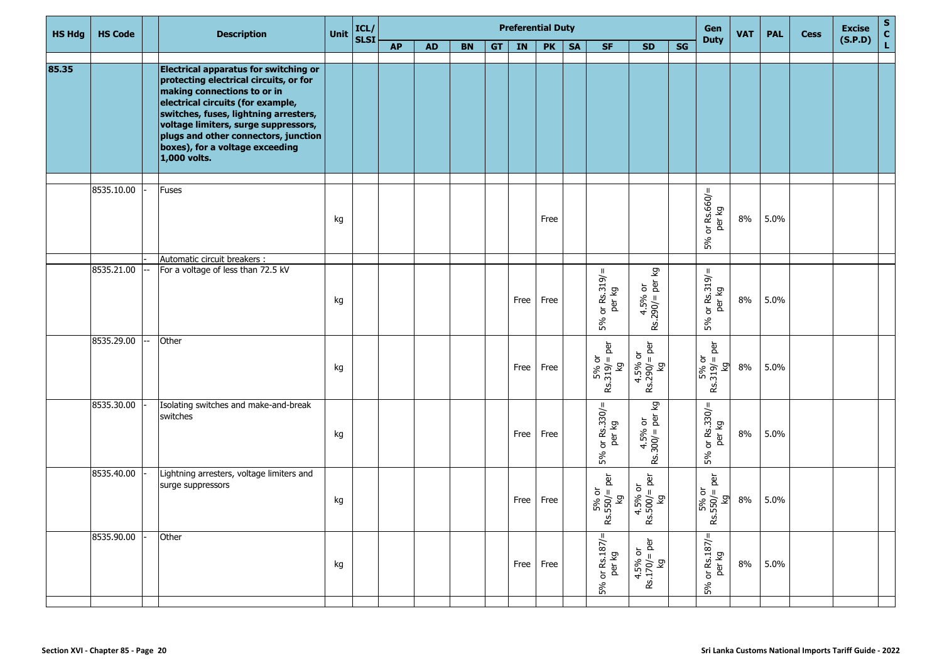| <b>HS Hdg</b> | <b>HS Code</b> | <b>Description</b>                                                                                                                                                                                                                                                                                                                     | Unit | ICL/<br>SLSI |           |           |           |    |      | <b>Preferential Duty</b> |           |                                                    |                                         |    | Gen                                                      | <b>VAT</b> | <b>PAL</b> | <b>Cess</b> | <b>Excise</b> | $\frac{S}{C}$ |
|---------------|----------------|----------------------------------------------------------------------------------------------------------------------------------------------------------------------------------------------------------------------------------------------------------------------------------------------------------------------------------------|------|--------------|-----------|-----------|-----------|----|------|--------------------------|-----------|----------------------------------------------------|-----------------------------------------|----|----------------------------------------------------------|------------|------------|-------------|---------------|---------------|
|               |                |                                                                                                                                                                                                                                                                                                                                        |      |              | <b>AP</b> | <b>AD</b> | <b>BN</b> | GT | IN   | <b>PK</b>                | <b>SA</b> | <b>SF</b>                                          | <b>SD</b>                               | SG | <b>Duty</b>                                              |            |            |             | (S.P.D)       |               |
| 85.35         |                | <b>Electrical apparatus for switching or</b><br>protecting electrical circuits, or for<br>making connections to or in<br>electrical circuits (for example,<br>switches, fuses, lightning arresters,<br>voltage limiters, surge suppressors,<br>plugs and other connectors, junction<br>boxes), for a voltage exceeding<br>1,000 volts. |      |              |           |           |           |    |      |                          |           |                                                    |                                         |    |                                                          |            |            |             |               |               |
|               | 8535.10.00     | <b>Fuses</b>                                                                                                                                                                                                                                                                                                                           | kg   |              |           |           |           |    |      | Free                     |           |                                                    |                                         |    | or $Rs.660 =$<br>per kg<br>5%                            | 8%         | 5.0%       |             |               |               |
|               | 8535.21.00     | Automatic circuit breakers :<br>For a voltage of less than 72.5 kV                                                                                                                                                                                                                                                                     | kg   |              |           |           |           |    | Free | Free                     |           | $5%$ or $Rs.319$ /=                                | 4.5% or<br>Rs.290/= per kg              |    | or $Rs.319/6$<br>per kg<br>5%                            | 8%         | 5.0%       |             |               |               |
|               | 8535.29.00     | Other                                                                                                                                                                                                                                                                                                                                  | kg   |              |           |           |           |    | Free | Free                     |           | $5%$ or<br>Rs.319/= per<br>δ                       | $4.5%$ or<br>Rs.290/= per<br>δ          |    | per<br>$\frac{5\% \text{ or}}{Rs.319/-1}$<br>Σò          | 8%         | 5.0%       |             |               |               |
|               | 8535.30.00     | Isolating switches and make-and-break<br>switches                                                                                                                                                                                                                                                                                      | kg   |              |           |           |           |    | Free | Free                     |           | $5%$ or $Rs.330/=\$ per kg                         | 4.5% or<br>Rs.300/= per kg              |    | or $Rs.330/=\$ per kg<br>5%                              | 8%         | 5.0%       |             |               |               |
|               | 8535.40.00     | Lightning arresters, voltage limiters and<br>surge suppressors                                                                                                                                                                                                                                                                         | kg   |              |           |           |           |    | Free | Free                     |           | $5\%$ or<br>Rs.550/= per<br>$\mathbf{\mathcal{Q}}$ | $4.5\%$ or<br>Rs.500/= per<br>kg        |    | per<br>$\frac{5\% \text{ or}}{550/4}$<br>ທ່<br>$\propto$ | 8%         | 5.0%       |             |               |               |
|               | 8535.90.00     | Other                                                                                                                                                                                                                                                                                                                                  | kg   |              |           |           |           |    | Free | Free                     |           | JL.<br>5% or Rs.187/<br>per kg                     | $4.5% \text{ or}$<br>Rs.170/= per<br>kg |    | $5%$ or Rs.187/=<br>per kg                               | $8\%$      | 5.0%       |             |               |               |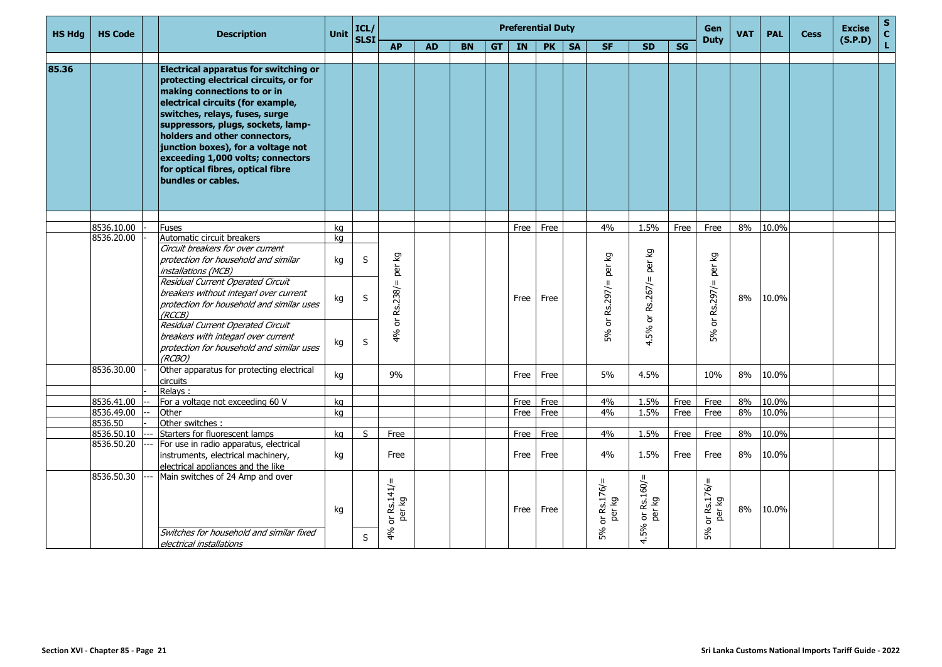| <b>HS Hdg</b> | <b>HS Code</b> | <b>Description</b>                                                                                                                                                                                                                                                                                                                                                                                        | Unit                 | ICL/<br>SLSI |                                                                            |           |           |           |           | <b>Preferential Duty</b> |           |                                             |                                                                 |      | Gen                                                                 | <b>VAT</b> | <b>PAL</b> | <b>Cess</b> | <b>Excise</b> | S<br>C<br>L |
|---------------|----------------|-----------------------------------------------------------------------------------------------------------------------------------------------------------------------------------------------------------------------------------------------------------------------------------------------------------------------------------------------------------------------------------------------------------|----------------------|--------------|----------------------------------------------------------------------------|-----------|-----------|-----------|-----------|--------------------------|-----------|---------------------------------------------|-----------------------------------------------------------------|------|---------------------------------------------------------------------|------------|------------|-------------|---------------|-------------|
|               |                |                                                                                                                                                                                                                                                                                                                                                                                                           |                      |              | <b>AP</b>                                                                  | <b>AD</b> | <b>BN</b> | <b>GT</b> | <b>IN</b> | <b>PK</b>                | <b>SA</b> | <b>SF</b>                                   | <b>SD</b>                                                       | SG   | <b>Duty</b>                                                         |            |            |             | (S.P.D)       |             |
|               |                |                                                                                                                                                                                                                                                                                                                                                                                                           |                      |              |                                                                            |           |           |           |           |                          |           |                                             |                                                                 |      |                                                                     |            |            |             |               |             |
| 85.36         |                | <b>Electrical apparatus for switching or</b><br>protecting electrical circuits, or for<br>making connections to or in<br>electrical circuits (for example,<br>switches, relays, fuses, surge<br>suppressors, plugs, sockets, lamp-<br>holders and other connectors,<br>junction boxes), for a voltage not<br>exceeding 1,000 volts; connectors<br>for optical fibres, optical fibre<br>bundles or cables. |                      |              |                                                                            |           |           |           |           |                          |           |                                             |                                                                 |      |                                                                     |            |            |             |               |             |
|               |                |                                                                                                                                                                                                                                                                                                                                                                                                           |                      |              |                                                                            |           |           |           |           |                          |           |                                             |                                                                 |      |                                                                     |            |            |             |               |             |
|               | 8536.10.00     | <b>Fuses</b>                                                                                                                                                                                                                                                                                                                                                                                              | kg                   |              |                                                                            |           |           |           | Free      | Free                     |           | 4%                                          | 1.5%                                                            | Free | Free                                                                | 8%         | 10.0%      |             |               |             |
|               | 8536.20.00     | Automatic circuit breakers<br>Circuit breakers for over current<br>protection for household and similar<br>installations (MCB)<br>Residual Current Operated Circuit<br>breakers without integarl over current<br>protection for household and similar uses<br>(RCCB)<br>Residual Current Operated Circuit<br>breakers with integarl over current<br>protection for household and similar uses<br>(RCBO)   | kg<br>kg<br>kg<br>kg | S<br>S<br>S  | δă<br>per<br>$\mathbf{I}$<br>Rs.238/<br>$\overleftarrow{\mathrm{o}}$<br>4% |           |           |           | Free      | Free                     |           | δ<br>per<br>or $Rs.297/$ =<br>5%            | δă<br>per<br>$Rs.267 =$<br>$\overleftarrow{\mathrm{o}}$<br>4.5% |      | δ<br>per<br>$\,$ H<br>Rs.297/<br>$\overleftarrow{\mathrm{o}}$<br>5% | 8%         | 10.0%      |             |               |             |
|               | 8536.30.00     | Other apparatus for protecting electrical<br>circuits                                                                                                                                                                                                                                                                                                                                                     | kg                   |              | 9%                                                                         |           |           |           | Free      | Free                     |           | 5%                                          | 4.5%                                                            |      | 10%                                                                 | 8%         | 10.0%      |             |               |             |
|               |                | Relays:                                                                                                                                                                                                                                                                                                                                                                                                   |                      |              |                                                                            |           |           |           |           |                          |           |                                             |                                                                 |      |                                                                     |            |            |             |               |             |
|               | 8536.41.00     | For a voltage not exceeding 60 V                                                                                                                                                                                                                                                                                                                                                                          | kg                   |              |                                                                            |           |           |           | Free      | Free                     |           | 4%                                          | 1.5%                                                            | Free | Free                                                                | 8%         | 10.0%      |             |               |             |
|               | 8536.49.00     | Other                                                                                                                                                                                                                                                                                                                                                                                                     | kg                   |              |                                                                            |           |           |           | Free      | Free                     |           | 4%                                          | 1.5%                                                            | Free | Free                                                                | 8%         | 10.0%      |             |               |             |
|               | 8536.50        | Other switches :                                                                                                                                                                                                                                                                                                                                                                                          |                      |              |                                                                            |           |           |           |           |                          |           |                                             |                                                                 |      |                                                                     |            |            |             |               |             |
|               | 8536.50.10     | Starters for fluorescent lamps                                                                                                                                                                                                                                                                                                                                                                            | ka                   | S            | Free                                                                       |           |           |           | Free      | Free                     |           | 4%                                          | 1.5%                                                            | Free | Free                                                                | 8%         | 10.0%      |             |               |             |
|               | 8536.50.20     | For use in radio apparatus, electrical<br>instruments, electrical machinery,<br>electrical appliances and the like                                                                                                                                                                                                                                                                                        | kg                   |              | Free                                                                       |           |           |           | Free      | Free                     |           | 4%                                          | 1.5%                                                            | Free | Free                                                                | 8%         | 10.0%      |             |               |             |
|               | 8536.50.30     | Main switches of 24 Amp and over<br>Switches for household and similar fixed<br>electrical installations                                                                                                                                                                                                                                                                                                  | kg                   | S            | or $Rs.141/$ =<br>per kg<br>4%                                             |           |           |           | Free      | Free                     |           | $\mathbf{H}$<br>or Rs.176/=<br>per kg<br>5% | or $Rs.160 / =$ per kg<br>5%<br>$\vec{r}$                       |      | $\mathbf H$<br>or $Rs.176/$<br>per kg<br>5%                         | 8%         | 10.0%      |             |               |             |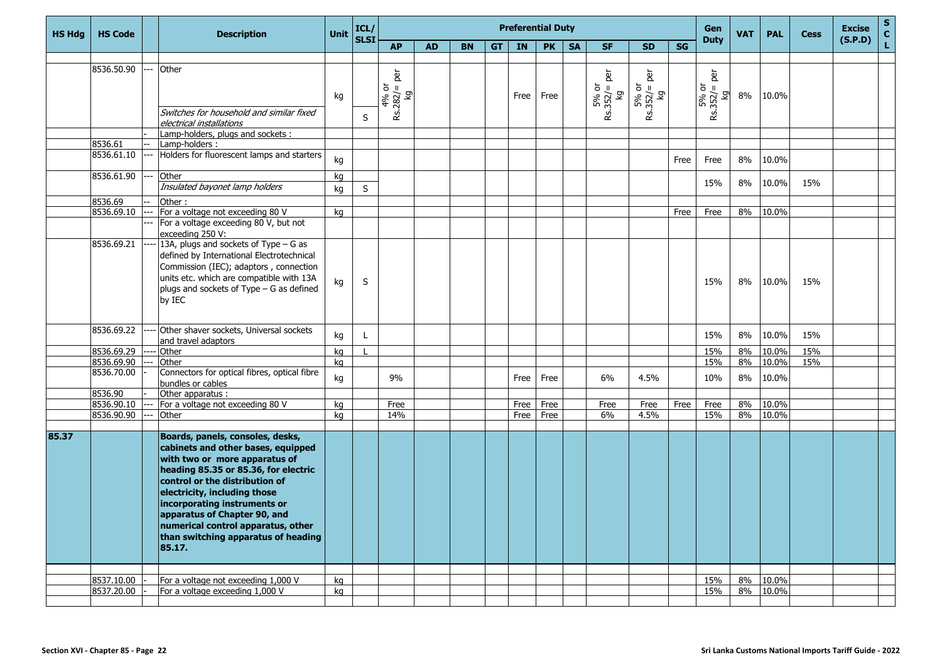| <b>HS Hdg</b> | <b>HS Code</b>           | <b>Description</b>                                                                                                                                                                                                                                                                                                                                                       | <b>Unit</b> | ICL/<br>SLSI |                                            |           |           |    |      | <b>Preferential Duty</b> |           |                                     |                                     |           | Gen<br><b>Duty</b>                                 | <b>VAT</b> | <b>PAL</b>     | <b>Cess</b> | <b>Excise</b> | $\frac{s}{c}$ |
|---------------|--------------------------|--------------------------------------------------------------------------------------------------------------------------------------------------------------------------------------------------------------------------------------------------------------------------------------------------------------------------------------------------------------------------|-------------|--------------|--------------------------------------------|-----------|-----------|----|------|--------------------------|-----------|-------------------------------------|-------------------------------------|-----------|----------------------------------------------------|------------|----------------|-------------|---------------|---------------|
|               |                          |                                                                                                                                                                                                                                                                                                                                                                          |             |              | <b>AP</b>                                  | <b>AD</b> | <b>BN</b> | GT | IN   | <b>PK</b>                | <b>SA</b> | <b>SF</b>                           | <b>SD</b>                           | <b>SG</b> |                                                    |            |                |             | (S.P.D)       | Ĺ,            |
|               |                          |                                                                                                                                                                                                                                                                                                                                                                          |             |              |                                            |           |           |    |      |                          |           |                                     |                                     |           |                                                    |            |                |             |               |               |
|               | 8536.50.90               | Other<br>Switches for household and similar fixed                                                                                                                                                                                                                                                                                                                        | kg          | S            | per<br>$4\% \text{ or}$<br>Rs.282/=<br>ତ୍ର |           |           |    | Free | Free                     |           | per<br>$5%$ or<br>Rs.352/= I<br>ত্ৰ | per<br>$5\%$ or<br>Rs.352/= p<br>kg |           | per<br>$5\% \text{ or}$<br>$352/4$<br>ା<br>ଜ<br>æ. | 8%         | 10.0%          |             |               |               |
|               |                          | electrical installations<br>Lamp-holders, plugs and sockets:                                                                                                                                                                                                                                                                                                             |             |              |                                            |           |           |    |      |                          |           |                                     |                                     |           |                                                    |            |                |             |               |               |
|               | 8536.61                  | Lamp-holders:                                                                                                                                                                                                                                                                                                                                                            |             |              |                                            |           |           |    |      |                          |           |                                     |                                     |           |                                                    |            |                |             |               |               |
|               | 8536.61.10               | Holders for fluorescent lamps and starters                                                                                                                                                                                                                                                                                                                               | kg          |              |                                            |           |           |    |      |                          |           |                                     |                                     | Free      | Free                                               | 8%         | 10.0%          |             |               |               |
|               | 8536.61.90               | Other<br>Insulated bayonet lamp holders                                                                                                                                                                                                                                                                                                                                  | kg<br>kg    | S            |                                            |           |           |    |      |                          |           |                                     |                                     |           | 15%                                                | 8%         | 10.0%          | 15%         |               |               |
|               | 8536.69                  | Other:                                                                                                                                                                                                                                                                                                                                                                   |             |              |                                            |           |           |    |      |                          |           |                                     |                                     |           |                                                    |            |                |             |               |               |
|               | 8536.69.10               | For a voltage not exceeding 80 V                                                                                                                                                                                                                                                                                                                                         | kg          |              |                                            |           |           |    |      |                          |           |                                     |                                     | Free      | Free                                               | 8%         | 10.0%          |             |               |               |
|               |                          | For a voltage exceeding 80 V, but not<br>exceeding 250 V:                                                                                                                                                                                                                                                                                                                |             |              |                                            |           |           |    |      |                          |           |                                     |                                     |           |                                                    |            |                |             |               |               |
|               | 8536.69.21               | 13A, plugs and sockets of Type - G as<br>defined by International Electrotechnical<br>Commission (IEC); adaptors, connection<br>units etc. which are compatible with 13A<br>plugs and sockets of Type - G as defined<br>by IEC                                                                                                                                           | kg          | S            |                                            |           |           |    |      |                          |           |                                     |                                     |           | 15%                                                | 8%         | 10.0%          | 15%         |               |               |
|               | 8536.69.22               | Other shaver sockets, Universal sockets<br>and travel adaptors                                                                                                                                                                                                                                                                                                           | kg          | L            |                                            |           |           |    |      |                          |           |                                     |                                     |           | 15%                                                | 8%         | 10.0%          | 15%         |               |               |
|               | 8536.69.29               | Other                                                                                                                                                                                                                                                                                                                                                                    | kg          |              |                                            |           |           |    |      |                          |           |                                     |                                     |           | 15%                                                | 8%         | 10.0%          | 15%         |               |               |
|               | 8536.69.90               | Other                                                                                                                                                                                                                                                                                                                                                                    | kg          |              |                                            |           |           |    |      |                          |           |                                     |                                     |           | 15%                                                | 8%         | 10.0%          | 15%         |               |               |
|               | 8536.70.00               | Connectors for optical fibres, optical fibre<br>bundles or cables                                                                                                                                                                                                                                                                                                        | kg          |              | 9%                                         |           |           |    | Free | Free                     |           | 6%                                  | 4.5%                                |           | 10%                                                | 8%         | 10.0%          |             |               |               |
|               | 8536.90                  | Other apparatus :                                                                                                                                                                                                                                                                                                                                                        |             |              |                                            |           |           |    |      |                          |           |                                     |                                     |           |                                                    |            |                |             |               |               |
|               | 8536.90.10               | For a voltage not exceeding 80 V                                                                                                                                                                                                                                                                                                                                         | kg          |              | Free                                       |           |           |    | Free | Free                     |           | Free                                | Free                                | Free      | Free                                               | 8%         | 10.0%          |             |               |               |
|               | 8536.90.90               | Other                                                                                                                                                                                                                                                                                                                                                                    | kg          |              | 14%                                        |           |           |    | Free | Free                     |           | 6%                                  | 4.5%                                |           | 15%                                                | 8%         | 10.0%          |             |               |               |
| 85.37         |                          | Boards, panels, consoles, desks,<br>cabinets and other bases, equipped<br>with two or more apparatus of<br>heading 85.35 or 85.36, for electric<br>control or the distribution of<br>electricity, including those<br>incorporating instruments or<br>apparatus of Chapter 90, and<br>numerical control apparatus, other<br>than switching apparatus of heading<br>85.17. |             |              |                                            |           |           |    |      |                          |           |                                     |                                     |           |                                                    |            |                |             |               |               |
|               |                          |                                                                                                                                                                                                                                                                                                                                                                          |             |              |                                            |           |           |    |      |                          |           |                                     |                                     |           |                                                    |            |                |             |               |               |
|               | 8537.10.00<br>8537.20.00 | For a voltage not exceeding 1,000 V<br>For a voltage exceeding 1,000 V                                                                                                                                                                                                                                                                                                   | kg<br>kg    |              |                                            |           |           |    |      |                          |           |                                     |                                     |           | 15%<br>15%                                         | 8%<br>8%   | 10.0%<br>10.0% |             |               |               |
|               |                          |                                                                                                                                                                                                                                                                                                                                                                          |             |              |                                            |           |           |    |      |                          |           |                                     |                                     |           |                                                    |            |                |             |               |               |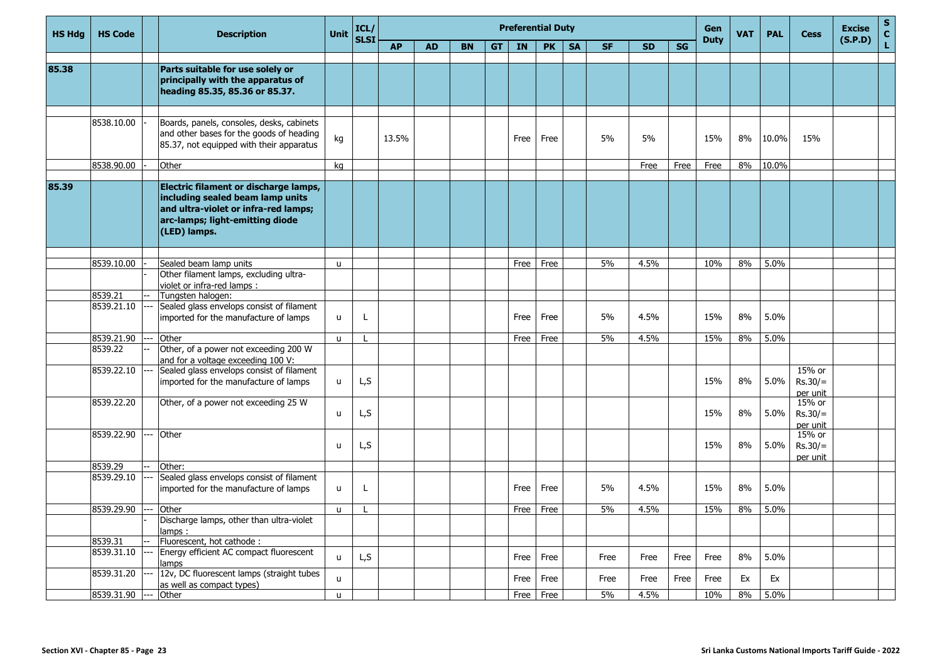| <b>HS Hdg</b> | <b>HS Code</b> | <b>Description</b>                                                                                                                                                   | <b>Unit</b>  | ICL/        |           |           |           |           |      | <b>Preferential Duty</b> |           |           |           |           | Gen         | <b>VAT</b> | <b>PAL</b> | Cess                            | <b>Excise</b> | $\mathbf S$<br>$\frac{c}{L}$ |
|---------------|----------------|----------------------------------------------------------------------------------------------------------------------------------------------------------------------|--------------|-------------|-----------|-----------|-----------|-----------|------|--------------------------|-----------|-----------|-----------|-----------|-------------|------------|------------|---------------------------------|---------------|------------------------------|
|               |                |                                                                                                                                                                      |              | <b>SLSI</b> | <b>AP</b> | <b>AD</b> | <b>BN</b> | <b>GT</b> | IN   | <b>PK</b>                | <b>SA</b> | <b>SF</b> | <b>SD</b> | <b>SG</b> | <b>Duty</b> |            |            |                                 | (S.P.D)       |                              |
| 85.38         |                | Parts suitable for use solely or<br>principally with the apparatus of<br>heading 85.35, 85.36 or 85.37.                                                              |              |             |           |           |           |           |      |                          |           |           |           |           |             |            |            |                                 |               |                              |
|               | 8538.10.00     | Boards, panels, consoles, desks, cabinets<br>and other bases for the goods of heading<br>85.37, not equipped with their apparatus                                    | kg           |             | 13.5%     |           |           |           | Free | Free                     |           | 5%        | 5%        |           | 15%         | 8%         | 10.0%      | 15%                             |               |                              |
|               | 8538.90.00     | Other                                                                                                                                                                | ka           |             |           |           |           |           |      |                          |           |           | Free      | Free      | Free        | 8%         | 10.0%      |                                 |               |                              |
| 85.39         |                | Electric filament or discharge lamps,<br>including sealed beam lamp units<br>and ultra-violet or infra-red lamps;<br>arc-lamps; light-emitting diode<br>(LED) lamps. |              |             |           |           |           |           |      |                          |           |           |           |           |             |            |            |                                 |               |                              |
|               |                |                                                                                                                                                                      |              |             |           |           |           |           |      |                          |           |           |           |           |             |            |            |                                 |               |                              |
|               | 8539.10.00     | Sealed beam lamp units<br>Other filament lamps, excluding ultra-<br>violet or infra-red lamps :                                                                      | u.           |             |           |           |           |           | Free | Free                     |           | 5%        | 4.5%      |           | 10%         | 8%         | 5.0%       |                                 |               |                              |
|               | 8539.21        | Tungsten halogen:                                                                                                                                                    |              |             |           |           |           |           |      |                          |           |           |           |           |             |            |            |                                 |               |                              |
|               | 8539.21.10     | Sealed glass envelops consist of filament<br>imported for the manufacture of lamps                                                                                   | u            | L           |           |           |           |           | Free | Free                     |           | 5%        | 4.5%      |           | 15%         | 8%         | 5.0%       |                                 |               |                              |
|               | 8539.21.90     | Other                                                                                                                                                                | u.           |             |           |           |           |           | Free | Free                     |           | 5%        | 4.5%      |           | 15%         | 8%         | 5.0%       |                                 |               |                              |
|               | 8539.22        | Other, of a power not exceeding 200 W<br>and for a voltage exceeding 100 V:                                                                                          |              |             |           |           |           |           |      |                          |           |           |           |           |             |            |            |                                 |               |                              |
|               | 8539.22.10     | Sealed glass envelops consist of filament<br>imported for the manufacture of lamps                                                                                   | u            | L,S         |           |           |           |           |      |                          |           |           |           |           | 15%         | 8%         | 5.0%       | 15% or<br>$Rs.30/=$<br>per unit |               |                              |
|               | 8539.22.20     | Other, of a power not exceeding 25 W                                                                                                                                 | u            | L,S         |           |           |           |           |      |                          |           |           |           |           | 15%         | 8%         | 5.0%       | 15% or<br>$Rs.30/=$<br>per unit |               |                              |
|               | 8539.22.90     | Other                                                                                                                                                                | u            | L,S         |           |           |           |           |      |                          |           |           |           |           | 15%         | 8%         | 5.0%       | 15% or<br>$Rs.30/=$<br>per unit |               |                              |
|               | 8539.29        | Other:                                                                                                                                                               |              |             |           |           |           |           |      |                          |           |           |           |           |             |            |            |                                 |               |                              |
|               | 8539.29.10     | Sealed glass envelops consist of filament<br>imported for the manufacture of lamps                                                                                   | u            | L           |           |           |           |           | Free | Free                     |           | 5%        | 4.5%      |           | 15%         | 8%         | 5.0%       |                                 |               |                              |
|               | 8539.29.90     | Other                                                                                                                                                                | $\mathsf{u}$ |             |           |           |           |           | Free | Free                     |           | 5%        | 4.5%      |           | 15%         | 8%         | 5.0%       |                                 |               |                              |
|               |                | Discharge lamps, other than ultra-violet<br>amps:                                                                                                                    |              |             |           |           |           |           |      |                          |           |           |           |           |             |            |            |                                 |               |                              |
|               | 8539.31        | Fluorescent, hot cathode:                                                                                                                                            |              |             |           |           |           |           |      |                          |           |           |           |           |             |            |            |                                 |               |                              |
|               | 8539.31.10     | Energy efficient AC compact fluorescent<br>amps                                                                                                                      | u            | L, S        |           |           |           |           | Free | Free                     |           | Free      | Free      | Free      | Free        | 8%         | 5.0%       |                                 |               |                              |
|               | 8539.31.20     | 12v, DC fluorescent lamps (straight tubes<br>as well as compact types)                                                                                               | u.           |             |           |           |           |           | Free | Free                     |           | Free      | Free      | Free      | Free        | Ex         | Ex         |                                 |               |                              |
|               | 8539.31.90     | Other                                                                                                                                                                | $\mathbf{u}$ |             |           |           |           |           | Free | Free                     |           | 5%        | 4.5%      |           | 10%         | 8%         | 5.0%       |                                 |               |                              |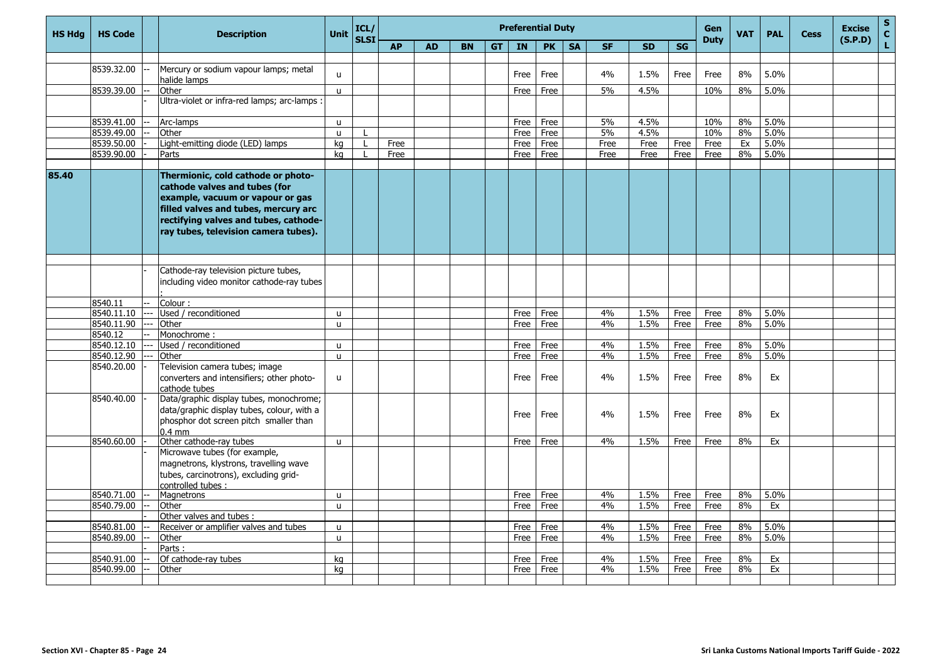| <b>HS Hdg</b> | <b>HS Code</b>           | <b>Description</b>                                                                                                                                                                                                               | <b>Unit</b>  | ICL/<br><b>SLSI</b> |           |           |           |           | <b>Preferential Duty</b> |           |           |           |              |           | <b>Gen</b><br><b>Duty</b> | <b>VAT</b> | <b>PAL</b>   | <b>Cess</b> | <b>Excise</b><br>(S.P.D) | ${\sf s}$<br>C |
|---------------|--------------------------|----------------------------------------------------------------------------------------------------------------------------------------------------------------------------------------------------------------------------------|--------------|---------------------|-----------|-----------|-----------|-----------|--------------------------|-----------|-----------|-----------|--------------|-----------|---------------------------|------------|--------------|-------------|--------------------------|----------------|
|               |                          |                                                                                                                                                                                                                                  |              |                     | <b>AP</b> | <b>AD</b> | <b>BN</b> | <b>GT</b> | <b>IN</b>                | <b>PK</b> | <b>SA</b> | <b>SF</b> | <b>SD</b>    | <b>SG</b> |                           |            |              |             |                          | L              |
|               |                          |                                                                                                                                                                                                                                  |              |                     |           |           |           |           |                          |           |           |           |              |           |                           |            |              |             |                          |                |
|               | 8539.32.00               | Mercury or sodium vapour lamps; metal                                                                                                                                                                                            | u            |                     |           |           |           |           | Free                     | Free      |           | 4%        | 1.5%         | Free      | Free                      | 8%         | 5.0%         |             |                          |                |
|               |                          | halide lamps                                                                                                                                                                                                                     |              |                     |           |           |           |           |                          |           |           |           |              |           |                           |            |              |             |                          |                |
|               | 8539.39.00               | Other                                                                                                                                                                                                                            | $\mathbf{u}$ |                     |           |           |           |           | Free                     | Free      |           | 5%        | 4.5%         |           | 10%                       | 8%         | 5.0%         |             |                          |                |
|               |                          | Ultra-violet or infra-red lamps; arc-lamps :                                                                                                                                                                                     |              |                     |           |           |           |           |                          |           |           |           |              |           |                           |            |              |             |                          |                |
|               | 8539.41.00               | Arc-lamps                                                                                                                                                                                                                        | $\mathbf{u}$ |                     |           |           |           |           | Free                     | Free      |           | 5%        | 4.5%         |           | 10%                       | 8%         | 5.0%         |             |                          |                |
|               | 8539.49.00               | Other                                                                                                                                                                                                                            | $\mathbf{u}$ |                     |           |           |           |           | Free                     | Free      |           | 5%        | 4.5%         |           | 10%                       | 8%         | 5.0%         |             |                          |                |
|               | 8539.50.00               | Light-emitting diode (LED) lamps                                                                                                                                                                                                 | ka           | $\mathbf{I}$        | Free      |           |           |           | Free                     | Free      |           | Free      | Free         | Free      | Free                      | Ex         | 5.0%         |             |                          |                |
|               | 8539.90.00               | Parts                                                                                                                                                                                                                            | ka           |                     | Free      |           |           |           | Free                     | Free      |           | Free      | Free         | Free      | Free                      | 8%         | 5.0%         |             |                          |                |
|               |                          |                                                                                                                                                                                                                                  |              |                     |           |           |           |           |                          |           |           |           |              |           |                           |            |              |             |                          |                |
| 85.40         |                          | Thermionic, cold cathode or photo-<br>cathode valves and tubes (for<br>example, vacuum or vapour or gas<br>filled valves and tubes, mercury arc<br>rectifying valves and tubes, cathode-<br>ray tubes, television camera tubes). |              |                     |           |           |           |           |                          |           |           |           |              |           |                           |            |              |             |                          |                |
|               |                          |                                                                                                                                                                                                                                  |              |                     |           |           |           |           |                          |           |           |           |              |           |                           |            |              |             |                          |                |
|               |                          | Cathode-ray television picture tubes,<br>including video monitor cathode-ray tubes                                                                                                                                               |              |                     |           |           |           |           |                          |           |           |           |              |           |                           |            |              |             |                          |                |
|               | 8540.11                  | Colour:                                                                                                                                                                                                                          |              |                     |           |           |           |           |                          |           |           |           |              |           |                           |            |              |             |                          |                |
|               | 8540.11.10               | Used / reconditioned                                                                                                                                                                                                             | $\mathsf{u}$ |                     |           |           |           |           | Free                     | Free      |           | 4%        | 1.5%         | Free      | Free                      | 8%         | 5.0%         |             |                          |                |
|               | 8540.11.90               | Other                                                                                                                                                                                                                            | u.           |                     |           |           |           |           | Free                     | Free      |           | 4%        | 1.5%         | Free      | Free                      | 8%         | 5.0%         |             |                          |                |
|               | 8540.12                  | Monochrome:                                                                                                                                                                                                                      |              |                     |           |           |           |           |                          |           |           |           |              |           |                           |            |              |             |                          |                |
|               | 8540.12.10               | Used / reconditioned                                                                                                                                                                                                             | $\mathbf{u}$ |                     |           |           |           |           | Free                     | Free      |           | 4%        | 1.5%         | Free      | Free                      | 8%         | 5.0%         |             |                          |                |
|               | 8540.12.90               | Other                                                                                                                                                                                                                            | $\mathbf{u}$ |                     |           |           |           |           | Free                     | Free      |           | 4%        | 1.5%         | Free      | Free                      | 8%         | 5.0%         |             |                          |                |
|               | 8540.20.00               | Television camera tubes; image<br>converters and intensifiers; other photo-<br>cathode tubes                                                                                                                                     | $\mathbf{u}$ |                     |           |           |           |           | Free                     | Free      |           | 4%        | 1.5%         | Free      | Free                      | 8%         | Ex           |             |                          |                |
|               | 8540.40.00               | Data/graphic display tubes, monochrome;<br>data/graphic display tubes, colour, with a<br>phosphor dot screen pitch smaller than<br>$0.4 \text{ mm}$                                                                              |              |                     |           |           |           |           | Free                     | Free      |           | 4%        | 1.5%         | Free      | Free                      | 8%         | Ex           |             |                          |                |
|               | 8540.60.00               | Other cathode-ray tubes                                                                                                                                                                                                          | $\mathbf{u}$ |                     |           |           |           |           | Free                     | Free      |           | 4%        | 1.5%         | Free      | Free                      | 8%         | Ex           |             |                          |                |
|               |                          | Microwave tubes (for example,<br>magnetrons, klystrons, travelling wave<br>tubes, carcinotrons), excluding grid-<br>controlled tubes:                                                                                            |              |                     |           |           |           |           |                          |           |           |           |              |           |                           |            |              |             |                          |                |
|               | 8540.71.00               | Magnetrons                                                                                                                                                                                                                       | $\mathbf{u}$ |                     |           |           |           |           | Free                     | Free      |           | 4%        | 1.5%         | Free      | Free                      | 8%         | 5.0%         |             |                          |                |
|               | 8540.79.00               | Other                                                                                                                                                                                                                            | $\mathbf{u}$ |                     |           |           |           |           | Free                     | Free      |           | 4%        | 1.5%         | Free      | Free                      | 8%         | Ex           |             |                          |                |
|               |                          | Other valves and tubes:                                                                                                                                                                                                          |              |                     |           |           |           |           |                          |           |           |           |              |           |                           |            |              |             |                          |                |
|               | 8540.81.00<br>8540.89.00 | Receiver or amplifier valves and tubes<br>Other                                                                                                                                                                                  | $\mathbf{u}$ |                     |           |           |           |           | Free                     | Free      |           | 4%<br>4%  | 1.5%<br>1.5% | Free      | Free                      | 8%         | 5.0%<br>5.0% |             |                          |                |
|               |                          | Parts:                                                                                                                                                                                                                           | $\mathsf{u}$ |                     |           |           |           |           | Free                     | Free      |           |           |              | Free      | Free                      | 8%         |              |             |                          |                |
|               | 8540.91.00               | Of cathode-ray tubes                                                                                                                                                                                                             | ka           |                     |           |           |           |           | Free                     | Free      |           | 4%        | 1.5%         | Free      | Free                      | 8%         | Ex           |             |                          |                |
|               | 8540.99.00               | Other                                                                                                                                                                                                                            | ka           |                     |           |           |           |           | Free                     | Free      |           | 4%        | 1.5%         | Free      | Free                      | 8%         | Ex           |             |                          |                |
|               |                          |                                                                                                                                                                                                                                  |              |                     |           |           |           |           |                          |           |           |           |              |           |                           |            |              |             |                          |                |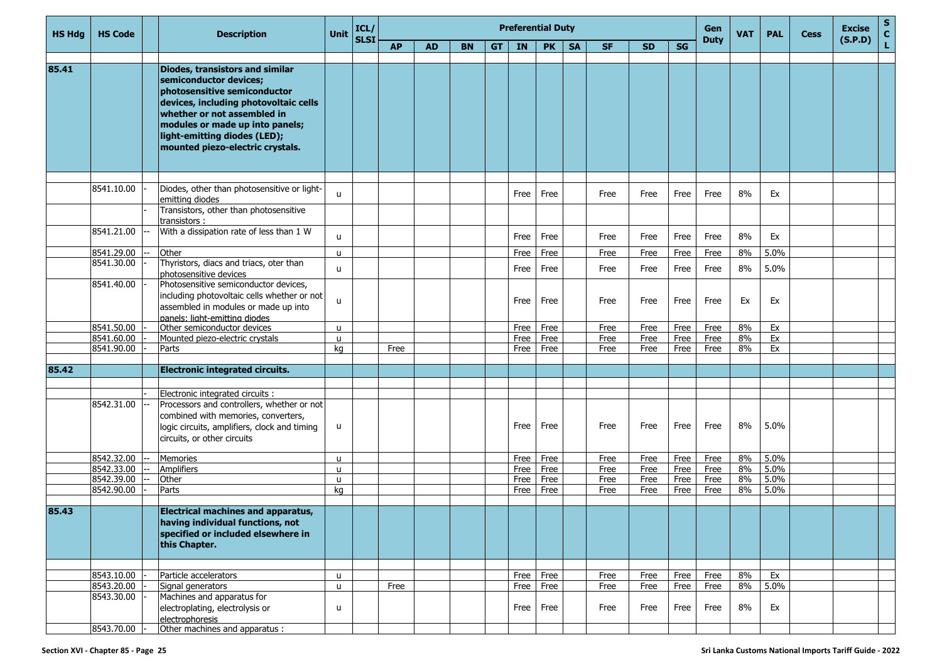| <b>HS Hdg</b> | <b>HS Code</b>           | <b>Description</b>                                                                                                                                                                                                                                                       | <b>Unit</b>        | ICL/        |           |           |           |           |              | <b>Preferential Duty</b> |           |              |              |              | Gen          | <b>VAT</b> | <b>PAL</b> | <b>Cess</b> | <b>Excise</b> | S<br>$\mathbf{C}$ |
|---------------|--------------------------|--------------------------------------------------------------------------------------------------------------------------------------------------------------------------------------------------------------------------------------------------------------------------|--------------------|-------------|-----------|-----------|-----------|-----------|--------------|--------------------------|-----------|--------------|--------------|--------------|--------------|------------|------------|-------------|---------------|-------------------|
|               |                          |                                                                                                                                                                                                                                                                          |                    | <b>SLSI</b> | <b>AP</b> | <b>AD</b> | <b>BN</b> | <b>GT</b> | <b>IN</b>    | <b>PK</b>                | <b>SA</b> | <b>SF</b>    | <b>SD</b>    | <b>SG</b>    | <b>Duty</b>  |            |            |             | (S.P.D)       |                   |
|               |                          |                                                                                                                                                                                                                                                                          |                    |             |           |           |           |           |              |                          |           |              |              |              |              |            |            |             |               |                   |
| 85.41         |                          | Diodes, transistors and similar<br>semiconductor devices;<br>photosensitive semiconductor<br>devices, including photovoltaic cells<br>whether or not assembled in<br>modules or made up into panels;<br>light-emitting diodes (LED);<br>mounted piezo-electric crystals. |                    |             |           |           |           |           |              |                          |           |              |              |              |              |            |            |             |               |                   |
|               | 8541.10.00               | Diodes, other than photosensitive or light-<br>emitting diodes                                                                                                                                                                                                           | u                  |             |           |           |           |           | Free         | Free                     |           | Free         | Free         | Free         | Free         | 8%         | Ex         |             |               |                   |
|               |                          | Transistors, other than photosensitive<br>transistors :                                                                                                                                                                                                                  |                    |             |           |           |           |           |              |                          |           |              |              |              |              |            |            |             |               |                   |
|               | 8541.21.00               | With a dissipation rate of less than 1 W                                                                                                                                                                                                                                 | u                  |             |           |           |           |           | Free         | Free                     |           | Free         | Free         | Free         | Free         | 8%         | Ex         |             |               |                   |
|               | 8541.29.00               | Other                                                                                                                                                                                                                                                                    | $\mathsf{u}$       |             |           |           |           |           | Free         | Free                     |           | Free         | Free         | Free         | Free         | 8%         | 5.0%       |             |               |                   |
|               | 8541.30.00               | Thyristors, diacs and triacs, oter than<br>photosensitive devices                                                                                                                                                                                                        | $\mathsf{u}$       |             |           |           |           |           | Free         | Free                     |           | Free         | Free         | Free         | Free         | 8%         | 5.0%       |             |               |                   |
|               | 8541.40.00               | Photosensitive semiconductor devices,<br>including photovoltaic cells whether or not<br>assembled in modules or made up into<br>panels: light-emitting diodes                                                                                                            | u                  |             |           |           |           |           | Free         | Free                     |           | Free         | Free         | Free         | Free         | Ex         | Ex         |             |               |                   |
|               | 8541.50.00               | Other semiconductor devices                                                                                                                                                                                                                                              | u.                 |             |           |           |           |           | Free         | Free                     |           | Free         | Free         | Free         | Free         | 8%         | Ex         |             |               |                   |
|               | 8541.60.00               | Mounted piezo-electric crystals                                                                                                                                                                                                                                          | u                  |             |           |           |           |           | Free         | Free                     |           | Free         | Free         | Free         | Free         | 8%         | Ex         |             |               |                   |
|               | 8541.90.00               | Parts                                                                                                                                                                                                                                                                    | kg                 |             | Free      |           |           |           | Free         | Free                     |           | Free         | Free         | Free         | Free         | 8%         | Ex         |             |               |                   |
| 85.42         |                          | <b>Electronic integrated circuits.</b>                                                                                                                                                                                                                                   |                    |             |           |           |           |           |              |                          |           |              |              |              |              |            |            |             |               |                   |
|               |                          | Electronic integrated circuits :                                                                                                                                                                                                                                         |                    |             |           |           |           |           |              |                          |           |              |              |              |              |            |            |             |               |                   |
|               | 8542.31.00               | Processors and controllers, whether or not<br>combined with memories, converters,<br>logic circuits, amplifiers, clock and timing<br>circuits, or other circuits                                                                                                         | u                  |             |           |           |           |           | Free         | Free                     |           | Free         | Free         | Free         | Free         | 8%         | 5.0%       |             |               |                   |
|               | 8542.32.00               | <b>Memories</b>                                                                                                                                                                                                                                                          | u.                 |             |           |           |           |           | Free         | Free                     |           | Free         | Free         | Free         | Free         | 8%         | 5.0%       |             |               |                   |
|               | 8542.33.00               | <b>Amplifiers</b>                                                                                                                                                                                                                                                        | $\mathsf{u}$       |             |           |           |           |           | Free         | Free                     |           | Free         | Free         | Free         | Free         | 8%         | 5.0%       |             |               |                   |
|               | 8542.39.00               | Other                                                                                                                                                                                                                                                                    | $\mathsf{u}$       |             |           |           |           |           | Free         | Free                     |           | Free         | Free         | Free         | Free         | 8%         | 5.0%       |             |               |                   |
|               | 8542.90.00               | Parts                                                                                                                                                                                                                                                                    | kg                 |             |           |           |           |           | Free         | Free                     |           | Free         | Free         | Free         | Free         | 8%         | 5.0%       |             |               |                   |
| 85.43         |                          | <b>Electrical machines and apparatus,</b><br>having individual functions, not<br>specified or included elsewhere in<br>this Chapter.                                                                                                                                     |                    |             |           |           |           |           |              |                          |           |              |              |              |              |            |            |             |               |                   |
|               |                          |                                                                                                                                                                                                                                                                          |                    |             |           |           |           |           |              |                          |           |              |              |              |              |            |            |             |               |                   |
|               | 8543.10.00<br>8543.20.00 | Particle accelerators<br>Signal generators                                                                                                                                                                                                                               | u.<br>$\mathsf{u}$ |             | Free      |           |           |           | Free<br>Free | Free<br>Free             |           | Free<br>Free | Free<br>Free | Free<br>Free | Free<br>Free | 8%<br>8%   | Ex<br>5.0% |             |               |                   |
|               | 8543.30.00               | Machines and apparatus for<br>electroplating, electrolysis or<br>electrophoresis                                                                                                                                                                                         | u                  |             |           |           |           |           | Free         | Free                     |           | Free         | Free         | Free         | Free         | 8%         | Ex         |             |               |                   |
|               | 8543.70.00               | Other machines and apparatus :                                                                                                                                                                                                                                           |                    |             |           |           |           |           |              |                          |           |              |              |              |              |            |            |             |               |                   |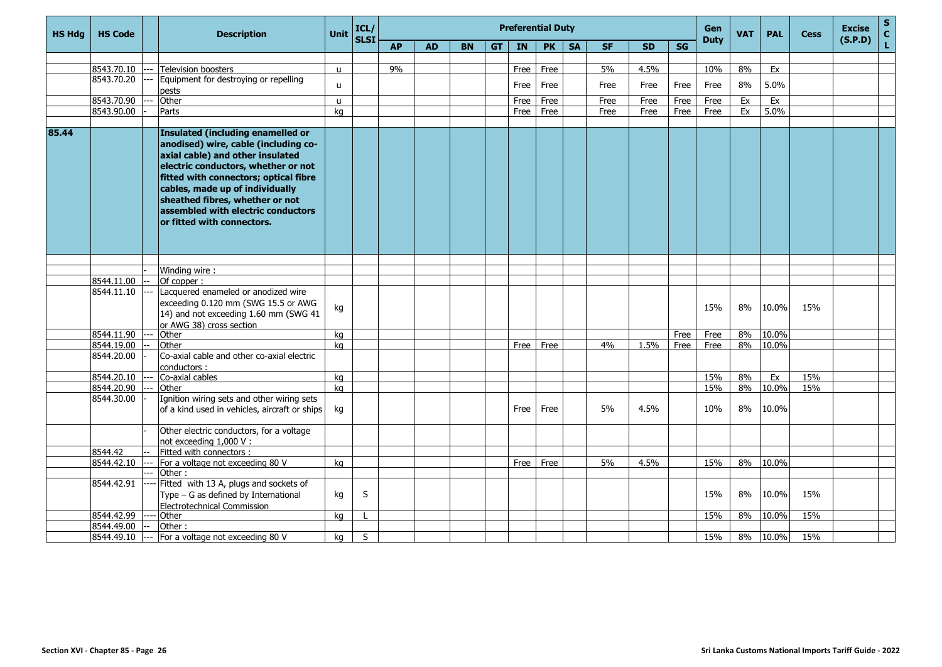| <b>HS Hda</b> | <b>HS Code</b> |  | <b>Description</b>                                                                                                                                                                                                                                                                                                                             | <b>Unit</b>  | ICL/<br><b>SLSI</b> | <b>Preferential Duty</b> |           |           |           |      |           |           |           |           |      |             | <b>VAT</b> | <b>PAL</b> | <b>Cess</b> | <b>Excise</b><br>(S.P.D) | $\mathbf S$<br>$\mathbf{c}$ |
|---------------|----------------|--|------------------------------------------------------------------------------------------------------------------------------------------------------------------------------------------------------------------------------------------------------------------------------------------------------------------------------------------------|--------------|---------------------|--------------------------|-----------|-----------|-----------|------|-----------|-----------|-----------|-----------|------|-------------|------------|------------|-------------|--------------------------|-----------------------------|
|               |                |  |                                                                                                                                                                                                                                                                                                                                                |              |                     | <b>AP</b>                | <b>AD</b> | <b>BN</b> | <b>GT</b> | IN   | <b>PK</b> | <b>SA</b> | <b>SF</b> | <b>SD</b> | SG   | <b>Duty</b> |            |            |             |                          | L.                          |
|               |                |  |                                                                                                                                                                                                                                                                                                                                                |              |                     |                          |           |           |           |      |           |           |           |           |      |             |            |            |             |                          |                             |
|               | 8543.70.10     |  | <b>Television boosters</b>                                                                                                                                                                                                                                                                                                                     | $\mathsf{u}$ |                     | 9%                       |           |           |           | Free | Free      |           | 5%        | 4.5%      |      | 10%         | 8%         | Ex         |             |                          |                             |
|               | 8543.70.20     |  | Equipment for destroying or repelling<br>pests                                                                                                                                                                                                                                                                                                 | u.           |                     |                          |           |           |           | Free | Free      |           | Free      | Free      | Free | Free        | 8%         | 5.0%       |             |                          |                             |
|               | 8543.70.90     |  | Other                                                                                                                                                                                                                                                                                                                                          | u            |                     |                          |           |           |           | Free | Free      |           | Free      | Free      | Free | Free        | Ex         | Ex         |             |                          |                             |
|               | 8543.90.00     |  | Parts                                                                                                                                                                                                                                                                                                                                          | ka           |                     |                          |           |           |           | Free | Free      |           | Free      | Free      | Free | Free        | Ex         | 5.0%       |             |                          |                             |
|               |                |  |                                                                                                                                                                                                                                                                                                                                                |              |                     |                          |           |           |           |      |           |           |           |           |      |             |            |            |             |                          |                             |
| 85.44         |                |  | <b>Insulated (including enamelled or</b><br>anodised) wire, cable (including co-<br>axial cable) and other insulated<br>electric conductors, whether or not<br>fitted with connectors; optical fibre<br>cables, made up of individually<br>sheathed fibres, whether or not<br>assembled with electric conductors<br>or fitted with connectors. |              |                     |                          |           |           |           |      |           |           |           |           |      |             |            |            |             |                          |                             |
|               |                |  |                                                                                                                                                                                                                                                                                                                                                |              |                     |                          |           |           |           |      |           |           |           |           |      |             |            |            |             |                          |                             |
|               |                |  | Winding wire:                                                                                                                                                                                                                                                                                                                                  |              |                     |                          |           |           |           |      |           |           |           |           |      |             |            |            |             |                          |                             |
|               | 8544.11.00     |  | Of copper:                                                                                                                                                                                                                                                                                                                                     |              |                     |                          |           |           |           |      |           |           |           |           |      |             |            |            |             |                          |                             |
|               | 8544.11.10     |  | Lacquered enameled or anodized wire<br>exceeding 0.120 mm (SWG 15.5 or AWG<br>14) and not exceeding 1.60 mm (SWG 41<br>or AWG 38) cross section                                                                                                                                                                                                | kg           |                     |                          |           |           |           |      |           |           |           |           |      | 15%         | 8%         | 10.0%      | 15%         |                          |                             |
|               | 8544.11.90     |  | Other                                                                                                                                                                                                                                                                                                                                          | ka           |                     |                          |           |           |           |      |           |           |           |           | Free | Free        | 8%         | 10.0%      |             |                          |                             |
|               | 8544.19.00     |  | Other                                                                                                                                                                                                                                                                                                                                          | kg           |                     |                          |           |           |           | Free | Free      |           | 4%        | 1.5%      | Free | Free        | 8%         | 10.0%      |             |                          |                             |
|               | 8544.20.00     |  | Co-axial cable and other co-axial electric<br>conductors:                                                                                                                                                                                                                                                                                      |              |                     |                          |           |           |           |      |           |           |           |           |      |             |            |            |             |                          |                             |
|               | 8544.20.10     |  | Co-axial cables                                                                                                                                                                                                                                                                                                                                | ka           |                     |                          |           |           |           |      |           |           |           |           |      | 15%         | 8%         | Ex         | 15%         |                          |                             |
|               | 8544.20.90     |  | Other                                                                                                                                                                                                                                                                                                                                          | ka           |                     |                          |           |           |           |      |           |           |           |           |      | 15%         | 8%         | 10.0%      | 15%         |                          |                             |
|               | 8544.30.00     |  | Ignition wiring sets and other wiring sets<br>of a kind used in vehicles, aircraft or ships                                                                                                                                                                                                                                                    | kg           |                     |                          |           |           |           | Free | Free      |           | 5%        | 4.5%      |      | 10%         | 8%         | 10.0%      |             |                          |                             |
|               |                |  | Other electric conductors, for a voltage<br>not exceeding 1,000 V:                                                                                                                                                                                                                                                                             |              |                     |                          |           |           |           |      |           |           |           |           |      |             |            |            |             |                          |                             |
|               | 8544.42        |  | Fitted with connectors :                                                                                                                                                                                                                                                                                                                       |              |                     |                          |           |           |           |      |           |           |           |           |      |             |            |            |             |                          |                             |
|               | 8544.42.10     |  | For a voltage not exceeding 80 V                                                                                                                                                                                                                                                                                                               | ka           |                     |                          |           |           |           | Free | Free      |           | 5%        | 4.5%      |      | 15%         | 8%         | 10.0%      |             |                          |                             |
|               |                |  | Other:                                                                                                                                                                                                                                                                                                                                         |              |                     |                          |           |           |           |      |           |           |           |           |      |             |            |            |             |                          |                             |
|               | 8544.42.91     |  | Fitted with 13 A, plugs and sockets of<br>Type - G as defined by International<br><b>Electrotechnical Commission</b>                                                                                                                                                                                                                           | kg           | S                   |                          |           |           |           |      |           |           |           |           |      | 15%         | 8%         | 10.0%      | 15%         |                          |                             |
|               | 8544.42.99     |  | Other                                                                                                                                                                                                                                                                                                                                          | ka           | $\mathbf{I}$        |                          |           |           |           |      |           |           |           |           |      | 15%         | 8%         | 10.0%      | 15%         |                          |                             |
|               | 8544.49.00     |  | Other:                                                                                                                                                                                                                                                                                                                                         |              |                     |                          |           |           |           |      |           |           |           |           |      |             |            |            |             |                          |                             |
|               | 8544.49.10     |  | For a voltage not exceeding 80 V                                                                                                                                                                                                                                                                                                               | kg           | S                   |                          |           |           |           |      |           |           |           |           |      | 15%         | 8%         | 10.0%      | 15%         |                          |                             |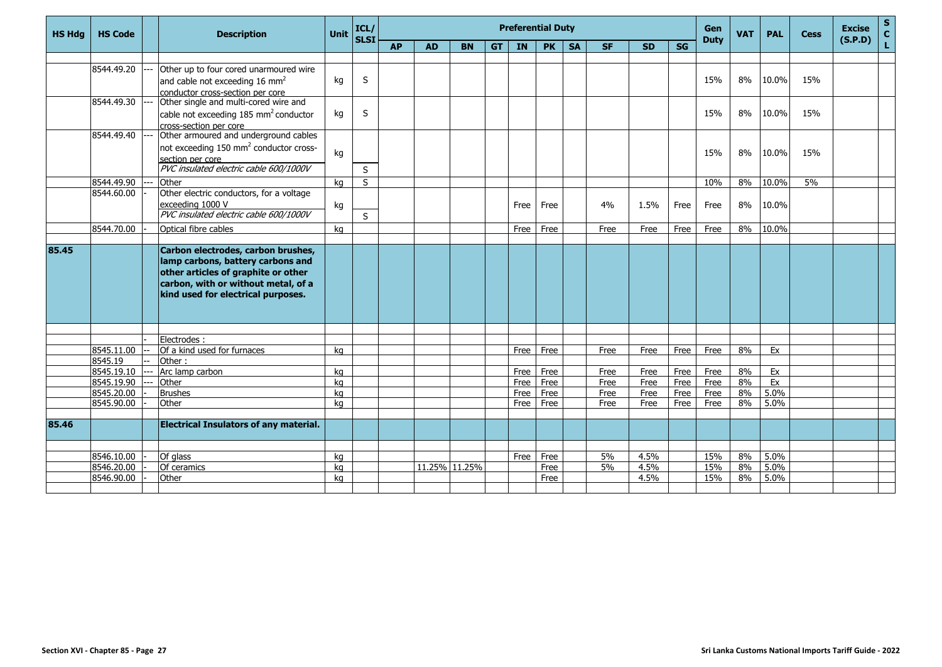| <b>HS Hdg</b> | <b>HS Code</b> | <b>Preferential Duty</b><br>ICL/<br>Unit<br><b>Description</b><br><b>SLSI</b> |                                                                                                                                                                                             |    |    |           |           |               |           |      |           |           | Gen<br><b>Duty</b> | <b>VAT</b> | <b>PAL</b> | <b>Cess</b> | <b>Excise</b><br>(S.P.D) | $\mathbf S$<br>$\mathbf{C}$ |     |  |    |
|---------------|----------------|-------------------------------------------------------------------------------|---------------------------------------------------------------------------------------------------------------------------------------------------------------------------------------------|----|----|-----------|-----------|---------------|-----------|------|-----------|-----------|--------------------|------------|------------|-------------|--------------------------|-----------------------------|-----|--|----|
|               |                |                                                                               |                                                                                                                                                                                             |    |    | <b>AP</b> | <b>AD</b> | <b>BN</b>     | <b>GT</b> | IN   | <b>PK</b> | <b>SA</b> | <b>SF</b>          | <b>SD</b>  | SG         |             |                          |                             |     |  | L. |
|               | 8544.49.20     |                                                                               | Other up to four cored unarmoured wire                                                                                                                                                      |    |    |           |           |               |           |      |           |           |                    |            |            |             |                          |                             |     |  |    |
|               |                |                                                                               | and cable not exceeding 16 mm <sup>2</sup>                                                                                                                                                  | kg | S  |           |           |               |           |      |           |           |                    |            |            | 15%         | 8%                       | 10.0%                       | 15% |  |    |
|               |                |                                                                               | conductor cross-section per core                                                                                                                                                            |    |    |           |           |               |           |      |           |           |                    |            |            |             |                          |                             |     |  |    |
|               | 8544.49.30     |                                                                               | Other single and multi-cored wire and                                                                                                                                                       |    |    |           |           |               |           |      |           |           |                    |            |            |             |                          |                             |     |  |    |
|               |                |                                                                               | cable not exceeding 185 mm <sup>2</sup> conductor                                                                                                                                           | kg | S  |           |           |               |           |      |           |           |                    |            |            | 15%         | 8%                       | 10.0%                       | 15% |  |    |
|               |                |                                                                               | cross-section per core<br>Other armoured and underground cables                                                                                                                             |    |    |           |           |               |           |      |           |           |                    |            |            |             |                          |                             |     |  |    |
|               | 8544.49.40     |                                                                               |                                                                                                                                                                                             |    |    |           |           |               |           |      |           |           |                    |            |            |             |                          |                             |     |  |    |
|               |                |                                                                               | not exceeding 150 mm <sup>2</sup> conductor cross-                                                                                                                                          | kg |    |           |           |               |           |      |           |           |                    |            |            | 15%         | 8%                       | 10.0%                       | 15% |  |    |
|               |                |                                                                               | section per core                                                                                                                                                                            |    |    |           |           |               |           |      |           |           |                    |            |            |             |                          |                             |     |  |    |
|               |                |                                                                               | PVC insulated electric cable 600/1000V                                                                                                                                                      |    | S  |           |           |               |           |      |           |           |                    |            |            |             |                          |                             |     |  |    |
|               | 8544.49.90     |                                                                               | Other                                                                                                                                                                                       | kg | S  |           |           |               |           |      |           |           |                    |            |            | 10%         | 8%                       | 10.0%                       | 5%  |  |    |
|               | 8544.60.00     |                                                                               | Other electric conductors, for a voltage                                                                                                                                                    |    |    |           |           |               |           |      |           |           |                    |            |            |             |                          |                             |     |  |    |
|               |                |                                                                               | exceeding 1000 V                                                                                                                                                                            | kg |    |           |           |               |           | Free | Free      |           | 4%                 | 1.5%       | Free       | Free        | 8%                       | 10.0%                       |     |  |    |
|               |                |                                                                               | PVC insulated electric cable 600/1000V                                                                                                                                                      |    | S. |           |           |               |           |      |           |           |                    |            |            |             |                          |                             |     |  |    |
|               | 8544.70.00     |                                                                               | Optical fibre cables                                                                                                                                                                        | ka |    |           |           |               |           | Free | Free      |           | Free               | Free       | Free       | Free        | 8%                       | 10.0%                       |     |  |    |
|               |                |                                                                               |                                                                                                                                                                                             |    |    |           |           |               |           |      |           |           |                    |            |            |             |                          |                             |     |  |    |
| 85.45         |                |                                                                               | Carbon electrodes, carbon brushes,<br>lamp carbons, battery carbons and<br>other articles of graphite or other<br>carbon, with or without metal, of a<br>kind used for electrical purposes. |    |    |           |           |               |           |      |           |           |                    |            |            |             |                          |                             |     |  |    |
|               |                |                                                                               |                                                                                                                                                                                             |    |    |           |           |               |           |      |           |           |                    |            |            |             |                          |                             |     |  |    |
|               | 8545.11.00     |                                                                               | Electrodes:<br>Of a kind used for furnaces                                                                                                                                                  |    |    |           |           |               |           | Free | Free      |           | Free               |            | Free       | Free        | 8%                       | Ex                          |     |  |    |
|               | 8545.19        |                                                                               | Other:                                                                                                                                                                                      | ka |    |           |           |               |           |      |           |           |                    | Free       |            |             |                          |                             |     |  |    |
|               | 8545.19.10     |                                                                               | Arc lamp carbon                                                                                                                                                                             | ka |    |           |           |               |           | Free | Free      |           | Free               | Free       | Free       | Free        | 8%                       | Ex                          |     |  |    |
|               | 8545.19.90     |                                                                               | Other                                                                                                                                                                                       | ka |    |           |           |               |           | Free | Free      |           | Free               | Free       | Free       | Free        | 8%                       | Ex                          |     |  |    |
|               | 8545.20.00     |                                                                               | <b>Brushes</b>                                                                                                                                                                              | ka |    |           |           |               |           | Free | Free      |           | Free               | Free       | Free       | Free        | 8%                       | 5.0%                        |     |  |    |
|               | 8545.90.00     |                                                                               | Other                                                                                                                                                                                       | ka |    |           |           |               |           | Free | Free      |           | Free               | Free       | Free       | Free        | 8%                       | 5.0%                        |     |  |    |
|               |                |                                                                               |                                                                                                                                                                                             |    |    |           |           |               |           |      |           |           |                    |            |            |             |                          |                             |     |  |    |
| 85.46         |                |                                                                               | <b>Electrical Insulators of any material.</b>                                                                                                                                               |    |    |           |           |               |           |      |           |           |                    |            |            |             |                          |                             |     |  |    |
|               |                |                                                                               |                                                                                                                                                                                             |    |    |           |           |               |           |      |           |           |                    |            |            |             |                          |                             |     |  |    |
|               | 8546.10.00     |                                                                               | Of glass                                                                                                                                                                                    | kg |    |           |           |               |           | Free | Free      |           | 5%                 | 4.5%       |            | 15%         | 8%                       | 5.0%                        |     |  |    |
|               | 8546.20.00     |                                                                               | Of ceramics                                                                                                                                                                                 | ka |    |           |           | 11.25% 11.25% |           |      | Free      |           | 5%                 | 4.5%       |            | 15%         | 8%                       | 5.0%                        |     |  |    |
|               | 8546.90.00     |                                                                               | Other                                                                                                                                                                                       | ka |    |           |           |               |           |      | Free      |           |                    | 4.5%       |            | 15%         | 8%                       | 5.0%                        |     |  |    |
|               |                |                                                                               |                                                                                                                                                                                             |    |    |           |           |               |           |      |           |           |                    |            |            |             |                          |                             |     |  |    |